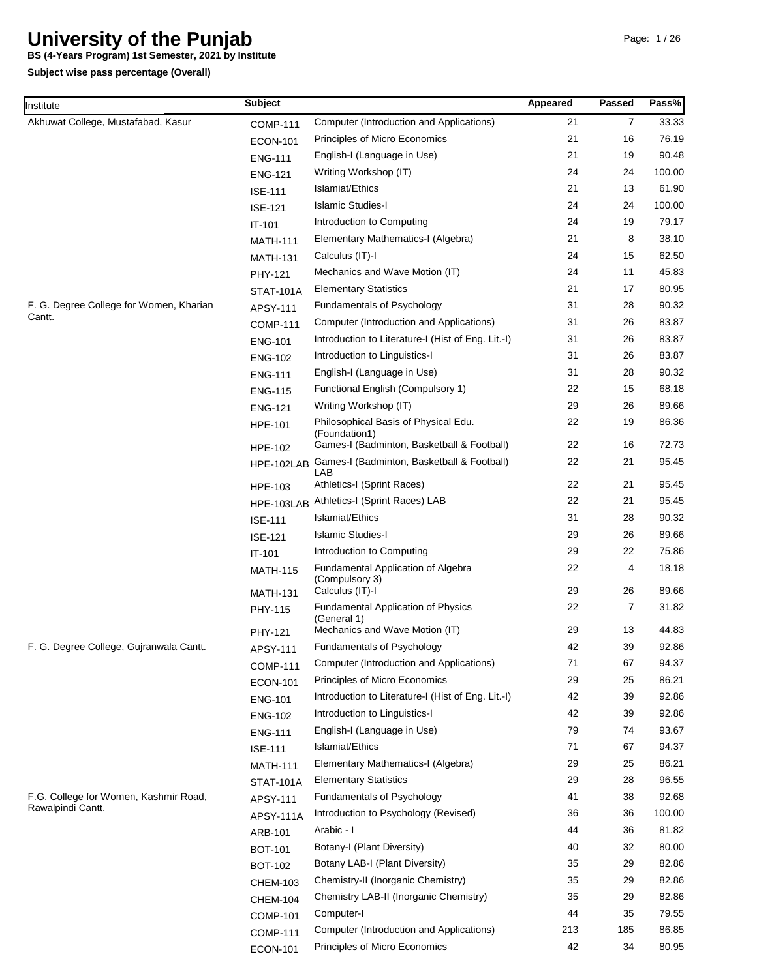**BS (4-Years Program) 1st Semester, 2021 by Institute**

| Institute                                                  | <b>Subject</b>   |                                                                                     | Appeared | <b>Passed</b> | Pass%          |
|------------------------------------------------------------|------------------|-------------------------------------------------------------------------------------|----------|---------------|----------------|
| Akhuwat College, Mustafabad, Kasur                         | <b>COMP-111</b>  | Computer (Introduction and Applications)                                            | 21       | 7             | 33.33          |
|                                                            | <b>ECON-101</b>  | Principles of Micro Economics                                                       | 21       | 16            | 76.19          |
|                                                            | <b>ENG-111</b>   | English-I (Language in Use)                                                         | 21       | 19            | 90.48          |
|                                                            | <b>ENG-121</b>   | Writing Workshop (IT)                                                               | 24       | 24            | 100.00         |
|                                                            | <b>ISE-111</b>   | Islamiat/Ethics                                                                     | 21       | 13            | 61.90          |
|                                                            | <b>ISE-121</b>   | <b>Islamic Studies-I</b>                                                            | 24       | 24            | 100.00         |
|                                                            | IT-101           | Introduction to Computing                                                           | 24       | 19            | 79.17          |
|                                                            | <b>MATH-111</b>  | Elementary Mathematics-I (Algebra)                                                  | 21       | 8             | 38.10          |
|                                                            | <b>MATH-131</b>  | Calculus (IT)-I                                                                     | 24       | 15            | 62.50          |
|                                                            | PHY-121          | Mechanics and Wave Motion (IT)                                                      | 24       | 11            | 45.83          |
|                                                            | <b>STAT-101A</b> | <b>Elementary Statistics</b>                                                        | 21       | 17            | 80.95          |
| F. G. Degree College for Women, Kharian                    | APSY-111         | Fundamentals of Psychology                                                          | 31       | 28            | 90.32          |
| Cantt.                                                     | <b>COMP-111</b>  | Computer (Introduction and Applications)                                            | 31       | 26            | 83.87          |
|                                                            | <b>ENG-101</b>   | Introduction to Literature-I (Hist of Eng. Lit.-I)                                  | 31       | 26            | 83.87          |
|                                                            | <b>ENG-102</b>   | Introduction to Linguistics-I                                                       | 31       | 26            | 83.87          |
|                                                            | <b>ENG-111</b>   | English-I (Language in Use)                                                         | 31       | 28            | 90.32          |
|                                                            | <b>ENG-115</b>   | Functional English (Compulsory 1)                                                   | 22       | 15            | 68.18          |
|                                                            | <b>ENG-121</b>   | Writing Workshop (IT)                                                               | 29       | 26            | 89.66          |
|                                                            | <b>HPE-101</b>   | Philosophical Basis of Physical Edu.                                                | 22       | 19            | 86.36          |
|                                                            |                  | (Foundation1)                                                                       |          |               |                |
|                                                            | <b>HPE-102</b>   | Games-I (Badminton, Basketball & Football)                                          | 22       | 16            | 72.73          |
|                                                            | HPE-102LAB       | Games-I (Badminton, Basketball & Football)<br>LAB                                   | 22       | 21            | 95.45          |
|                                                            | HPE-103          | Athletics-I (Sprint Races)                                                          | 22       | 21            | 95.45          |
|                                                            | HPE-103LAB       | Athletics-I (Sprint Races) LAB                                                      | 22       | 21            | 95.45          |
|                                                            | <b>ISE-111</b>   | Islamiat/Ethics                                                                     | 31       | 28            | 90.32          |
|                                                            | <b>ISE-121</b>   | <b>Islamic Studies-I</b>                                                            | 29       | 26            | 89.66          |
|                                                            | IT-101           | Introduction to Computing                                                           | 29       | 22            | 75.86          |
|                                                            | <b>MATH-115</b>  | Fundamental Application of Algebra<br>(Compulsory 3)                                | 22       | 4             | 18.18          |
|                                                            | <b>MATH-131</b>  | Calculus (IT)-I                                                                     | 29       | 26            | 89.66          |
|                                                            | PHY-115          | Fundamental Application of Physics<br>(General 1)<br>Mechanics and Wave Motion (IT) | 22<br>29 | 7<br>13       | 31.82<br>44.83 |
|                                                            | PHY-121          |                                                                                     | 42       | 39            | 92.86          |
| F. G. Degree College, Gujranwala Cantt.                    | APSY-111         | Fundamentals of Psychology<br>Computer (Introduction and Applications)              | 71       |               |                |
|                                                            | <b>COMP-111</b>  |                                                                                     |          | 67            | 94.37          |
|                                                            | <b>ECON-101</b>  | Principles of Micro Economics                                                       | 29       | 25            | 86.21          |
|                                                            | <b>ENG-101</b>   | Introduction to Literature-I (Hist of Eng. Lit.-I)<br>Introduction to Linguistics-I | 42<br>42 | 39<br>39      | 92.86<br>92.86 |
|                                                            | <b>ENG-102</b>   |                                                                                     | 79       |               |                |
|                                                            | <b>ENG-111</b>   | English-I (Language in Use)<br>Islamiat/Ethics                                      | 71       | 74<br>67      | 93.67<br>94.37 |
|                                                            | <b>ISE-111</b>   | Elementary Mathematics-I (Algebra)                                                  | 29       | 25            | 86.21          |
|                                                            | <b>MATH-111</b>  |                                                                                     | 29       |               | 96.55          |
|                                                            | <b>STAT-101A</b> | <b>Elementary Statistics</b>                                                        |          | 28            |                |
| F.G. College for Women, Kashmir Road,<br>Rawalpindi Cantt. | APSY-111         | Fundamentals of Psychology                                                          | 41       | 38            | 92.68          |
|                                                            | <b>APSY-111A</b> | Introduction to Psychology (Revised)                                                | 36       | 36            | 100.00         |
|                                                            | ARB-101          | Arabic - I                                                                          | 44       | 36            | 81.82          |
|                                                            | <b>BOT-101</b>   | Botany-I (Plant Diversity)                                                          | 40       | 32            | 80.00          |
|                                                            | <b>BOT-102</b>   | Botany LAB-I (Plant Diversity)                                                      | 35       | 29            | 82.86          |
|                                                            | <b>CHEM-103</b>  | Chemistry-II (Inorganic Chemistry)                                                  | 35       | 29            | 82.86          |
|                                                            | <b>CHEM-104</b>  | Chemistry LAB-II (Inorganic Chemistry)                                              | 35       | 29            | 82.86          |
|                                                            | <b>COMP-101</b>  | Computer-I                                                                          | 44       | 35            | 79.55          |
|                                                            | <b>COMP-111</b>  | Computer (Introduction and Applications)                                            | 213      | 185           | 86.85          |
|                                                            | <b>ECON-101</b>  | Principles of Micro Economics                                                       | 42       | 34            | 80.95          |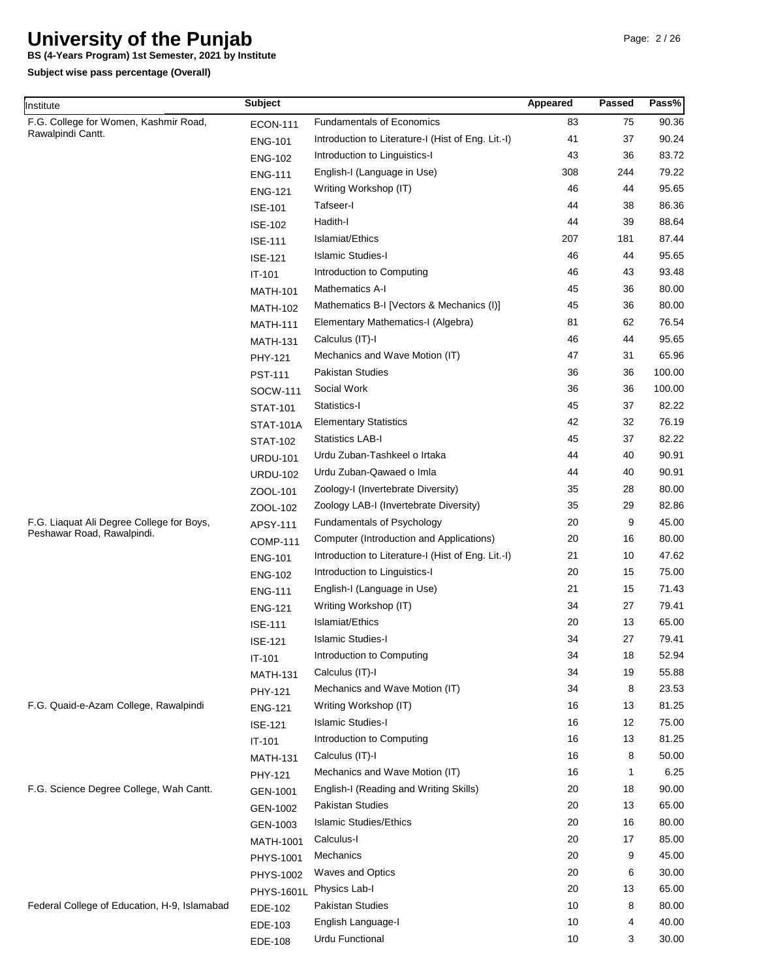**BS (4-Years Program) 1st Semester, 2021 by Institute**

| Institute                                    | <b>Subject</b>    |                                                    | Appeared | <b>Passed</b> | Pass%  |
|----------------------------------------------|-------------------|----------------------------------------------------|----------|---------------|--------|
| F.G. College for Women, Kashmir Road,        | <b>ECON-111</b>   | <b>Fundamentals of Economics</b>                   | 83       | 75            | 90.36  |
| Rawalpindi Cantt.                            | <b>ENG-101</b>    | Introduction to Literature-I (Hist of Eng. Lit.-I) | 41       | 37            | 90.24  |
|                                              | <b>ENG-102</b>    | Introduction to Linguistics-I                      | 43       | 36            | 83.72  |
|                                              | <b>ENG-111</b>    | English-I (Language in Use)                        | 308      | 244           | 79.22  |
|                                              | <b>ENG-121</b>    | Writing Workshop (IT)                              | 46       | 44            | 95.65  |
|                                              | <b>ISE-101</b>    | Tafseer-I                                          | 44       | 38            | 86.36  |
|                                              | <b>ISE-102</b>    | Hadith-I                                           | 44       | 39            | 88.64  |
|                                              | <b>ISE-111</b>    | Islamiat/Ethics                                    | 207      | 181           | 87.44  |
|                                              | <b>ISE-121</b>    | <b>Islamic Studies-I</b>                           | 46       | 44            | 95.65  |
|                                              | IT-101            | Introduction to Computing                          | 46       | 43            | 93.48  |
|                                              | <b>MATH-101</b>   | <b>Mathematics A-I</b>                             | 45       | 36            | 80.00  |
|                                              | <b>MATH-102</b>   | Mathematics B-I [Vectors & Mechanics (I)]          | 45       | 36            | 80.00  |
|                                              | <b>MATH-111</b>   | Elementary Mathematics-I (Algebra)                 | 81       | 62            | 76.54  |
|                                              | <b>MATH-131</b>   | Calculus (IT)-I                                    | 46       | 44            | 95.65  |
|                                              | PHY-121           | Mechanics and Wave Motion (IT)                     | 47       | 31            | 65.96  |
|                                              | <b>PST-111</b>    | <b>Pakistan Studies</b>                            | 36       | 36            | 100.00 |
|                                              | SOCW-111          | Social Work                                        | 36       | 36            | 100.00 |
|                                              | <b>STAT-101</b>   | Statistics-I                                       | 45       | 37            | 82.22  |
|                                              | <b>STAT-101A</b>  | <b>Elementary Statistics</b>                       | 42       | 32            | 76.19  |
|                                              | <b>STAT-102</b>   | <b>Statistics LAB-I</b>                            | 45       | 37            | 82.22  |
|                                              | <b>URDU-101</b>   | Urdu Zuban-Tashkeel o Irtaka                       | 44       | 40            | 90.91  |
|                                              | <b>URDU-102</b>   | Urdu Zuban-Qawaed o Imla                           | 44       | 40            | 90.91  |
|                                              | ZOOL-101          | Zoology-I (Invertebrate Diversity)                 | 35       | 28            | 80.00  |
|                                              | ZOOL-102          | Zoology LAB-I (Invertebrate Diversity)             | 35       | 29            | 82.86  |
| F.G. Liaquat Ali Degree College for Boys,    | APSY-111          | Fundamentals of Psychology                         | 20       | 9             | 45.00  |
| Peshawar Road, Rawalpindi.                   | <b>COMP-111</b>   | Computer (Introduction and Applications)           | 20       | 16            | 80.00  |
|                                              | <b>ENG-101</b>    | Introduction to Literature-I (Hist of Eng. Lit.-I) | 21       | 10            | 47.62  |
|                                              | <b>ENG-102</b>    | Introduction to Linguistics-I                      | 20       | 15            | 75.00  |
|                                              | <b>ENG-111</b>    | English-I (Language in Use)                        | 21       | 15            | 71.43  |
|                                              | <b>ENG-121</b>    | Writing Workshop (IT)                              | 34       | 27            | 79.41  |
|                                              | <b>ISE-111</b>    | Islamiat/Ethics                                    | 20       | 13            | 65.00  |
|                                              | <b>ISE-121</b>    | <b>Islamic Studies-I</b>                           | 34       | 27            | 79.41  |
|                                              | IT-101            | Introduction to Computing                          | 34       | 18            | 52.94  |
|                                              | <b>MATH-131</b>   | Calculus (IT)-I                                    | 34       | 19            | 55.88  |
|                                              | PHY-121           | Mechanics and Wave Motion (IT)                     | 34       | 8             | 23.53  |
| F.G. Quaid-e-Azam College, Rawalpindi        | <b>ENG-121</b>    | Writing Workshop (IT)                              | 16       | 13            | 81.25  |
|                                              | <b>ISE-121</b>    | <b>Islamic Studies-I</b>                           | 16       | 12            | 75.00  |
|                                              | IT-101            | Introduction to Computing                          | 16       | 13            | 81.25  |
|                                              | <b>MATH-131</b>   | Calculus (IT)-I                                    | 16       | 8             | 50.00  |
|                                              | PHY-121           | Mechanics and Wave Motion (IT)                     | 16       | 1             | 6.25   |
| F.G. Science Degree College, Wah Cantt.      | GEN-1001          | English-I (Reading and Writing Skills)             | 20       | 18            | 90.00  |
|                                              | GEN-1002          | Pakistan Studies                                   | 20       | 13            | 65.00  |
|                                              | GEN-1003          | <b>Islamic Studies/Ethics</b>                      | 20       | 16            | 80.00  |
|                                              | <b>MATH-1001</b>  | Calculus-I                                         | 20       | 17            | 85.00  |
|                                              | PHYS-1001         | Mechanics                                          | 20       | 9             | 45.00  |
|                                              | PHYS-1002         | <b>Waves and Optics</b>                            | 20       | 6             | 30.00  |
|                                              | <b>PHYS-1601L</b> | Physics Lab-I                                      | 20       | 13            | 65.00  |
| Federal College of Education, H-9, Islamabad | EDE-102           | <b>Pakistan Studies</b>                            | 10       | 8             | 80.00  |
|                                              | EDE-103           | English Language-I                                 | 10       | 4             | 40.00  |
|                                              | EDE-108           | Urdu Functional                                    | 10       | 3             | 30.00  |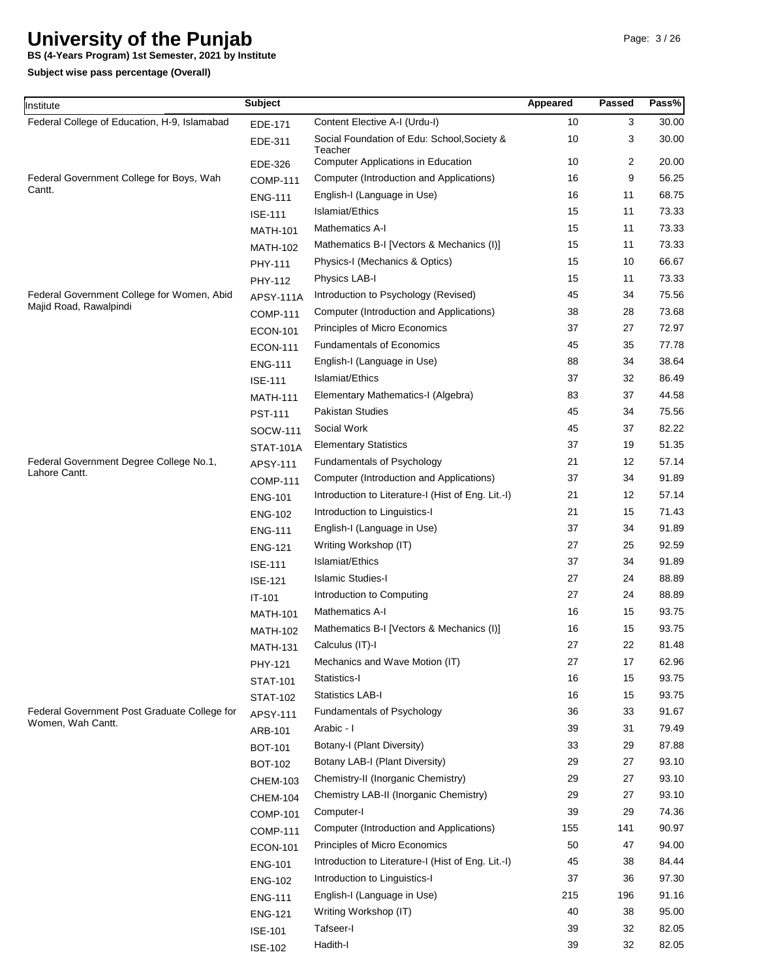**BS (4-Years Program) 1st Semester, 2021 by Institute**

| Institute                                                         | <b>Subject</b>   |                                                      | Appeared | <b>Passed</b> | Pass% |
|-------------------------------------------------------------------|------------------|------------------------------------------------------|----------|---------------|-------|
| Federal College of Education, H-9, Islamabad                      | EDE-171          | Content Elective A-I (Urdu-I)                        | 10       | 3             | 30.00 |
|                                                                   | EDE-311          | Social Foundation of Edu: School, Society &          | 10       | 3             | 30.00 |
|                                                                   | EDE-326          | Teacher<br><b>Computer Applications in Education</b> | 10       | 2             | 20.00 |
| Federal Government College for Boys, Wah                          | <b>COMP-111</b>  | Computer (Introduction and Applications)             | 16       | 9             | 56.25 |
| Cantt.                                                            | <b>ENG-111</b>   | English-I (Language in Use)                          | 16       | 11            | 68.75 |
|                                                                   | <b>ISE-111</b>   | Islamiat/Ethics                                      | 15       | 11            | 73.33 |
|                                                                   | <b>MATH-101</b>  | <b>Mathematics A-I</b>                               | 15       | 11            | 73.33 |
|                                                                   | <b>MATH-102</b>  | Mathematics B-I [Vectors & Mechanics (I)]            | 15       | 11            | 73.33 |
|                                                                   | PHY-111          | Physics-I (Mechanics & Optics)                       | 15       | 10            | 66.67 |
|                                                                   | PHY-112          | Physics LAB-I                                        | 15       | 11            | 73.33 |
| Federal Government College for Women, Abid                        | <b>APSY-111A</b> | Introduction to Psychology (Revised)                 | 45       | 34            | 75.56 |
| Majid Road, Rawalpindi                                            | <b>COMP-111</b>  | Computer (Introduction and Applications)             | 38       | 28            | 73.68 |
|                                                                   | <b>ECON-101</b>  | Principles of Micro Economics                        | 37       | 27            | 72.97 |
|                                                                   | <b>ECON-111</b>  | <b>Fundamentals of Economics</b>                     | 45       | 35            | 77.78 |
|                                                                   | <b>ENG-111</b>   | English-I (Language in Use)                          | 88       | 34            | 38.64 |
|                                                                   | <b>ISE-111</b>   | Islamiat/Ethics                                      | 37       | 32            | 86.49 |
|                                                                   | <b>MATH-111</b>  | Elementary Mathematics-I (Algebra)                   | 83       | 37            | 44.58 |
|                                                                   | <b>PST-111</b>   | <b>Pakistan Studies</b>                              | 45       | 34            | 75.56 |
|                                                                   | <b>SOCW-111</b>  | Social Work                                          | 45       | 37            | 82.22 |
|                                                                   | <b>STAT-101A</b> | <b>Elementary Statistics</b>                         | 37       | 19            | 51.35 |
| Federal Government Degree College No.1,                           | APSY-111         | Fundamentals of Psychology                           | 21       | 12            | 57.14 |
| Lahore Cantt.                                                     | <b>COMP-111</b>  | Computer (Introduction and Applications)             | 37       | 34            | 91.89 |
|                                                                   | <b>ENG-101</b>   | Introduction to Literature-I (Hist of Eng. Lit.-I)   | 21       | 12            | 57.14 |
|                                                                   | <b>ENG-102</b>   | Introduction to Linguistics-I                        | 21       | 15            | 71.43 |
|                                                                   | <b>ENG-111</b>   | English-I (Language in Use)                          | 37       | 34            | 91.89 |
|                                                                   | <b>ENG-121</b>   | Writing Workshop (IT)                                | 27       | 25            | 92.59 |
|                                                                   | <b>ISE-111</b>   | Islamiat/Ethics                                      | 37       | 34            | 91.89 |
|                                                                   | <b>ISE-121</b>   | <b>Islamic Studies-I</b>                             | 27       | 24            | 88.89 |
|                                                                   | $IT-101$         | Introduction to Computing                            | 27       | 24            | 88.89 |
|                                                                   | <b>MATH-101</b>  | <b>Mathematics A-I</b>                               | 16       | 15            | 93.75 |
|                                                                   | <b>MATH-102</b>  | Mathematics B-I [Vectors & Mechanics (I)]            | 16       | 15            | 93.75 |
|                                                                   | <b>MATH-131</b>  | Calculus (IT)-I                                      | 27       | 22            | 81.48 |
|                                                                   | PHY-121          | Mechanics and Wave Motion (IT)                       | 27       | 17            | 62.96 |
|                                                                   | <b>STAT-101</b>  | Statistics-I                                         | 16       | 15            | 93.75 |
|                                                                   | <b>STAT-102</b>  | Statistics LAB-I                                     | 16       | 15            | 93.75 |
| Federal Government Post Graduate College for<br>Women, Wah Cantt. | APSY-111         | Fundamentals of Psychology                           | 36       | 33            | 91.67 |
|                                                                   | ARB-101          | Arabic - I                                           | 39       | 31            | 79.49 |
|                                                                   | <b>BOT-101</b>   | Botany-I (Plant Diversity)                           | 33       | 29            | 87.88 |
|                                                                   | <b>BOT-102</b>   | Botany LAB-I (Plant Diversity)                       | 29       | 27            | 93.10 |
|                                                                   | <b>CHEM-103</b>  | Chemistry-II (Inorganic Chemistry)                   | 29       | 27            | 93.10 |
|                                                                   | <b>CHEM-104</b>  | Chemistry LAB-II (Inorganic Chemistry)               | 29       | 27            | 93.10 |
|                                                                   | <b>COMP-101</b>  | Computer-I                                           | 39       | 29            | 74.36 |
|                                                                   | <b>COMP-111</b>  | Computer (Introduction and Applications)             | 155      | 141           | 90.97 |
|                                                                   | <b>ECON-101</b>  | Principles of Micro Economics                        | 50       | 47            | 94.00 |
|                                                                   | <b>ENG-101</b>   | Introduction to Literature-I (Hist of Eng. Lit.-I)   | 45       | 38            | 84.44 |
|                                                                   | <b>ENG-102</b>   | Introduction to Linguistics-I                        | 37       | 36            | 97.30 |
|                                                                   | <b>ENG-111</b>   | English-I (Language in Use)                          | 215      | 196           | 91.16 |
|                                                                   | <b>ENG-121</b>   | Writing Workshop (IT)                                | 40       | 38            | 95.00 |
|                                                                   | <b>ISE-101</b>   | Tafseer-I                                            | 39       | 32            | 82.05 |
|                                                                   | <b>ISE-102</b>   | Hadith-I                                             | 39       | 32            | 82.05 |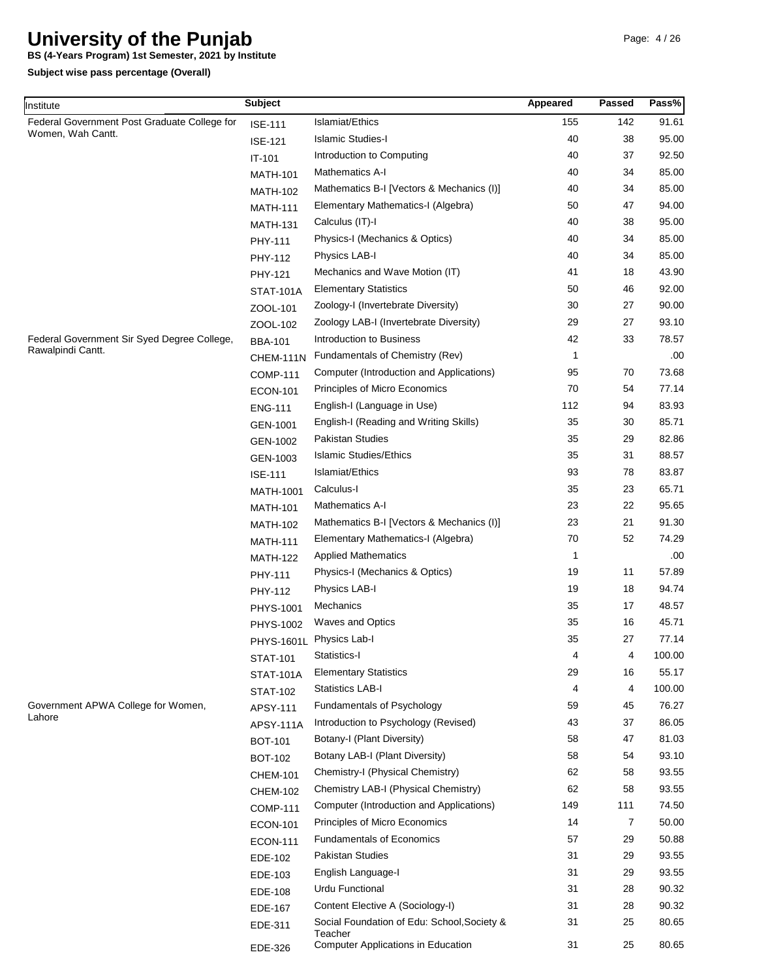**BS (4-Years Program) 1st Semester, 2021 by Institute**

| Institute                                    | <b>Subject</b>   |                                                        | Appeared | Passed         | Pass%  |
|----------------------------------------------|------------------|--------------------------------------------------------|----------|----------------|--------|
| Federal Government Post Graduate College for | <b>ISE-111</b>   | Islamiat/Ethics                                        | 155      | 142            | 91.61  |
| Women, Wah Cantt.                            | <b>ISE-121</b>   | <b>Islamic Studies-I</b>                               | 40       | 38             | 95.00  |
|                                              | IT-101           | Introduction to Computing                              | 40       | 37             | 92.50  |
|                                              | <b>MATH-101</b>  | Mathematics A-I                                        | 40       | 34             | 85.00  |
|                                              | <b>MATH-102</b>  | Mathematics B-I [Vectors & Mechanics (I)]              | 40       | 34             | 85.00  |
|                                              | <b>MATH-111</b>  | Elementary Mathematics-I (Algebra)                     | 50       | 47             | 94.00  |
|                                              | <b>MATH-131</b>  | Calculus (IT)-I                                        | 40       | 38             | 95.00  |
|                                              | PHY-111          | Physics-I (Mechanics & Optics)                         | 40       | 34             | 85.00  |
|                                              | PHY-112          | Physics LAB-I                                          | 40       | 34             | 85.00  |
|                                              | PHY-121          | Mechanics and Wave Motion (IT)                         | 41       | 18             | 43.90  |
|                                              | <b>STAT-101A</b> | <b>Elementary Statistics</b>                           | 50       | 46             | 92.00  |
|                                              | ZOOL-101         | Zoology-I (Invertebrate Diversity)                     | 30       | 27             | 90.00  |
|                                              | ZOOL-102         | Zoology LAB-I (Invertebrate Diversity)                 | 29       | 27             | 93.10  |
| Federal Government Sir Syed Degree College,  | <b>BBA-101</b>   | Introduction to Business                               | 42       | 33             | 78.57  |
| Rawalpindi Cantt.                            | CHEM-111N        | Fundamentals of Chemistry (Rev)                        | 1        |                | .00    |
|                                              | <b>COMP-111</b>  | Computer (Introduction and Applications)               | 95       | 70             | 73.68  |
|                                              | <b>ECON-101</b>  | Principles of Micro Economics                          | 70       | 54             | 77.14  |
|                                              | <b>ENG-111</b>   | English-I (Language in Use)                            | 112      | 94             | 83.93  |
|                                              | GEN-1001         | English-I (Reading and Writing Skills)                 | 35       | 30             | 85.71  |
|                                              | GEN-1002         | Pakistan Studies                                       | 35       | 29             | 82.86  |
|                                              | GEN-1003         | <b>Islamic Studies/Ethics</b>                          | 35       | 31             | 88.57  |
|                                              | <b>ISE-111</b>   | Islamiat/Ethics                                        | 93       | 78             | 83.87  |
|                                              | MATH-1001        | Calculus-I                                             | 35       | 23             | 65.71  |
|                                              | <b>MATH-101</b>  | <b>Mathematics A-I</b>                                 | 23       | 22             | 95.65  |
|                                              | <b>MATH-102</b>  | Mathematics B-I [Vectors & Mechanics (I)]              | 23       | 21             | 91.30  |
|                                              | <b>MATH-111</b>  | Elementary Mathematics-I (Algebra)                     | 70       | 52             | 74.29  |
|                                              | <b>MATH-122</b>  | <b>Applied Mathematics</b>                             | 1        |                | .00    |
|                                              | PHY-111          | Physics-I (Mechanics & Optics)                         | 19       | 11             | 57.89  |
|                                              | PHY-112          | Physics LAB-I                                          | 19       | 18             | 94.74  |
|                                              | PHYS-1001        | Mechanics                                              | 35       | 17             | 48.57  |
|                                              | PHYS-1002        | <b>Waves and Optics</b>                                | 35       | 16             | 45.71  |
|                                              |                  | PHYS-1601L Physics Lab-I                               | 35       | 27             | 77.14  |
|                                              | <b>STAT-101</b>  | Statistics-I                                           | 4        | 4              | 100.00 |
|                                              | <b>STAT-101A</b> | <b>Elementary Statistics</b>                           | 29       | 16             | 55.17  |
|                                              | <b>STAT-102</b>  | <b>Statistics LAB-I</b>                                | 4        | 4              | 100.00 |
| Government APWA College for Women,           | APSY-111         | Fundamentals of Psychology                             | 59       | 45             | 76.27  |
| Lahore                                       | <b>APSY-111A</b> | Introduction to Psychology (Revised)                   | 43       | 37             | 86.05  |
|                                              | <b>BOT-101</b>   | Botany-I (Plant Diversity)                             | 58       | 47             | 81.03  |
|                                              | <b>BOT-102</b>   | Botany LAB-I (Plant Diversity)                         | 58       | 54             | 93.10  |
|                                              | <b>CHEM-101</b>  | Chemistry-I (Physical Chemistry)                       | 62       | 58             | 93.55  |
|                                              | <b>CHEM-102</b>  | Chemistry LAB-I (Physical Chemistry)                   | 62       | 58             | 93.55  |
|                                              | <b>COMP-111</b>  | Computer (Introduction and Applications)               | 149      | 111            | 74.50  |
|                                              | <b>ECON-101</b>  | Principles of Micro Economics                          | 14       | $\overline{7}$ | 50.00  |
|                                              | <b>ECON-111</b>  | <b>Fundamentals of Economics</b>                       | 57       | 29             | 50.88  |
|                                              | EDE-102          | Pakistan Studies                                       | 31       | 29             | 93.55  |
|                                              | EDE-103          | English Language-I                                     | 31       | 29             | 93.55  |
|                                              | EDE-108          | Urdu Functional                                        | 31       | 28             | 90.32  |
|                                              | EDE-167          | Content Elective A (Sociology-I)                       | 31       | 28             | 90.32  |
|                                              | EDE-311          | Social Foundation of Edu: School, Society &<br>Teacher | 31       | 25             | 80.65  |
|                                              | EDE-326          | Computer Applications in Education                     | 31       | 25             | 80.65  |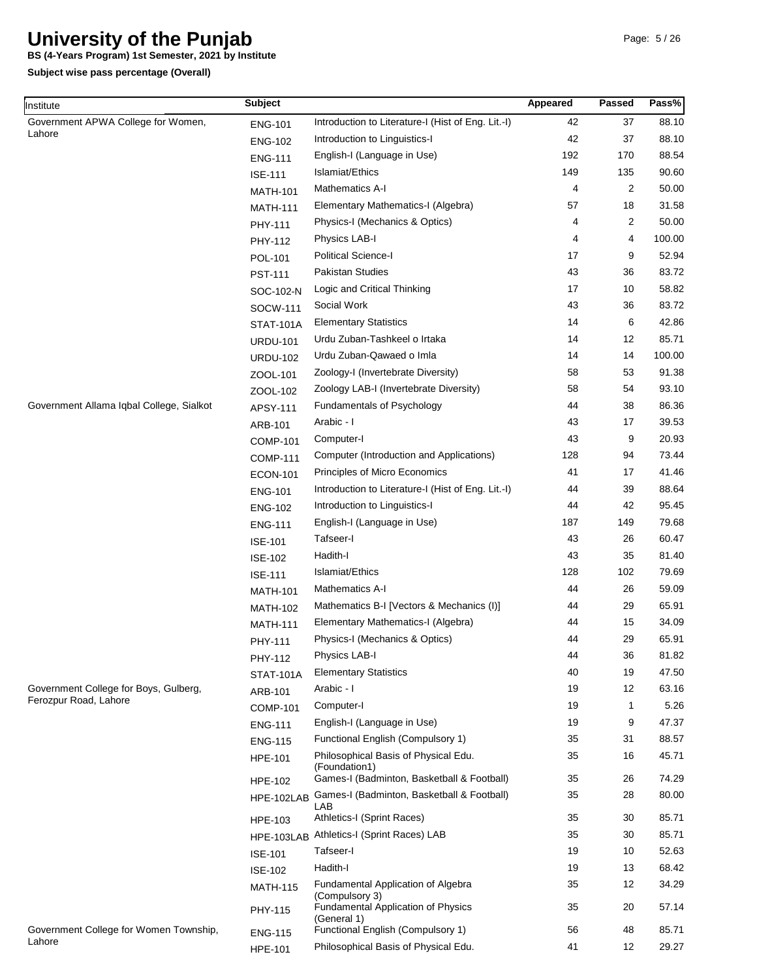**BS (4-Years Program) 1st Semester, 2021 by Institute**

| Institute                                                      | <b>Subject</b>   |                                                          | Appeared | Passed      | Pass%  |
|----------------------------------------------------------------|------------------|----------------------------------------------------------|----------|-------------|--------|
| Government APWA College for Women,                             | <b>ENG-101</b>   | Introduction to Literature-I (Hist of Eng. Lit.-I)       | 42       | 37          | 88.10  |
| Lahore                                                         | <b>ENG-102</b>   | Introduction to Linguistics-I                            | 42       | 37          | 88.10  |
|                                                                | <b>ENG-111</b>   | English-I (Language in Use)                              | 192      | 170         | 88.54  |
|                                                                | <b>ISE-111</b>   | Islamiat/Ethics                                          | 149      | 135         | 90.60  |
|                                                                | <b>MATH-101</b>  | <b>Mathematics A-I</b>                                   | 4        | 2           | 50.00  |
|                                                                | <b>MATH-111</b>  | Elementary Mathematics-I (Algebra)                       | 57       | 18          | 31.58  |
|                                                                | PHY-111          | Physics-I (Mechanics & Optics)                           | 4        | 2           | 50.00  |
|                                                                | PHY-112          | Physics LAB-I                                            | 4        | 4           | 100.00 |
|                                                                | <b>POL-101</b>   | <b>Political Science-I</b>                               | 17       | 9           | 52.94  |
|                                                                | <b>PST-111</b>   | Pakistan Studies                                         | 43       | 36          | 83.72  |
|                                                                | SOC-102-N        | Logic and Critical Thinking                              | 17       | 10          | 58.82  |
|                                                                | SOCW-111         | Social Work                                              | 43       | 36          | 83.72  |
|                                                                | <b>STAT-101A</b> | <b>Elementary Statistics</b>                             | 14       | 6           | 42.86  |
|                                                                | <b>URDU-101</b>  | Urdu Zuban-Tashkeel o Irtaka                             | 14       | 12          | 85.71  |
|                                                                | <b>URDU-102</b>  | Urdu Zuban-Qawaed o Imla                                 | 14       | 14          | 100.00 |
|                                                                | ZOOL-101         | Zoology-I (Invertebrate Diversity)                       | 58       | 53          | 91.38  |
|                                                                | ZOOL-102         | Zoology LAB-I (Invertebrate Diversity)                   | 58       | 54          | 93.10  |
| Government Allama Iqbal College, Sialkot                       | APSY-111         | Fundamentals of Psychology                               | 44       | 38          | 86.36  |
|                                                                | ARB-101          | Arabic - I                                               | 43       | 17          | 39.53  |
|                                                                | <b>COMP-101</b>  | Computer-I                                               | 43       | 9           | 20.93  |
|                                                                | <b>COMP-111</b>  | Computer (Introduction and Applications)                 | 128      | 94          | 73.44  |
|                                                                | <b>ECON-101</b>  | Principles of Micro Economics                            | 41       | 17          | 41.46  |
|                                                                | <b>ENG-101</b>   | Introduction to Literature-I (Hist of Eng. Lit.-I)       | 44       | 39          | 88.64  |
|                                                                | <b>ENG-102</b>   | Introduction to Linguistics-I                            | 44       | 42          | 95.45  |
|                                                                | <b>ENG-111</b>   | English-I (Language in Use)                              | 187      | 149         | 79.68  |
|                                                                | <b>ISE-101</b>   | Tafseer-I                                                | 43       | 26          | 60.47  |
|                                                                | <b>ISE-102</b>   | Hadith-I                                                 | 43       | 35          | 81.40  |
|                                                                | <b>ISE-111</b>   | Islamiat/Ethics                                          | 128      | 102         | 79.69  |
|                                                                | <b>MATH-101</b>  | Mathematics A-I                                          | 44       | 26          | 59.09  |
|                                                                | <b>MATH-102</b>  | Mathematics B-I [Vectors & Mechanics (I)]                | 44       | 29          | 65.91  |
|                                                                | <b>MATH-111</b>  | Elementary Mathematics-I (Algebra)                       | 44       | 15          | 34.09  |
|                                                                | PHY-111          | Physics-I (Mechanics & Optics)                           | 44       | 29          | 65.91  |
|                                                                | PHY-112          | Physics LAB-I                                            | 44       | 36          | 81.82  |
|                                                                | <b>STAT-101A</b> | <b>Elementary Statistics</b>                             | 40       | 19          | 47.50  |
| Government College for Boys, Gulberg,<br>Ferozpur Road, Lahore | ARB-101          | Arabic - I                                               | 19       | 12          | 63.16  |
|                                                                | <b>COMP-101</b>  | Computer-I                                               | 19       | $\mathbf 1$ | 5.26   |
|                                                                | <b>ENG-111</b>   | English-I (Language in Use)                              | 19       | 9           | 47.37  |
|                                                                | <b>ENG-115</b>   | Functional English (Compulsory 1)                        | 35       | 31          | 88.57  |
|                                                                | <b>HPE-101</b>   | Philosophical Basis of Physical Edu.<br>(Foundation1)    | 35       | 16          | 45.71  |
|                                                                | <b>HPE-102</b>   | Games-I (Badminton, Basketball & Football)               | 35       | 26          | 74.29  |
|                                                                | HPE-102LAB       | Games-I (Badminton, Basketball & Football)<br>LAB        | 35       | 28          | 80.00  |
|                                                                | HPE-103          | Athletics-I (Sprint Races)                               | 35       | 30          | 85.71  |
|                                                                |                  | HPE-103LAB Athletics-I (Sprint Races) LAB                | 35       | 30          | 85.71  |
|                                                                | <b>ISE-101</b>   | Tafseer-l                                                | 19       | 10          | 52.63  |
|                                                                | <b>ISE-102</b>   | Hadith-I                                                 | 19       | 13          | 68.42  |
|                                                                | <b>MATH-115</b>  | Fundamental Application of Algebra<br>(Compulsory 3)     | 35       | 12          | 34.29  |
|                                                                | PHY-115          | <b>Fundamental Application of Physics</b><br>(General 1) | 35       | 20          | 57.14  |
| Government College for Women Township,<br>Lahore               | <b>ENG-115</b>   | Functional English (Compulsory 1)                        | 56       | 48          | 85.71  |
|                                                                | <b>HPE-101</b>   | Philosophical Basis of Physical Edu.                     | 41       | 12          | 29.27  |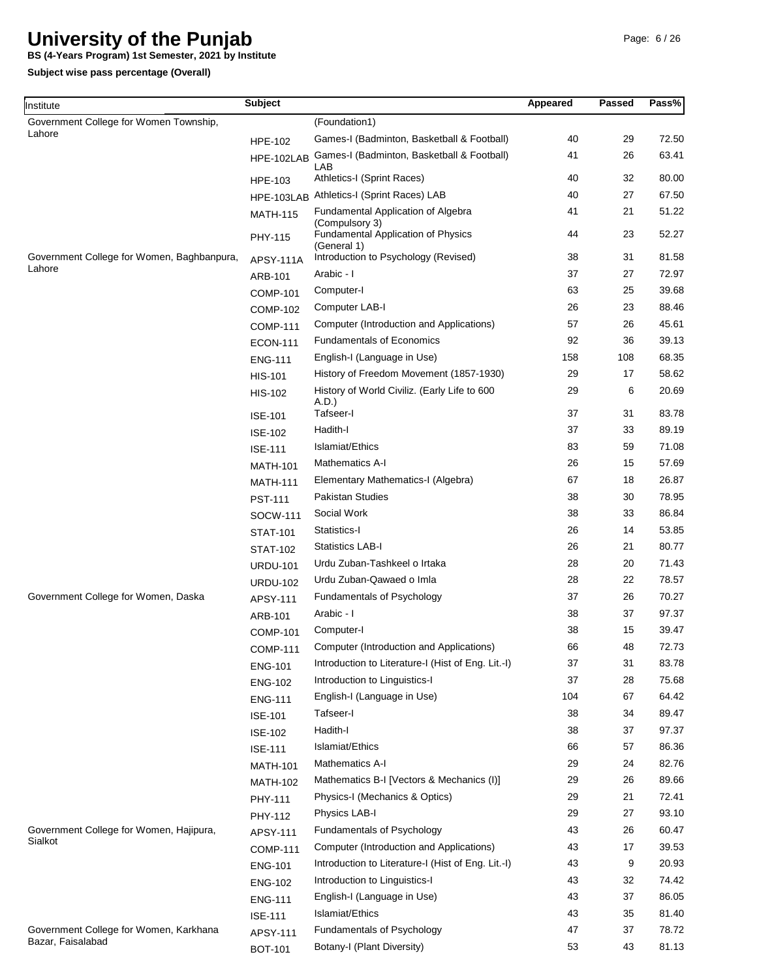**BS (4-Years Program) 1st Semester, 2021 by Institute**

| Institute                                                   | <b>Subject</b>   |                                                                            | Appeared | <b>Passed</b> | Pass% |
|-------------------------------------------------------------|------------------|----------------------------------------------------------------------------|----------|---------------|-------|
| Government College for Women Township,                      |                  | (Foundation1)                                                              |          |               |       |
| Lahore                                                      | <b>HPE-102</b>   | Games-I (Badminton, Basketball & Football)                                 | 40       | 29            | 72.50 |
|                                                             | HPE-102LAB       | Games-I (Badminton, Basketball & Football)                                 | 41       | 26            | 63.41 |
|                                                             | <b>HPE-103</b>   | LAB<br>Athletics-I (Sprint Races)                                          | 40       | 32            | 80.00 |
|                                                             | HPE-103LAB       | Athletics-I (Sprint Races) LAB                                             | 40       | 27            | 67.50 |
|                                                             | <b>MATH-115</b>  | Fundamental Application of Algebra                                         | 41       | 21            | 51.22 |
|                                                             | PHY-115          | (Compulsory 3)<br><b>Fundamental Application of Physics</b><br>(General 1) | 44       | 23            | 52.27 |
| Government College for Women, Baghbanpura,                  | <b>APSY-111A</b> | Introduction to Psychology (Revised)                                       | 38       | 31            | 81.58 |
| Lahore                                                      | ARB-101          | Arabic - I                                                                 | 37       | 27            | 72.97 |
|                                                             | <b>COMP-101</b>  | Computer-I                                                                 | 63       | 25            | 39.68 |
|                                                             | <b>COMP-102</b>  | Computer LAB-I                                                             | 26       | 23            | 88.46 |
|                                                             | <b>COMP-111</b>  | Computer (Introduction and Applications)                                   | 57       | 26            | 45.61 |
|                                                             | <b>ECON-111</b>  | <b>Fundamentals of Economics</b>                                           | 92       | 36            | 39.13 |
|                                                             | <b>ENG-111</b>   | English-I (Language in Use)                                                | 158      | 108           | 68.35 |
|                                                             | <b>HIS-101</b>   | History of Freedom Movement (1857-1930)                                    | 29       | 17            | 58.62 |
|                                                             | <b>HIS-102</b>   | History of World Civiliz. (Early Life to 600<br>A.D.)                      | 29       | 6             | 20.69 |
|                                                             | <b>ISE-101</b>   | Tafseer-I                                                                  | 37       | 31            | 83.78 |
|                                                             | <b>ISE-102</b>   | Hadith-I                                                                   | 37       | 33            | 89.19 |
|                                                             | <b>ISE-111</b>   | Islamiat/Ethics                                                            | 83       | 59            | 71.08 |
|                                                             | <b>MATH-101</b>  | Mathematics A-I                                                            | 26       | 15            | 57.69 |
|                                                             | <b>MATH-111</b>  | Elementary Mathematics-I (Algebra)                                         | 67       | 18            | 26.87 |
|                                                             | <b>PST-111</b>   | <b>Pakistan Studies</b>                                                    | 38       | 30            | 78.95 |
|                                                             | SOCW-111         | Social Work                                                                | 38       | 33            | 86.84 |
|                                                             | <b>STAT-101</b>  | Statistics-I                                                               | 26       | 14            | 53.85 |
|                                                             | <b>STAT-102</b>  | <b>Statistics LAB-I</b>                                                    | 26       | 21            | 80.77 |
|                                                             | <b>URDU-101</b>  | Urdu Zuban-Tashkeel o Irtaka                                               | 28       | 20            | 71.43 |
|                                                             | <b>URDU-102</b>  | Urdu Zuban-Qawaed o Imla                                                   | 28       | 22            | 78.57 |
| Government College for Women, Daska                         | <b>APSY-111</b>  | Fundamentals of Psychology                                                 | 37       | 26            | 70.27 |
|                                                             | ARB-101          | Arabic - I                                                                 | 38       | 37            | 97.37 |
|                                                             | <b>COMP-101</b>  | Computer-I                                                                 | 38       | 15            | 39.47 |
|                                                             | <b>COMP-111</b>  | Computer (Introduction and Applications)                                   | 66       | 48            | 72.73 |
|                                                             | <b>ENG-101</b>   | Introduction to Literature-I (Hist of Eng. Lit.-I)                         | 37       | 31            | 83.78 |
|                                                             | <b>ENG-102</b>   | Introduction to Linguistics-I                                              | 37       | 28            | 75.68 |
|                                                             | <b>ENG-111</b>   | English-I (Language in Use)                                                | 104      | 67            | 64.42 |
|                                                             | <b>ISE-101</b>   | Tafseer-I                                                                  | 38       | 34            | 89.47 |
|                                                             | <b>ISE-102</b>   | Hadith-I                                                                   | 38       | 37            | 97.37 |
|                                                             | <b>ISE-111</b>   | Islamiat/Ethics                                                            | 66       | 57            | 86.36 |
|                                                             | <b>MATH-101</b>  | Mathematics A-I                                                            | 29       | 24            | 82.76 |
|                                                             | <b>MATH-102</b>  | Mathematics B-I [Vectors & Mechanics (I)]                                  | 29       | 26            | 89.66 |
|                                                             | PHY-111          | Physics-I (Mechanics & Optics)                                             | 29       | 21            | 72.41 |
|                                                             | PHY-112          | Physics LAB-I                                                              | 29       | 27            | 93.10 |
| Government College for Women, Hajipura,<br>Sialkot          | APSY-111         | Fundamentals of Psychology                                                 | 43       | 26            | 60.47 |
|                                                             | <b>COMP-111</b>  | Computer (Introduction and Applications)                                   | 43       | 17            | 39.53 |
|                                                             | <b>ENG-101</b>   | Introduction to Literature-I (Hist of Eng. Lit.-I)                         | 43       | 9             | 20.93 |
|                                                             | <b>ENG-102</b>   | Introduction to Linguistics-I                                              | 43       | 32            | 74.42 |
|                                                             | <b>ENG-111</b>   | English-I (Language in Use)                                                | 43       | 37            | 86.05 |
|                                                             | <b>ISE-111</b>   | Islamiat/Ethics                                                            | 43       | 35            | 81.40 |
| Government College for Women, Karkhana<br>Bazar, Faisalabad | APSY-111         | Fundamentals of Psychology                                                 | 47       | 37            | 78.72 |
|                                                             | <b>BOT-101</b>   | Botany-I (Plant Diversity)                                                 | 53       | 43            | 81.13 |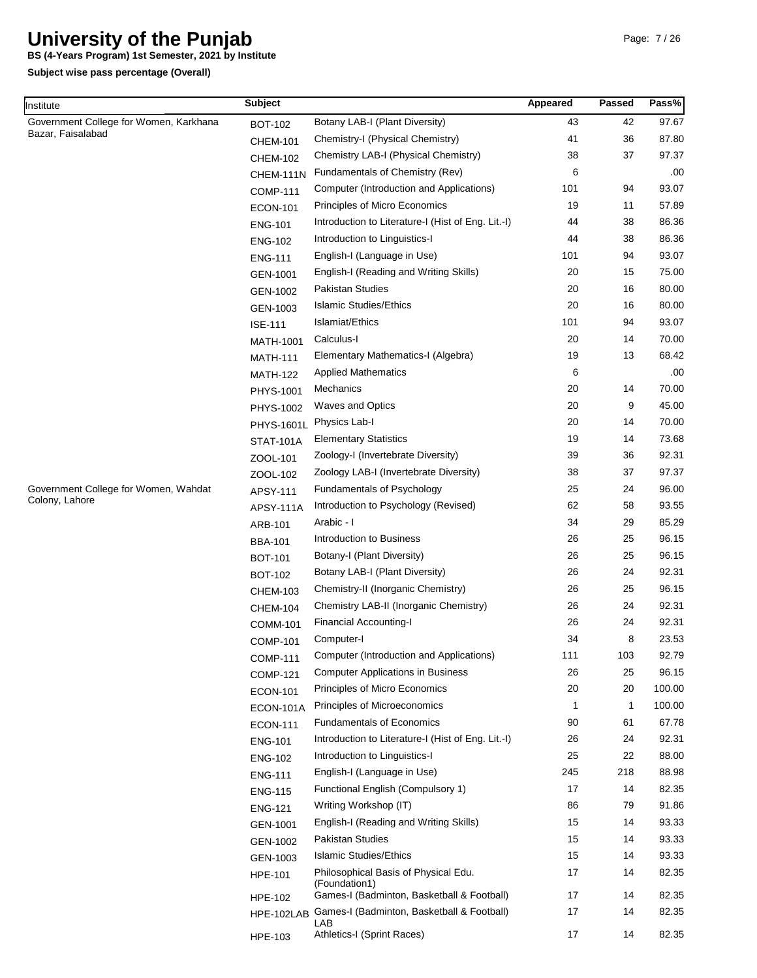**BS (4-Years Program) 1st Semester, 2021 by Institute**

**Subject wise pass percentage (Overall)**

Institute

| nstitute                               | <b>Subject</b>   |                                                       | Appeared | Passed       | Pass%  |
|----------------------------------------|------------------|-------------------------------------------------------|----------|--------------|--------|
| Government College for Women, Karkhana | <b>BOT-102</b>   | Botany LAB-I (Plant Diversity)                        | 43       | 42           | 97.67  |
| Bazar, Faisalabad                      | <b>CHEM-101</b>  | Chemistry-I (Physical Chemistry)                      | 41       | 36           | 87.80  |
|                                        | <b>CHEM-102</b>  | Chemistry LAB-I (Physical Chemistry)                  | 38       | 37           | 97.37  |
|                                        | CHEM-111N        | Fundamentals of Chemistry (Rev)                       | 6        |              | .00    |
|                                        | <b>COMP-111</b>  | Computer (Introduction and Applications)              | 101      | 94           | 93.07  |
|                                        | <b>ECON-101</b>  | Principles of Micro Economics                         | 19       | 11           | 57.89  |
|                                        | <b>ENG-101</b>   | Introduction to Literature-I (Hist of Eng. Lit.-I)    | 44       | 38           | 86.36  |
|                                        | <b>ENG-102</b>   | Introduction to Linguistics-I                         | 44       | 38           | 86.36  |
|                                        | <b>ENG-111</b>   | English-I (Language in Use)                           | 101      | 94           | 93.07  |
|                                        | GEN-1001         | English-I (Reading and Writing Skills)                | 20       | 15           | 75.00  |
|                                        | GEN-1002         | <b>Pakistan Studies</b>                               | 20       | 16           | 80.00  |
|                                        | GEN-1003         | <b>Islamic Studies/Ethics</b>                         | 20       | 16           | 80.00  |
|                                        | <b>ISE-111</b>   | Islamiat/Ethics                                       | 101      | 94           | 93.07  |
|                                        | MATH-1001        | Calculus-I                                            | 20       | 14           | 70.00  |
|                                        | <b>MATH-111</b>  | Elementary Mathematics-I (Algebra)                    | 19       | 13           | 68.42  |
|                                        | <b>MATH-122</b>  | <b>Applied Mathematics</b>                            | 6        |              | .00    |
|                                        | PHYS-1001        | Mechanics                                             | 20       | 14           | 70.00  |
|                                        | PHYS-1002        | Waves and Optics                                      | 20       | 9            | 45.00  |
|                                        | PHYS-1601L       | Physics Lab-I                                         | 20       | 14           | 70.00  |
|                                        | <b>STAT-101A</b> | <b>Elementary Statistics</b>                          | 19       | 14           | 73.68  |
|                                        | ZOOL-101         | Zoology-I (Invertebrate Diversity)                    | 39       | 36           | 92.31  |
|                                        | ZOOL-102         | Zoology LAB-I (Invertebrate Diversity)                | 38       | 37           | 97.37  |
| Government College for Women, Wahdat   | APSY-111         | Fundamentals of Psychology                            | 25       | 24           | 96.00  |
| Colony, Lahore                         | <b>APSY-111A</b> | Introduction to Psychology (Revised)                  | 62       | 58           | 93.55  |
|                                        | ARB-101          | Arabic - I                                            | 34       | 29           | 85.29  |
|                                        | <b>BBA-101</b>   | Introduction to Business                              | 26       | 25           | 96.15  |
|                                        | <b>BOT-101</b>   | Botany-I (Plant Diversity)                            | 26       | 25           | 96.15  |
|                                        | <b>BOT-102</b>   | Botany LAB-I (Plant Diversity)                        | 26       | 24           | 92.31  |
|                                        | <b>CHEM-103</b>  | Chemistry-II (Inorganic Chemistry)                    | 26       | 25           | 96.15  |
|                                        | <b>CHEM-104</b>  | Chemistry LAB-II (Inorganic Chemistry)                | 26       | 24           | 92.31  |
|                                        | <b>COMM-101</b>  | <b>Financial Accounting-I</b>                         | 26       | 24           | 92.31  |
|                                        | <b>COMP-101</b>  | Computer-I                                            | 34       | 8            | 23.53  |
|                                        | <b>COMP-111</b>  | Computer (Introduction and Applications)              | 111      | 103          | 92.79  |
|                                        | <b>COMP-121</b>  | <b>Computer Applications in Business</b>              | 26       | 25           | 96.15  |
|                                        | <b>ECON-101</b>  | Principles of Micro Economics                         | 20       | 20           | 100.00 |
|                                        | ECON-101A        | Principles of Microeconomics                          | 1        | $\mathbf{1}$ | 100.00 |
|                                        | <b>ECON-111</b>  | <b>Fundamentals of Economics</b>                      | 90       | 61           | 67.78  |
|                                        | <b>ENG-101</b>   | Introduction to Literature-I (Hist of Eng. Lit.-I)    | 26       | 24           | 92.31  |
|                                        | <b>ENG-102</b>   | Introduction to Linguistics-I                         | 25       | 22           | 88.00  |
|                                        | <b>ENG-111</b>   | English-I (Language in Use)                           | 245      | 218          | 88.98  |
|                                        | <b>ENG-115</b>   | Functional English (Compulsory 1)                     | 17       | 14           | 82.35  |
|                                        | <b>ENG-121</b>   | Writing Workshop (IT)                                 | 86       | 79           | 91.86  |
|                                        | GEN-1001         | English-I (Reading and Writing Skills)                | 15       | 14           | 93.33  |
|                                        | GEN-1002         | Pakistan Studies                                      | 15       | 14           | 93.33  |
|                                        | GEN-1003         | <b>Islamic Studies/Ethics</b>                         | 15       | 14           | 93.33  |
|                                        | <b>HPE-101</b>   | Philosophical Basis of Physical Edu.<br>(Foundation1) | 17       | 14           | 82.35  |
|                                        | <b>HPE-102</b>   | Games-I (Badminton, Basketball & Football)            | 17       | 14           | 82.35  |
|                                        | HPE-102LAB       | Games-I (Badminton, Basketball & Football)<br>LAB     | 17       | 14           | 82.35  |
|                                        | HPE-103          | Athletics-I (Sprint Races)                            | 17       | 14           | 82.35  |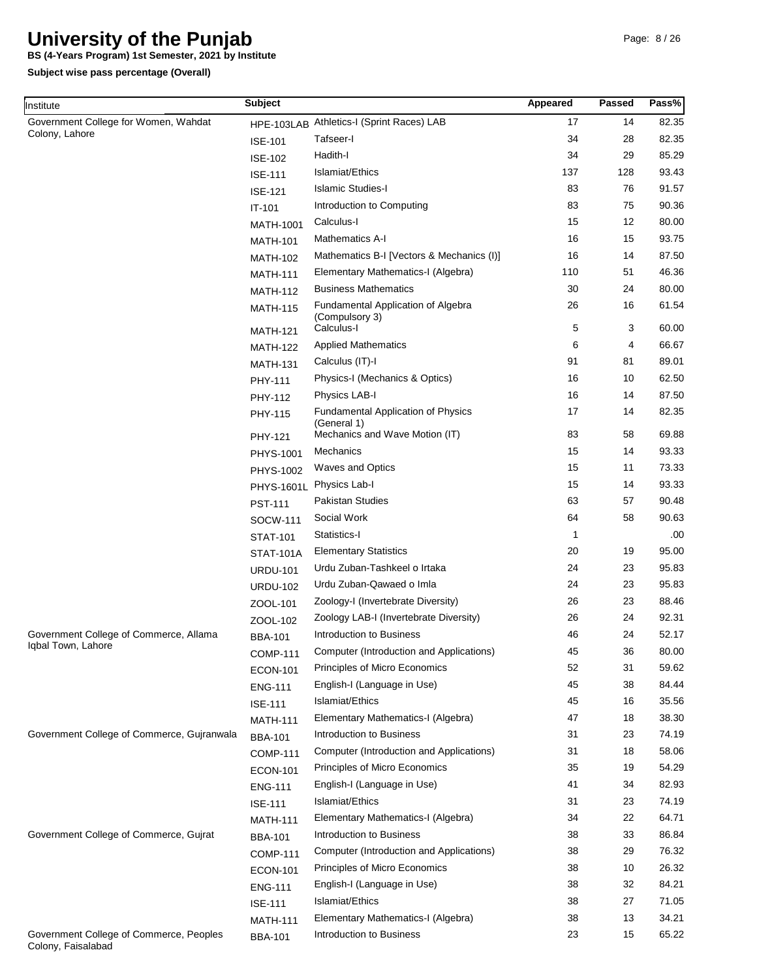**BS (4-Years Program) 1st Semester, 2021 by Institute**

| Institute                                                     | <b>Subject</b>                    |                                                                                            | Appeared | <b>Passed</b> | Pass%          |
|---------------------------------------------------------------|-----------------------------------|--------------------------------------------------------------------------------------------|----------|---------------|----------------|
| Government College for Women, Wahdat                          |                                   | HPE-103LAB Athletics-I (Sprint Races) LAB                                                  | 17       | 14            | 82.35          |
| Colony, Lahore                                                | <b>ISE-101</b>                    | Tafseer-I                                                                                  | 34       | 28            | 82.35          |
|                                                               | <b>ISE-102</b>                    | Hadith-I                                                                                   | 34       | 29            | 85.29          |
|                                                               | <b>ISE-111</b>                    | Islamiat/Ethics                                                                            | 137      | 128           | 93.43          |
|                                                               | <b>ISE-121</b>                    | <b>Islamic Studies-I</b>                                                                   | 83       | 76            | 91.57          |
|                                                               | IT-101                            | Introduction to Computing                                                                  | 83       | 75            | 90.36          |
|                                                               | MATH-1001                         | Calculus-I                                                                                 | 15       | 12            | 80.00          |
|                                                               | <b>MATH-101</b>                   | <b>Mathematics A-I</b>                                                                     | 16       | 15            | 93.75          |
|                                                               | <b>MATH-102</b>                   | Mathematics B-I [Vectors & Mechanics (I)]                                                  | 16       | 14            | 87.50          |
|                                                               | <b>MATH-111</b>                   | Elementary Mathematics-I (Algebra)                                                         | 110      | 51            | 46.36          |
|                                                               | <b>MATH-112</b>                   | <b>Business Mathematics</b>                                                                | 30       | 24            | 80.00          |
|                                                               | <b>MATH-115</b>                   | Fundamental Application of Algebra<br>(Compulsory 3)                                       | 26       | 16            | 61.54          |
|                                                               | <b>MATH-121</b>                   | Calculus-I                                                                                 | 5        | 3             | 60.00          |
|                                                               | <b>MATH-122</b>                   | <b>Applied Mathematics</b>                                                                 | 6        | 4             | 66.67          |
|                                                               | <b>MATH-131</b>                   | Calculus (IT)-I                                                                            | 91       | 81            | 89.01          |
|                                                               | PHY-111                           | Physics-I (Mechanics & Optics)                                                             | 16       | 10            | 62.50          |
|                                                               | PHY-112                           | Physics LAB-I                                                                              | 16       | 14            | 87.50          |
|                                                               | PHY-115                           | <b>Fundamental Application of Physics</b><br>(General 1)<br>Mechanics and Wave Motion (IT) | 17<br>83 | 14<br>58      | 82.35<br>69.88 |
|                                                               | PHY-121                           | Mechanics                                                                                  | 15       | 14            | 93.33          |
|                                                               | <b>PHYS-1001</b>                  | <b>Waves and Optics</b>                                                                    | 15       | 11            | 73.33          |
|                                                               | PHYS-1002                         | Physics Lab-I                                                                              | 15       | 14            | 93.33          |
|                                                               | <b>PHYS-1601L</b>                 | <b>Pakistan Studies</b>                                                                    | 63       | 57            | 90.48          |
|                                                               | <b>PST-111</b>                    | Social Work                                                                                | 64       | 58            | 90.63          |
|                                                               | <b>SOCW-111</b>                   | Statistics-I                                                                               | 1        |               | .00            |
|                                                               | <b>STAT-101</b>                   | <b>Elementary Statistics</b>                                                               | 20       | 19            | 95.00          |
|                                                               | <b>STAT-101A</b>                  | Urdu Zuban-Tashkeel o Irtaka                                                               | 24       | 23            | 95.83          |
|                                                               | <b>URDU-101</b>                   | Urdu Zuban-Qawaed o Imla                                                                   | 24       | 23            | 95.83          |
|                                                               | <b>URDU-102</b>                   | Zoology-I (Invertebrate Diversity)                                                         | 26       | 23            | 88.46          |
|                                                               | ZOOL-101                          | Zoology LAB-I (Invertebrate Diversity)                                                     | 26       | 24            | 92.31          |
| Government College of Commerce, Allama                        | ZOOL-102                          | Introduction to Business                                                                   | 46       | 24            | 52.17          |
| Iqbal Town, Lahore                                            | <b>BBA-101</b>                    | <b>Computer (Introduction and Applications)</b>                                            | 45       | 36            | 80.00          |
|                                                               | <b>COMP-111</b>                   | Principles of Micro Economics                                                              | 52       | 31            | 59.62          |
|                                                               | <b>ECON-101</b>                   | English-I (Language in Use)                                                                | 45       | 38            | 84.44          |
|                                                               | <b>ENG-111</b>                    | Islamiat/Ethics                                                                            | 45       | 16            | 35.56          |
|                                                               | <b>ISE-111</b>                    | Elementary Mathematics-I (Algebra)                                                         | 47       | 18            | 38.30          |
| Government College of Commerce, Gujranwala                    | <b>MATH-111</b>                   | Introduction to Business                                                                   | 31       | 23            | 74.19          |
|                                                               | <b>BBA-101</b>                    | Computer (Introduction and Applications)                                                   | 31       | 18            | 58.06          |
|                                                               | <b>COMP-111</b>                   | Principles of Micro Economics                                                              | 35       | 19            | 54.29          |
|                                                               | <b>ECON-101</b>                   | English-I (Language in Use)                                                                | 41       | 34            | 82.93          |
|                                                               | <b>ENG-111</b><br><b>ISE-111</b>  | Islamiat/Ethics                                                                            | 31       | 23            | 74.19          |
|                                                               |                                   | Elementary Mathematics-I (Algebra)                                                         | 34       | 22            | 64.71          |
| Government College of Commerce, Gujrat                        | <b>MATH-111</b><br><b>BBA-101</b> | Introduction to Business                                                                   | 38       | 33            | 86.84          |
|                                                               | <b>COMP-111</b>                   | Computer (Introduction and Applications)                                                   | 38       | 29            | 76.32          |
|                                                               |                                   | Principles of Micro Economics                                                              | 38       | 10            | 26.32          |
|                                                               | <b>ECON-101</b>                   | English-I (Language in Use)                                                                | 38       | 32            | 84.21          |
|                                                               | <b>ENG-111</b>                    | Islamiat/Ethics                                                                            | 38       | 27            | 71.05          |
|                                                               | <b>ISE-111</b>                    | Elementary Mathematics-I (Algebra)                                                         | 38       | 13            | 34.21          |
| Government College of Commerce, Peoples<br>Colony, Faisalabad | <b>MATH-111</b><br><b>BBA-101</b> | Introduction to Business                                                                   | 23       | 15            | 65.22          |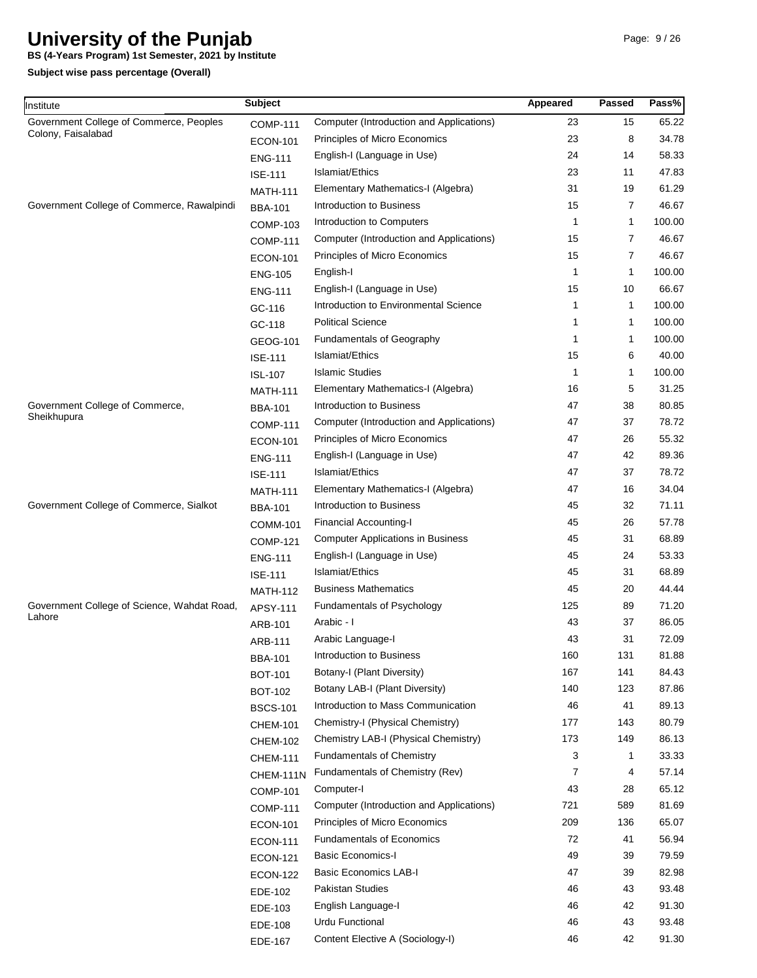**BS (4-Years Program) 1st Semester, 2021 by Institute**

| Institute                                   | <b>Subject</b>  |                                          | Appeared    | Passed         | Pass%  |
|---------------------------------------------|-----------------|------------------------------------------|-------------|----------------|--------|
| Government College of Commerce, Peoples     | <b>COMP-111</b> | Computer (Introduction and Applications) | 23          | 15             | 65.22  |
| Colony, Faisalabad                          | <b>ECON-101</b> | Principles of Micro Economics            | 23          | 8              | 34.78  |
|                                             | <b>ENG-111</b>  | English-I (Language in Use)              | 24          | 14             | 58.33  |
|                                             | <b>ISE-111</b>  | Islamiat/Ethics                          | 23          | 11             | 47.83  |
|                                             | <b>MATH-111</b> | Elementary Mathematics-I (Algebra)       | 31          | 19             | 61.29  |
| Government College of Commerce, Rawalpindi  | <b>BBA-101</b>  | Introduction to Business                 | 15          | 7              | 46.67  |
|                                             | <b>COMP-103</b> | Introduction to Computers                | $\mathbf 1$ | 1              | 100.00 |
|                                             | <b>COMP-111</b> | Computer (Introduction and Applications) | 15          | $\overline{7}$ | 46.67  |
|                                             | <b>ECON-101</b> | Principles of Micro Economics            | 15          | 7              | 46.67  |
|                                             | <b>ENG-105</b>  | English-I                                | $\mathbf 1$ | 1              | 100.00 |
|                                             | <b>ENG-111</b>  | English-I (Language in Use)              | 15          | 10             | 66.67  |
|                                             | GC-116          | Introduction to Environmental Science    | 1           | 1              | 100.00 |
|                                             | GC-118          | <b>Political Science</b>                 | 1           | 1              | 100.00 |
|                                             | GEOG-101        | <b>Fundamentals of Geography</b>         | $\mathbf 1$ | $\mathbf 1$    | 100.00 |
|                                             | <b>ISE-111</b>  | Islamiat/Ethics                          | 15          | 6              | 40.00  |
|                                             | <b>ISL-107</b>  | <b>Islamic Studies</b>                   | $\mathbf 1$ | 1              | 100.00 |
|                                             | <b>MATH-111</b> | Elementary Mathematics-I (Algebra)       | 16          | 5              | 31.25  |
| Government College of Commerce,             | <b>BBA-101</b>  | Introduction to Business                 | 47          | 38             | 80.85  |
| Sheikhupura                                 | <b>COMP-111</b> | Computer (Introduction and Applications) | 47          | 37             | 78.72  |
|                                             | <b>ECON-101</b> | Principles of Micro Economics            | 47          | 26             | 55.32  |
|                                             | <b>ENG-111</b>  | English-I (Language in Use)              | 47          | 42             | 89.36  |
|                                             | <b>ISE-111</b>  | Islamiat/Ethics                          | 47          | 37             | 78.72  |
|                                             | <b>MATH-111</b> | Elementary Mathematics-I (Algebra)       | 47          | 16             | 34.04  |
| Government College of Commerce, Sialkot     | <b>BBA-101</b>  | Introduction to Business                 | 45          | 32             | 71.11  |
|                                             | <b>COMM-101</b> | <b>Financial Accounting-I</b>            | 45          | 26             | 57.78  |
|                                             | <b>COMP-121</b> | <b>Computer Applications in Business</b> | 45          | 31             | 68.89  |
|                                             | <b>ENG-111</b>  | English-I (Language in Use)              | 45          | 24             | 53.33  |
|                                             | <b>ISE-111</b>  | Islamiat/Ethics                          | 45          | 31             | 68.89  |
|                                             | <b>MATH-112</b> | <b>Business Mathematics</b>              | 45          | 20             | 44.44  |
| Government College of Science, Wahdat Road, | APSY-111        | Fundamentals of Psychology               | 125         | 89             | 71.20  |
| Lahore                                      | ARB-101         | Arabic - I                               | 43          | 37             | 86.05  |
|                                             | ARB-111         | Arabic Language-I                        | 43          | 31             | 72.09  |
|                                             | <b>BBA-101</b>  | Introduction to Business                 | 160         | 131            | 81.88  |
|                                             | <b>BOT-101</b>  | Botany-I (Plant Diversity)               | 167         | 141            | 84.43  |
|                                             | <b>BOT-102</b>  | Botany LAB-I (Plant Diversity)           | 140         | 123            | 87.86  |
|                                             | <b>BSCS-101</b> | Introduction to Mass Communication       | 46          | 41             | 89.13  |
|                                             | <b>CHEM-101</b> | Chemistry-I (Physical Chemistry)         | 177         | 143            | 80.79  |
|                                             | <b>CHEM-102</b> | Chemistry LAB-I (Physical Chemistry)     | 173         | 149            | 86.13  |
|                                             | <b>CHEM-111</b> | <b>Fundamentals of Chemistry</b>         | 3           | $\mathbf 1$    | 33.33  |
|                                             | CHEM-111N       | Fundamentals of Chemistry (Rev)          | 7           | 4              | 57.14  |
|                                             | <b>COMP-101</b> | Computer-I                               | 43          | 28             | 65.12  |
|                                             | <b>COMP-111</b> | Computer (Introduction and Applications) | 721         | 589            | 81.69  |
|                                             | <b>ECON-101</b> | Principles of Micro Economics            | 209         | 136            | 65.07  |
|                                             | <b>ECON-111</b> | <b>Fundamentals of Economics</b>         | 72          | 41             | 56.94  |
|                                             | <b>ECON-121</b> | <b>Basic Economics-I</b>                 | 49          | 39             | 79.59  |
|                                             | <b>ECON-122</b> | <b>Basic Economics LAB-I</b>             | 47          | 39             | 82.98  |
|                                             | EDE-102         | Pakistan Studies                         | 46          | 43             | 93.48  |
|                                             | EDE-103         | English Language-I                       | 46          | 42             | 91.30  |
|                                             | EDE-108         | Urdu Functional                          | 46          | 43             | 93.48  |
|                                             | EDE-167         | Content Elective A (Sociology-I)         | 46          | 42             | 91.30  |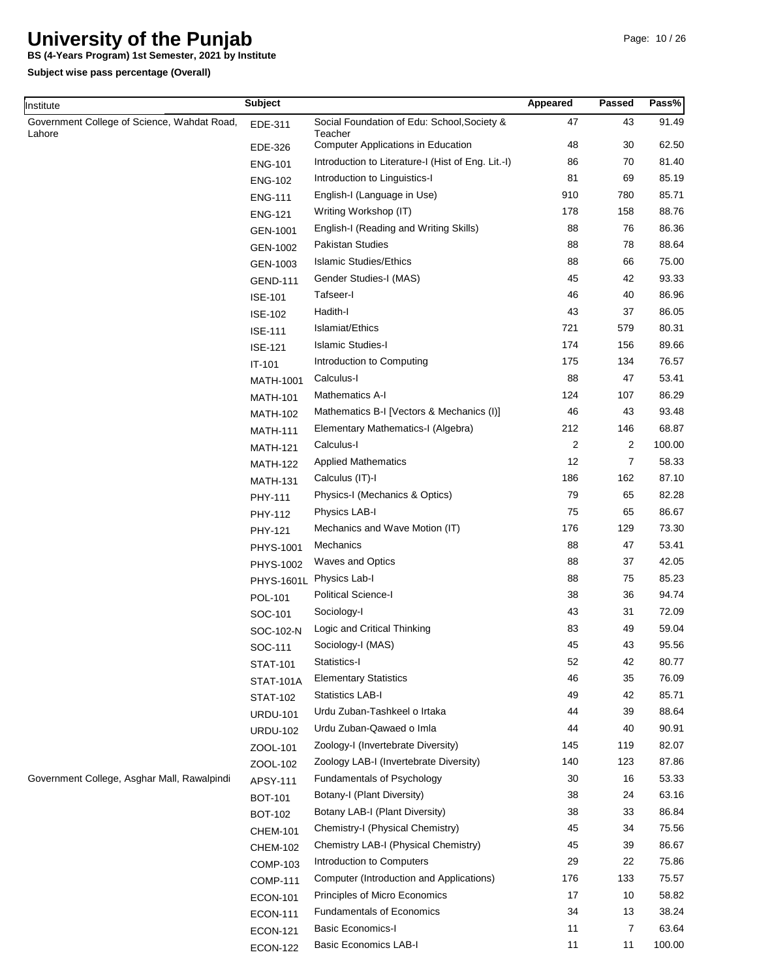**BS (4-Years Program) 1st Semester, 2021 by Institute**

| Institute                                   | <b>Subject</b>   |                                                      | Appeared | Passed         | Pass%  |
|---------------------------------------------|------------------|------------------------------------------------------|----------|----------------|--------|
| Government College of Science, Wahdat Road, | EDE-311          | Social Foundation of Edu: School, Society &          | 47       | 43             | 91.49  |
| Lahore                                      | EDE-326          | Teacher<br><b>Computer Applications in Education</b> | 48       | 30             | 62.50  |
|                                             | <b>ENG-101</b>   | Introduction to Literature-I (Hist of Eng. Lit.-I)   | 86       | 70             | 81.40  |
|                                             | <b>ENG-102</b>   | Introduction to Linguistics-I                        | 81       | 69             | 85.19  |
|                                             | <b>ENG-111</b>   | English-I (Language in Use)                          | 910      | 780            | 85.71  |
|                                             | <b>ENG-121</b>   | Writing Workshop (IT)                                | 178      | 158            | 88.76  |
|                                             | GEN-1001         | English-I (Reading and Writing Skills)               | 88       | 76             | 86.36  |
|                                             | GEN-1002         | Pakistan Studies                                     | 88       | 78             | 88.64  |
|                                             | GEN-1003         | <b>Islamic Studies/Ethics</b>                        | 88       | 66             | 75.00  |
|                                             | <b>GEND-111</b>  | Gender Studies-I (MAS)                               | 45       | 42             | 93.33  |
|                                             | <b>ISE-101</b>   | Tafseer-I                                            | 46       | 40             | 86.96  |
|                                             | <b>ISE-102</b>   | Hadith-I                                             | 43       | 37             | 86.05  |
|                                             | <b>ISE-111</b>   | Islamiat/Ethics                                      | 721      | 579            | 80.31  |
|                                             | <b>ISE-121</b>   | <b>Islamic Studies-I</b>                             | 174      | 156            | 89.66  |
|                                             | IT-101           | Introduction to Computing                            | 175      | 134            | 76.57  |
|                                             | MATH-1001        | Calculus-I                                           | 88       | 47             | 53.41  |
|                                             | <b>MATH-101</b>  | <b>Mathematics A-I</b>                               | 124      | 107            | 86.29  |
|                                             | <b>MATH-102</b>  | Mathematics B-I [Vectors & Mechanics (I)]            | 46       | 43             | 93.48  |
|                                             | <b>MATH-111</b>  | Elementary Mathematics-I (Algebra)                   | 212      | 146            | 68.87  |
|                                             | <b>MATH-121</b>  | Calculus-I                                           | 2        | 2              | 100.00 |
|                                             | <b>MATH-122</b>  | <b>Applied Mathematics</b>                           | 12       | 7              | 58.33  |
|                                             | <b>MATH-131</b>  | Calculus (IT)-I                                      | 186      | 162            | 87.10  |
|                                             | PHY-111          | Physics-I (Mechanics & Optics)                       | 79       | 65             | 82.28  |
|                                             | PHY-112          | Physics LAB-I                                        | 75       | 65             | 86.67  |
|                                             | PHY-121          | Mechanics and Wave Motion (IT)                       | 176      | 129            | 73.30  |
|                                             | PHYS-1001        | Mechanics                                            | 88       | 47             | 53.41  |
|                                             | PHYS-1002        | <b>Waves and Optics</b>                              | 88       | 37             | 42.05  |
|                                             | PHYS-1601L       | Physics Lab-I                                        | 88       | 75             | 85.23  |
|                                             | POL-101          | Political Science-I                                  | 38       | 36             | 94.74  |
|                                             | SOC-101          | Sociology-I                                          | 43       | 31             | 72.09  |
|                                             | SOC-102-N        | Logic and Critical Thinking                          | 83       | 49             | 59.04  |
|                                             | SOC-111          | Sociology-I (MAS)                                    | 45       | 43             | 95.56  |
|                                             | <b>STAT-101</b>  | Statistics-I                                         | 52       | 42             | 80.77  |
|                                             | <b>STAT-101A</b> | <b>Elementary Statistics</b>                         | 46       | 35             | 76.09  |
|                                             | <b>STAT-102</b>  | <b>Statistics LAB-I</b>                              | 49       | 42             | 85.71  |
|                                             | <b>URDU-101</b>  | Urdu Zuban-Tashkeel o Irtaka                         | 44       | 39             | 88.64  |
|                                             | <b>URDU-102</b>  | Urdu Zuban-Qawaed o Imla                             | 44       | 40             | 90.91  |
|                                             | ZOOL-101         | Zoology-I (Invertebrate Diversity)                   | 145      | 119            | 82.07  |
|                                             | ZOOL-102         | Zoology LAB-I (Invertebrate Diversity)               | 140      | 123            | 87.86  |
| Government College, Asghar Mall, Rawalpindi | APSY-111         | Fundamentals of Psychology                           | 30       | 16             | 53.33  |
|                                             | <b>BOT-101</b>   | Botany-I (Plant Diversity)                           | 38       | 24             | 63.16  |
|                                             | <b>BOT-102</b>   | Botany LAB-I (Plant Diversity)                       | 38       | 33             | 86.84  |
|                                             | <b>CHEM-101</b>  | Chemistry-I (Physical Chemistry)                     | 45       | 34             | 75.56  |
|                                             | <b>CHEM-102</b>  | Chemistry LAB-I (Physical Chemistry)                 | 45       | 39             | 86.67  |
|                                             | <b>COMP-103</b>  | Introduction to Computers                            | 29       | 22             | 75.86  |
|                                             | <b>COMP-111</b>  | Computer (Introduction and Applications)             | 176      | 133            | 75.57  |
|                                             | <b>ECON-101</b>  | Principles of Micro Economics                        | 17       | 10             | 58.82  |
|                                             | <b>ECON-111</b>  | <b>Fundamentals of Economics</b>                     | 34       | 13             | 38.24  |
|                                             | <b>ECON-121</b>  | <b>Basic Economics-I</b>                             | 11       | $\overline{7}$ | 63.64  |
|                                             | <b>ECON-122</b>  | <b>Basic Economics LAB-I</b>                         | 11       | 11             | 100.00 |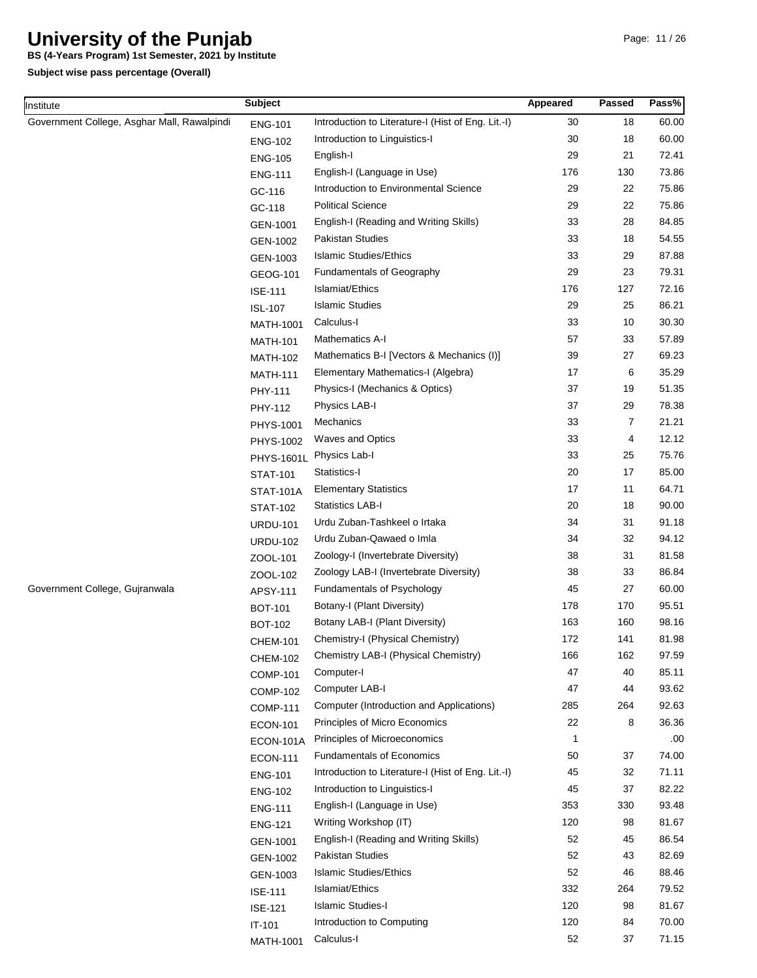**BS (4-Years Program) 1st Semester, 2021 by Institute**

**Subject wise pass percentage (Overall)**

Institute

| nstitute                                    | <b>Subject</b>    |                                                    | Appeared     | Passed         | Pass% |
|---------------------------------------------|-------------------|----------------------------------------------------|--------------|----------------|-------|
| Government College, Asghar Mall, Rawalpindi | <b>ENG-101</b>    | Introduction to Literature-I (Hist of Eng. Lit.-I) | 30           | 18             | 60.00 |
|                                             | <b>ENG-102</b>    | Introduction to Linguistics-I                      | 30           | 18             | 60.00 |
|                                             | <b>ENG-105</b>    | English-I                                          | 29           | 21             | 72.41 |
|                                             | <b>ENG-111</b>    | English-I (Language in Use)                        | 176          | 130            | 73.86 |
|                                             | GC-116            | Introduction to Environmental Science              | 29           | 22             | 75.86 |
|                                             | GC-118            | <b>Political Science</b>                           | 29           | 22             | 75.86 |
|                                             | GEN-1001          | English-I (Reading and Writing Skills)             | 33           | 28             | 84.85 |
|                                             | GEN-1002          | Pakistan Studies                                   | 33           | 18             | 54.55 |
|                                             | GEN-1003          | <b>Islamic Studies/Ethics</b>                      | 33           | 29             | 87.88 |
|                                             | GEOG-101          | <b>Fundamentals of Geography</b>                   | 29           | 23             | 79.31 |
|                                             | <b>ISE-111</b>    | Islamiat/Ethics                                    | 176          | 127            | 72.16 |
|                                             | <b>ISL-107</b>    | <b>Islamic Studies</b>                             | 29           | 25             | 86.21 |
|                                             | MATH-1001         | Calculus-I                                         | 33           | 10             | 30.30 |
|                                             | <b>MATH-101</b>   | <b>Mathematics A-I</b>                             | 57           | 33             | 57.89 |
|                                             | <b>MATH-102</b>   | Mathematics B-I [Vectors & Mechanics (I)]          | 39           | 27             | 69.23 |
|                                             | <b>MATH-111</b>   | Elementary Mathematics-I (Algebra)                 | 17           | 6              | 35.29 |
|                                             | PHY-111           | Physics-I (Mechanics & Optics)                     | 37           | 19             | 51.35 |
|                                             | PHY-112           | Physics LAB-I                                      | 37           | 29             | 78.38 |
|                                             | PHYS-1001         | Mechanics                                          | 33           | $\overline{7}$ | 21.21 |
|                                             | PHYS-1002         | <b>Waves and Optics</b>                            | 33           | 4              | 12.12 |
|                                             | <b>PHYS-1601L</b> | Physics Lab-I                                      | 33           | 25             | 75.76 |
|                                             | <b>STAT-101</b>   | Statistics-I                                       | 20           | 17             | 85.00 |
|                                             | <b>STAT-101A</b>  | <b>Elementary Statistics</b>                       | 17           | 11             | 64.71 |
|                                             | <b>STAT-102</b>   | <b>Statistics LAB-I</b>                            | 20           | 18             | 90.00 |
|                                             | <b>URDU-101</b>   | Urdu Zuban-Tashkeel o Irtaka                       | 34           | 31             | 91.18 |
|                                             | <b>URDU-102</b>   | Urdu Zuban-Qawaed o Imla                           | 34           | 32             | 94.12 |
|                                             | ZOOL-101          | Zoology-I (Invertebrate Diversity)                 | 38           | 31             | 81.58 |
|                                             | ZOOL-102          | Zoology LAB-I (Invertebrate Diversity)             | 38           | 33             | 86.84 |
| Government College, Gujranwala              | APSY-111          | <b>Fundamentals of Psychology</b>                  | 45           | 27             | 60.00 |
|                                             | <b>BOT-101</b>    | Botany-I (Plant Diversity)                         | 178          | 170            | 95.51 |
|                                             | <b>BOT-102</b>    | Botany LAB-I (Plant Diversity)                     | 163          | 160            | 98.16 |
|                                             | <b>CHEM-101</b>   | Chemistry-I (Physical Chemistry)                   | 172          | 141            | 81.98 |
|                                             | <b>CHEM-102</b>   | Chemistry LAB-I (Physical Chemistry)               | 166          | 162            | 97.59 |
|                                             | <b>COMP-101</b>   | Computer-I                                         | 47           | 40             | 85.11 |
|                                             | <b>COMP-102</b>   | Computer LAB-I                                     | 47           | 44             | 93.62 |
|                                             | <b>COMP-111</b>   | Computer (Introduction and Applications)           | 285          | 264            | 92.63 |
|                                             | <b>ECON-101</b>   | Principles of Micro Economics                      | 22           | 8              | 36.36 |
|                                             | ECON-101A         | Principles of Microeconomics                       | $\mathbf{1}$ |                | .00.  |
|                                             | <b>ECON-111</b>   | <b>Fundamentals of Economics</b>                   | 50           | 37             | 74.00 |
|                                             | <b>ENG-101</b>    | Introduction to Literature-I (Hist of Eng. Lit.-I) | 45           | 32             | 71.11 |
|                                             | <b>ENG-102</b>    | Introduction to Linguistics-I                      | 45           | 37             | 82.22 |
|                                             | <b>ENG-111</b>    | English-I (Language in Use)                        | 353          | 330            | 93.48 |
|                                             | <b>ENG-121</b>    | Writing Workshop (IT)                              | 120          | 98             | 81.67 |
|                                             | GEN-1001          | English-I (Reading and Writing Skills)             | 52           | 45             | 86.54 |
|                                             | GEN-1002          | <b>Pakistan Studies</b>                            | 52           | 43             | 82.69 |
|                                             | GEN-1003          | <b>Islamic Studies/Ethics</b>                      | 52           | 46             | 88.46 |
|                                             | <b>ISE-111</b>    | Islamiat/Ethics                                    | 332          | 264            | 79.52 |
|                                             | <b>ISE-121</b>    | <b>Islamic Studies-I</b>                           | 120          | 98             | 81.67 |
|                                             | IT-101            | Introduction to Computing                          | 120          | 84             | 70.00 |

MATH-1001 Calculus-I

52

37

71.15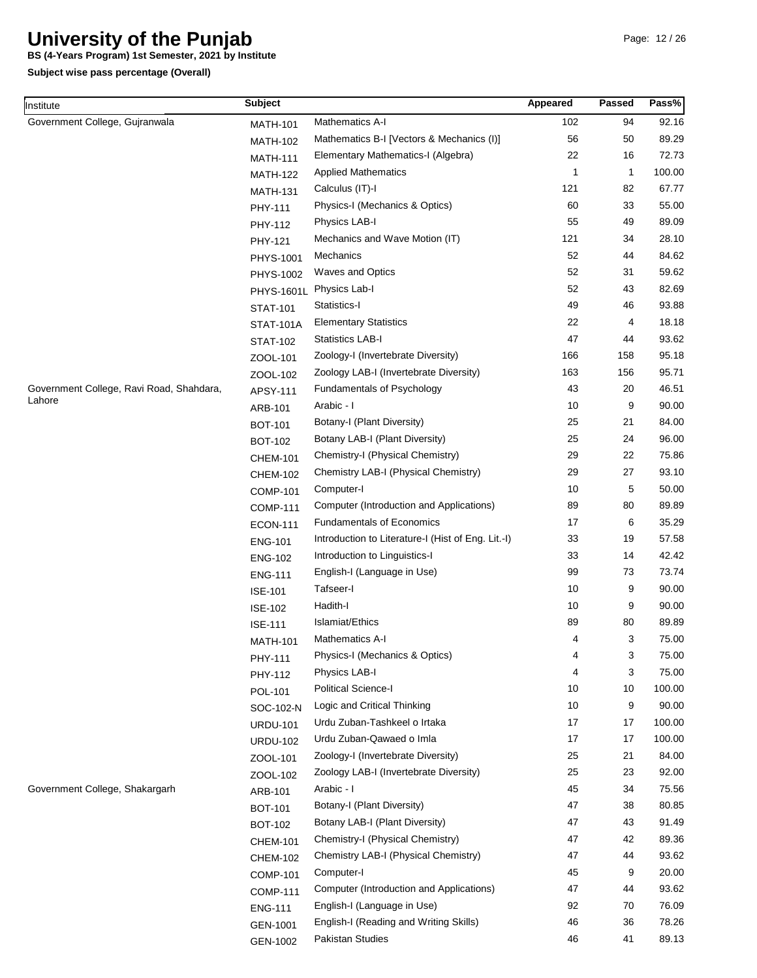**BS (4-Years Program) 1st Semester, 2021 by Institute**

| Institute                                | <b>Subject</b>   |                                                    | Appeared     | <b>Passed</b> | Pass%  |
|------------------------------------------|------------------|----------------------------------------------------|--------------|---------------|--------|
| Government College, Gujranwala           | <b>MATH-101</b>  | <b>Mathematics A-I</b>                             | 102          | 94            | 92.16  |
|                                          | <b>MATH-102</b>  | Mathematics B-I [Vectors & Mechanics (I)]          | 56           | 50            | 89.29  |
|                                          | <b>MATH-111</b>  | Elementary Mathematics-I (Algebra)                 | 22           | 16            | 72.73  |
|                                          | <b>MATH-122</b>  | <b>Applied Mathematics</b>                         | $\mathbf{1}$ | $\mathbf{1}$  | 100.00 |
|                                          | <b>MATH-131</b>  | Calculus (IT)-I                                    | 121          | 82            | 67.77  |
|                                          | PHY-111          | Physics-I (Mechanics & Optics)                     | 60           | 33            | 55.00  |
|                                          | PHY-112          | Physics LAB-I                                      | 55           | 49            | 89.09  |
|                                          | PHY-121          | Mechanics and Wave Motion (IT)                     | 121          | 34            | 28.10  |
|                                          | PHYS-1001        | Mechanics                                          | 52           | 44            | 84.62  |
|                                          | PHYS-1002        | <b>Waves and Optics</b>                            | 52           | 31            | 59.62  |
|                                          | PHYS-1601L       | Physics Lab-I                                      | 52           | 43            | 82.69  |
|                                          | <b>STAT-101</b>  | Statistics-I                                       | 49           | 46            | 93.88  |
|                                          | <b>STAT-101A</b> | <b>Elementary Statistics</b>                       | 22           | 4             | 18.18  |
|                                          | <b>STAT-102</b>  | <b>Statistics LAB-I</b>                            | 47           | 44            | 93.62  |
|                                          | ZOOL-101         | Zoology-I (Invertebrate Diversity)                 | 166          | 158           | 95.18  |
|                                          | ZOOL-102         | Zoology LAB-I (Invertebrate Diversity)             | 163          | 156           | 95.71  |
| Government College, Ravi Road, Shahdara, | APSY-111         | Fundamentals of Psychology                         | 43           | 20            | 46.51  |
| Lahore                                   | ARB-101          | Arabic - I                                         | 10           | 9             | 90.00  |
|                                          | <b>BOT-101</b>   | Botany-I (Plant Diversity)                         | 25           | 21            | 84.00  |
|                                          | <b>BOT-102</b>   | Botany LAB-I (Plant Diversity)                     | 25           | 24            | 96.00  |
|                                          | <b>CHEM-101</b>  | Chemistry-I (Physical Chemistry)                   | 29           | 22            | 75.86  |
|                                          | <b>CHEM-102</b>  | Chemistry LAB-I (Physical Chemistry)               | 29           | 27            | 93.10  |
|                                          | <b>COMP-101</b>  | Computer-I                                         | 10           | 5             | 50.00  |
|                                          | <b>COMP-111</b>  | Computer (Introduction and Applications)           | 89           | 80            | 89.89  |
|                                          | <b>ECON-111</b>  | <b>Fundamentals of Economics</b>                   | 17           | 6             | 35.29  |
|                                          | <b>ENG-101</b>   | Introduction to Literature-I (Hist of Eng. Lit.-I) | 33           | 19            | 57.58  |
|                                          | <b>ENG-102</b>   | Introduction to Linguistics-I                      | 33           | 14            | 42.42  |
|                                          | <b>ENG-111</b>   | English-I (Language in Use)                        | 99           | 73            | 73.74  |
|                                          | <b>ISE-101</b>   | Tafseer-I                                          | 10           | 9             | 90.00  |
|                                          | <b>ISE-102</b>   | Hadith-I                                           | 10           | 9             | 90.00  |
|                                          | <b>ISE-111</b>   | Islamiat/Ethics                                    | 89           | 80            | 89.89  |
|                                          | <b>MATH-101</b>  | <b>Mathematics A-I</b>                             | 4            | 3             | 75.00  |
|                                          | PHY-111          | Physics-I (Mechanics & Optics)                     | 4            | 3             | 75.00  |
|                                          | PHY-112          | Physics LAB-I                                      | 4            | 3             | 75.00  |
|                                          | POL-101          | <b>Political Science-I</b>                         | 10           | 10            | 100.00 |
|                                          | SOC-102-N        | Logic and Critical Thinking                        | 10           | 9             | 90.00  |
|                                          | <b>URDU-101</b>  | Urdu Zuban-Tashkeel o Irtaka                       | 17           | 17            | 100.00 |
|                                          | <b>URDU-102</b>  | Urdu Zuban-Qawaed o Imla                           | 17           | 17            | 100.00 |
|                                          | ZOOL-101         | Zoology-I (Invertebrate Diversity)                 | 25           | 21            | 84.00  |
|                                          | ZOOL-102         | Zoology LAB-I (Invertebrate Diversity)             | 25           | 23            | 92.00  |
| Government College, Shakargarh           | ARB-101          | Arabic - I                                         | 45           | 34            | 75.56  |
|                                          | <b>BOT-101</b>   | Botany-I (Plant Diversity)                         | 47           | 38            | 80.85  |
|                                          | <b>BOT-102</b>   | Botany LAB-I (Plant Diversity)                     | 47           | 43            | 91.49  |
|                                          | <b>CHEM-101</b>  | Chemistry-I (Physical Chemistry)                   | 47           | 42            | 89.36  |
|                                          | <b>CHEM-102</b>  | Chemistry LAB-I (Physical Chemistry)               | 47           | 44            | 93.62  |
|                                          | <b>COMP-101</b>  | Computer-I                                         | 45           | 9             | 20.00  |
|                                          | <b>COMP-111</b>  | Computer (Introduction and Applications)           | 47           | 44            | 93.62  |
|                                          | <b>ENG-111</b>   | English-I (Language in Use)                        | 92           | 70            | 76.09  |
|                                          | GEN-1001         | English-I (Reading and Writing Skills)             | 46           | 36            | 78.26  |
|                                          | GEN-1002         | Pakistan Studies                                   | 46           | 41            | 89.13  |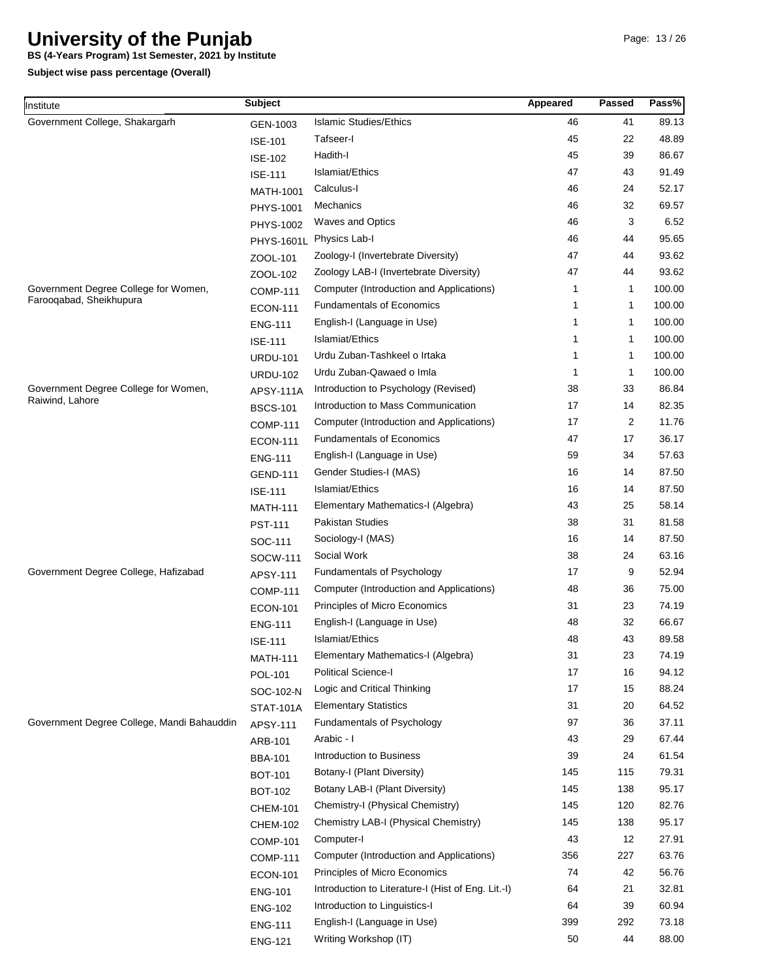**BS (4-Years Program) 1st Semester, 2021 by Institute**

| nstitute                                                                                                                                                           | <b>Subject</b>    |                                                    | Appeared | Passed | Pass%                                                                                  |
|--------------------------------------------------------------------------------------------------------------------------------------------------------------------|-------------------|----------------------------------------------------|----------|--------|----------------------------------------------------------------------------------------|
| Government College, Shakargarh                                                                                                                                     | GEN-1003          | <b>Islamic Studies/Ethics</b>                      | 46       | 41     | 89.13                                                                                  |
|                                                                                                                                                                    | <b>ISE-101</b>    | Tafseer-l                                          | 45       | 22     | 48.89                                                                                  |
| Government Degree College for Women,<br>Farooqabad, Sheikhupura<br>Government Degree College for Women,<br>Raiwind, Lahore<br>Government Degree College, Hafizabad | <b>ISE-102</b>    | Hadith-I                                           | 45       | 39     | 86.67                                                                                  |
|                                                                                                                                                                    | <b>ISE-111</b>    | Islamiat/Ethics                                    | 47       | 43     | 91.49                                                                                  |
|                                                                                                                                                                    | MATH-1001         | Calculus-I                                         | 46       | 24     | 52.17                                                                                  |
|                                                                                                                                                                    | PHYS-1001         | Mechanics                                          | 46       | 32     | 69.57                                                                                  |
|                                                                                                                                                                    | PHYS-1002         | <b>Waves and Optics</b>                            | 46       | 3      | 6.52                                                                                   |
|                                                                                                                                                                    | <b>PHYS-1601L</b> | Physics Lab-I                                      | 46       | 44     | 95.65                                                                                  |
|                                                                                                                                                                    | ZOOL-101          | Zoology-I (Invertebrate Diversity)                 | 47       | 44     | 93.62                                                                                  |
|                                                                                                                                                                    | ZOOL-102          | Zoology LAB-I (Invertebrate Diversity)             | 47       | 44     | 93.62                                                                                  |
|                                                                                                                                                                    | <b>COMP-111</b>   | Computer (Introduction and Applications)           | 1        | 1      | 100.00                                                                                 |
|                                                                                                                                                                    | <b>ECON-111</b>   | <b>Fundamentals of Economics</b>                   | 1        | 1      | 100.00                                                                                 |
|                                                                                                                                                                    | <b>ENG-111</b>    | English-I (Language in Use)                        | 1        | 1      | 100.00                                                                                 |
|                                                                                                                                                                    | <b>ISE-111</b>    | Islamiat/Ethics                                    | 1        | 1      | 100.00                                                                                 |
|                                                                                                                                                                    | <b>URDU-101</b>   | Urdu Zuban-Tashkeel o Irtaka                       | 1        | 1      | 100.00                                                                                 |
|                                                                                                                                                                    | <b>URDU-102</b>   | Urdu Zuban-Qawaed o Imla                           | 1        | 1      | 100.00                                                                                 |
|                                                                                                                                                                    | <b>APSY-111A</b>  | Introduction to Psychology (Revised)               | 38       | 33     | 86.84                                                                                  |
|                                                                                                                                                                    | <b>BSCS-101</b>   | Introduction to Mass Communication                 | 17       | 14     | 82.35                                                                                  |
|                                                                                                                                                                    | <b>COMP-111</b>   | Computer (Introduction and Applications)           | 17       | 2      | 11.76                                                                                  |
|                                                                                                                                                                    | <b>ECON-111</b>   | <b>Fundamentals of Economics</b>                   | 47       | 17     | 36.17                                                                                  |
|                                                                                                                                                                    | <b>ENG-111</b>    | English-I (Language in Use)                        | 59       | 34     | 57.63                                                                                  |
|                                                                                                                                                                    | <b>GEND-111</b>   | Gender Studies-I (MAS)                             | 16       | 14     | 87.50                                                                                  |
|                                                                                                                                                                    | <b>ISE-111</b>    | Islamiat/Ethics                                    | 16       | 14     | 87.50                                                                                  |
|                                                                                                                                                                    | <b>MATH-111</b>   | Elementary Mathematics-I (Algebra)                 | 43       | 25     | 58.14                                                                                  |
|                                                                                                                                                                    | <b>PST-111</b>    | <b>Pakistan Studies</b>                            | 38       | 31     | 81.58                                                                                  |
|                                                                                                                                                                    | SOC-111           | Sociology-I (MAS)                                  | 16       | 14     | 87.50                                                                                  |
|                                                                                                                                                                    | SOCW-111          | Social Work                                        | 38       | 24     | 63.16                                                                                  |
|                                                                                                                                                                    | APSY-111          | Fundamentals of Psychology                         | 17       | 9      | 52.94                                                                                  |
|                                                                                                                                                                    | <b>COMP-111</b>   | Computer (Introduction and Applications)           | 48       | 36     | 75.00                                                                                  |
|                                                                                                                                                                    | <b>ECON-101</b>   | Principles of Micro Economics                      | 31       | 23     | 74.19                                                                                  |
|                                                                                                                                                                    | <b>ENG-111</b>    | English-I (Language in Use)                        | 48       | 32     | 66.67                                                                                  |
|                                                                                                                                                                    | <b>ISE-111</b>    | Islamiat/Ethics                                    | 48       | 43     | 89.58                                                                                  |
|                                                                                                                                                                    | <b>MATH-111</b>   | Elementary Mathematics-I (Algebra)                 | 31       | 23     | 74.19                                                                                  |
|                                                                                                                                                                    | POL-101           | <b>Political Science-I</b>                         | 17       | 16     | 94.12                                                                                  |
|                                                                                                                                                                    | SOC-102-N         | Logic and Critical Thinking                        | 17       | 15     | 88.24                                                                                  |
|                                                                                                                                                                    | <b>STAT-101A</b>  | <b>Elementary Statistics</b>                       | 31       | 20     | 64.52                                                                                  |
| Government Degree College, Mandi Bahauddin                                                                                                                         | APSY-111          | Fundamentals of Psychology                         | 97       | 36     | 37.11                                                                                  |
|                                                                                                                                                                    | ARB-101           | Arabic - I                                         | 43       | 29     | 67.44                                                                                  |
|                                                                                                                                                                    | <b>BBA-101</b>    | Introduction to Business                           | 39       | 24     | 61.54                                                                                  |
|                                                                                                                                                                    | <b>BOT-101</b>    | Botany-I (Plant Diversity)                         | 145      | 115    | 79.31<br>95.17<br>82.76<br>95.17<br>27.91<br>63.76<br>56.76<br>32.81<br>60.94<br>73.18 |
|                                                                                                                                                                    | <b>BOT-102</b>    | Botany LAB-I (Plant Diversity)                     | 145      | 138    |                                                                                        |
|                                                                                                                                                                    | <b>CHEM-101</b>   | Chemistry-I (Physical Chemistry)                   | 145      | 120    |                                                                                        |
|                                                                                                                                                                    | <b>CHEM-102</b>   | Chemistry LAB-I (Physical Chemistry)               | 145      | 138    |                                                                                        |
|                                                                                                                                                                    | <b>COMP-101</b>   | Computer-I                                         | 43       | 12     |                                                                                        |
|                                                                                                                                                                    | <b>COMP-111</b>   | Computer (Introduction and Applications)           | 356      | 227    |                                                                                        |
|                                                                                                                                                                    | <b>ECON-101</b>   | Principles of Micro Economics                      | 74       | 42     |                                                                                        |
|                                                                                                                                                                    | <b>ENG-101</b>    | Introduction to Literature-I (Hist of Eng. Lit.-I) | 64       | 21     |                                                                                        |
|                                                                                                                                                                    | <b>ENG-102</b>    | Introduction to Linguistics-I                      | 64       | 39     |                                                                                        |
|                                                                                                                                                                    | <b>ENG-111</b>    | English-I (Language in Use)                        | 399      | 292    |                                                                                        |
|                                                                                                                                                                    | <b>ENG-121</b>    | Writing Workshop (IT)                              | 50       | 44     | 88.00                                                                                  |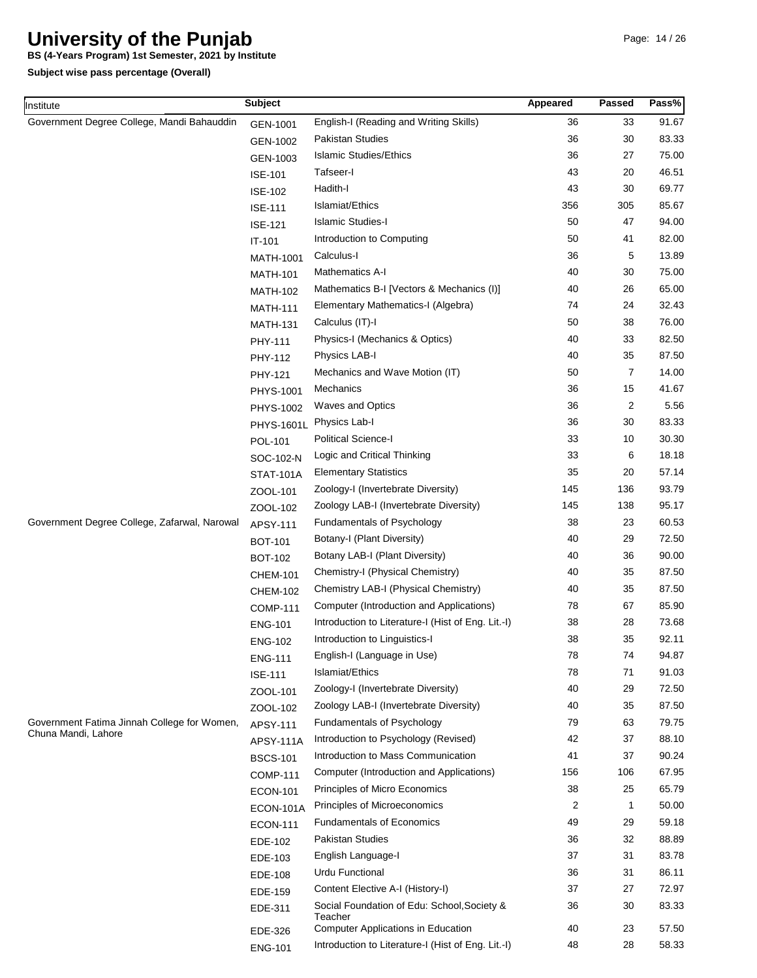**BS (4-Years Program) 1st Semester, 2021 by Institute**

| Institute                                    | <b>Subject</b>    |                                                                                                 | Appeared | <b>Passed</b> | Pass%          |
|----------------------------------------------|-------------------|-------------------------------------------------------------------------------------------------|----------|---------------|----------------|
| Government Degree College, Mandi Bahauddin   | GEN-1001          | English-I (Reading and Writing Skills)                                                          | 36       | 33            | 91.67          |
|                                              | GEN-1002          | Pakistan Studies                                                                                | 36       | 30            | 83.33          |
|                                              | GEN-1003          | <b>Islamic Studies/Ethics</b>                                                                   | 36       | 27            | 75.00          |
|                                              | <b>ISE-101</b>    | Tafseer-I                                                                                       | 43       | 20            | 46.51          |
|                                              | <b>ISE-102</b>    | Hadith-I                                                                                        | 43       | 30            | 69.77          |
|                                              | <b>ISE-111</b>    | Islamiat/Ethics                                                                                 | 356      | 305           | 85.67          |
|                                              | <b>ISE-121</b>    | <b>Islamic Studies-I</b>                                                                        | 50       | 47            | 94.00          |
|                                              | IT-101            | Introduction to Computing                                                                       | 50       | 41            | 82.00          |
|                                              | <b>MATH-1001</b>  | Calculus-I                                                                                      | 36       | 5             | 13.89          |
|                                              | <b>MATH-101</b>   | Mathematics A-I                                                                                 | 40       | 30            | 75.00          |
|                                              | <b>MATH-102</b>   | Mathematics B-I [Vectors & Mechanics (I)]                                                       | 40       | 26            | 65.00          |
|                                              | <b>MATH-111</b>   | Elementary Mathematics-I (Algebra)                                                              | 74       | 24            | 32.43          |
|                                              | <b>MATH-131</b>   | Calculus (IT)-I                                                                                 | 50       | 38            | 76.00          |
|                                              | PHY-111           | Physics-I (Mechanics & Optics)                                                                  | 40       | 33            | 82.50          |
|                                              | PHY-112           | Physics LAB-I                                                                                   | 40       | 35            | 87.50          |
|                                              | PHY-121           | Mechanics and Wave Motion (IT)                                                                  | 50       | 7             | 14.00          |
|                                              | <b>PHYS-1001</b>  | Mechanics                                                                                       | 36       | 15            | 41.67          |
|                                              | PHYS-1002         | <b>Waves and Optics</b>                                                                         | 36       | 2             | 5.56           |
|                                              | <b>PHYS-1601L</b> | Physics Lab-I                                                                                   | 36       | 30            | 83.33          |
|                                              | POL-101           | Political Science-I                                                                             | 33       | 10            | 30.30          |
|                                              | SOC-102-N         | Logic and Critical Thinking                                                                     | 33       | 6             | 18.18          |
|                                              |                   | <b>Elementary Statistics</b>                                                                    | 35       | 20            | 57.14          |
|                                              | <b>STAT-101A</b>  | Zoology-I (Invertebrate Diversity)                                                              | 145      | 136           | 93.79          |
|                                              | ZOOL-101          | Zoology LAB-I (Invertebrate Diversity)                                                          | 145      | 138           | 95.17          |
| Government Degree College, Zafarwal, Narowal | ZOOL-102          | Fundamentals of Psychology                                                                      | 38       | 23            | 60.53          |
|                                              | APSY-111          | Botany-I (Plant Diversity)                                                                      | 40       | 29            | 72.50          |
|                                              | <b>BOT-101</b>    | Botany LAB-I (Plant Diversity)                                                                  | 40       | 36            | 90.00          |
|                                              | <b>BOT-102</b>    | Chemistry-I (Physical Chemistry)                                                                | 40       | 35            | 87.50          |
|                                              | <b>CHEM-101</b>   | Chemistry LAB-I (Physical Chemistry)                                                            | 40       | 35            | 87.50          |
|                                              | <b>CHEM-102</b>   | Computer (Introduction and Applications)                                                        | 78       | 67            | 85.90          |
|                                              | <b>COMP-111</b>   | Introduction to Literature-I (Hist of Eng. Lit.-I)                                              | 38       | 28            | 73.68          |
|                                              | <b>ENG-101</b>    | Introduction to Linguistics-I                                                                   | 38       | 35            | 92.11          |
|                                              | <b>ENG-102</b>    | English-I (Language in Use)                                                                     | 78       | 74            | 94.87          |
|                                              | <b>ENG-111</b>    | Islamiat/Ethics                                                                                 | 78       | 71            | 91.03          |
|                                              | <b>ISE-111</b>    | Zoology-I (Invertebrate Diversity)                                                              | 40       | 29            | 72.50          |
|                                              | ZOOL-101          | Zoology LAB-I (Invertebrate Diversity)                                                          | 40       | 35            | 87.50          |
| Government Fatima Jinnah College for Women,  | ZOOL-102          | <b>Fundamentals of Psychology</b>                                                               | 79       | 63            | 79.75          |
| Chuna Mandi, Lahore                          | APSY-111          | Introduction to Psychology (Revised)                                                            | 42       | 37            | 88.10          |
|                                              | <b>APSY-111A</b>  | Introduction to Mass Communication                                                              | 41       | 37            | 90.24          |
|                                              | <b>BSCS-101</b>   |                                                                                                 | 156      |               | 67.95          |
|                                              | <b>COMP-111</b>   | Computer (Introduction and Applications)                                                        | 38       | 106<br>25     | 65.79          |
|                                              | <b>ECON-101</b>   | Principles of Micro Economics<br>Principles of Microeconomics                                   |          | $\mathbf{1}$  | 50.00          |
|                                              | ECON-101A         |                                                                                                 | 2        |               |                |
|                                              | <b>ECON-111</b>   | <b>Fundamentals of Economics</b>                                                                | 49       | 29            | 59.18          |
|                                              | EDE-102           | <b>Pakistan Studies</b>                                                                         | 36       | 32            | 88.89          |
|                                              | EDE-103           | English Language-I                                                                              | 37       | 31            | 83.78          |
|                                              | EDE-108           | <b>Urdu Functional</b>                                                                          | 36       | 31            | 86.11          |
|                                              | EDE-159           | Content Elective A-I (History-I)                                                                | 37       | 27            | 72.97          |
|                                              | EDE-311           | Social Foundation of Edu: School, Society &<br>Teacher                                          | 36<br>40 | 30            | 83.33<br>57.50 |
|                                              | EDE-326           | <b>Computer Applications in Education</b><br>Introduction to Literature-I (Hist of Eng. Lit.-I) | 48       | 23<br>28      | 58.33          |
|                                              | <b>ENG-101</b>    |                                                                                                 |          |               |                |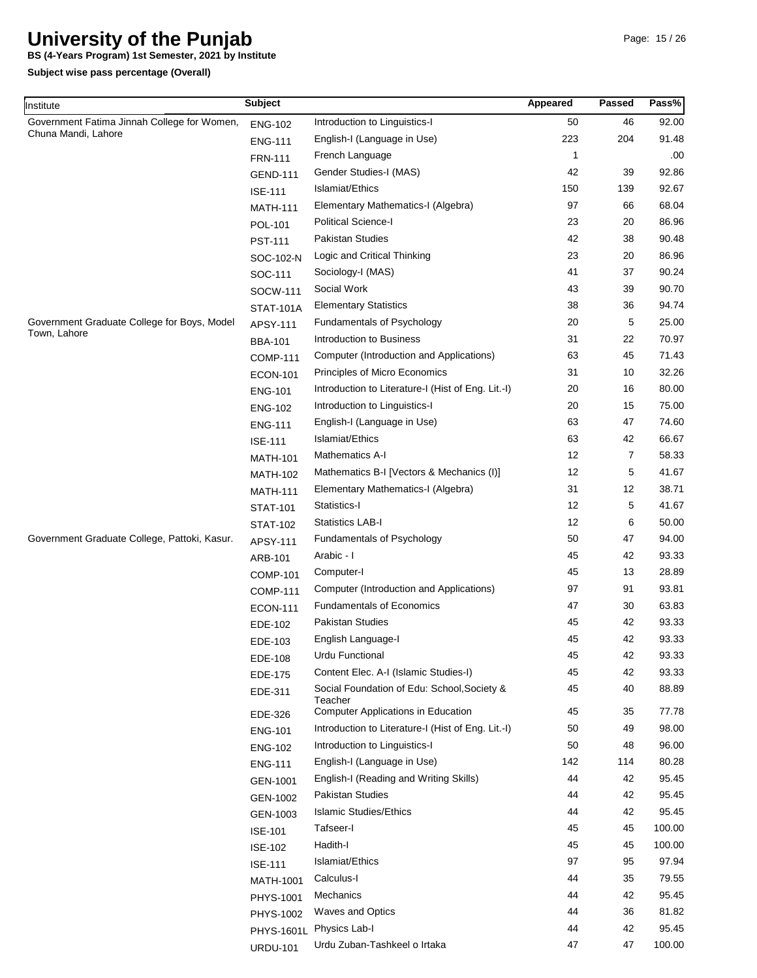**BS (4-Years Program) 1st Semester, 2021 by Institute**

| Institute                                    | <b>Subject</b>    |                                                    | Appeared | <b>Passed</b> | Pass%  |
|----------------------------------------------|-------------------|----------------------------------------------------|----------|---------------|--------|
| Government Fatima Jinnah College for Women,  | <b>ENG-102</b>    | Introduction to Linguistics-I                      | 50       | 46            | 92.00  |
| Chuna Mandi, Lahore                          | <b>ENG-111</b>    | English-I (Language in Use)                        | 223      | 204           | 91.48  |
|                                              | <b>FRN-111</b>    | French Language                                    | 1        |               | .00    |
|                                              | <b>GEND-111</b>   | Gender Studies-I (MAS)                             | 42       | 39            | 92.86  |
|                                              | <b>ISE-111</b>    | Islamiat/Ethics                                    | 150      | 139           | 92.67  |
|                                              | <b>MATH-111</b>   | Elementary Mathematics-I (Algebra)                 | 97       | 66            | 68.04  |
|                                              | POL-101           | <b>Political Science-I</b>                         | 23       | 20            | 86.96  |
|                                              | <b>PST-111</b>    | Pakistan Studies                                   | 42       | 38            | 90.48  |
|                                              | SOC-102-N         | Logic and Critical Thinking                        | 23       | 20            | 86.96  |
|                                              | SOC-111           | Sociology-I (MAS)                                  | 41       | 37            | 90.24  |
|                                              | SOCW-111          | Social Work                                        | 43       | 39            | 90.70  |
|                                              | <b>STAT-101A</b>  | <b>Elementary Statistics</b>                       | 38       | 36            | 94.74  |
| Government Graduate College for Boys, Model  | APSY-111          | Fundamentals of Psychology                         | 20       | 5             | 25.00  |
| Town, Lahore                                 | <b>BBA-101</b>    | Introduction to Business                           | 31       | 22            | 70.97  |
|                                              | <b>COMP-111</b>   | Computer (Introduction and Applications)           | 63       | 45            | 71.43  |
|                                              | <b>ECON-101</b>   | Principles of Micro Economics                      | 31       | 10            | 32.26  |
|                                              | <b>ENG-101</b>    | Introduction to Literature-I (Hist of Eng. Lit.-I) | 20       | 16            | 80.00  |
|                                              | <b>ENG-102</b>    | Introduction to Linguistics-I                      | 20       | 15            | 75.00  |
|                                              | <b>ENG-111</b>    | English-I (Language in Use)                        | 63       | 47            | 74.60  |
|                                              | <b>ISE-111</b>    | Islamiat/Ethics                                    | 63       | 42            | 66.67  |
|                                              | <b>MATH-101</b>   | Mathematics A-I                                    | 12       | 7             | 58.33  |
|                                              | <b>MATH-102</b>   | Mathematics B-I [Vectors & Mechanics (I)]          | 12       | 5             | 41.67  |
|                                              | <b>MATH-111</b>   | Elementary Mathematics-I (Algebra)                 | 31       | 12            | 38.71  |
|                                              | <b>STAT-101</b>   | Statistics-I                                       | 12       | 5             | 41.67  |
|                                              | <b>STAT-102</b>   | <b>Statistics LAB-I</b>                            | 12       | 6             | 50.00  |
| Government Graduate College, Pattoki, Kasur. | APSY-111          | Fundamentals of Psychology                         | 50       | 47            | 94.00  |
|                                              | ARB-101           | Arabic - I                                         | 45       | 42            | 93.33  |
|                                              | <b>COMP-101</b>   | Computer-I                                         | 45       | 13            | 28.89  |
|                                              | <b>COMP-111</b>   | Computer (Introduction and Applications)           | 97       | 91            | 93.81  |
|                                              | <b>ECON-111</b>   | <b>Fundamentals of Economics</b>                   | 47       | 30            | 63.83  |
|                                              | EDE-102           | Pakistan Studies                                   | 45       | 42            | 93.33  |
|                                              | EDE-103           | English Language-I                                 | 45       | 42            | 93.33  |
|                                              | EDE-108           | <b>Urdu Functional</b>                             | 45       | 42            | 93.33  |
|                                              | EDE-175           | Content Elec. A-I (Islamic Studies-I)              | 45       | 42            | 93.33  |
|                                              | EDE-311           | Social Foundation of Edu: School, Society &        | 45       | 40            | 88.89  |
|                                              |                   | Teacher                                            |          |               |        |
|                                              | EDE-326           | <b>Computer Applications in Education</b>          | 45       | 35            | 77.78  |
|                                              | <b>ENG-101</b>    | Introduction to Literature-I (Hist of Eng. Lit.-I) | 50       | 49            | 98.00  |
|                                              | <b>ENG-102</b>    | Introduction to Linguistics-I                      | 50       | 48            | 96.00  |
|                                              | <b>ENG-111</b>    | English-I (Language in Use)                        | 142      | 114           | 80.28  |
|                                              | GEN-1001          | English-I (Reading and Writing Skills)             | 44       | 42            | 95.45  |
|                                              | GEN-1002          | <b>Pakistan Studies</b>                            | 44       | 42            | 95.45  |
|                                              | GEN-1003          | <b>Islamic Studies/Ethics</b>                      | 44       | 42            | 95.45  |
|                                              | <b>ISE-101</b>    | Tafseer-I                                          | 45       | 45            | 100.00 |
|                                              | <b>ISE-102</b>    | Hadith-I                                           | 45       | 45            | 100.00 |
|                                              | <b>ISE-111</b>    | Islamiat/Ethics                                    | 97       | 95            | 97.94  |
|                                              | MATH-1001         | Calculus-I                                         | 44       | 35            | 79.55  |
|                                              | PHYS-1001         | Mechanics                                          | 44       | 42            | 95.45  |
|                                              | PHYS-1002         | <b>Waves and Optics</b>                            | 44       | 36            | 81.82  |
|                                              | <b>PHYS-1601L</b> | Physics Lab-I                                      | 44       | 42            | 95.45  |
|                                              | <b>URDU-101</b>   | Urdu Zuban-Tashkeel o Irtaka                       | 47       | 47            | 100.00 |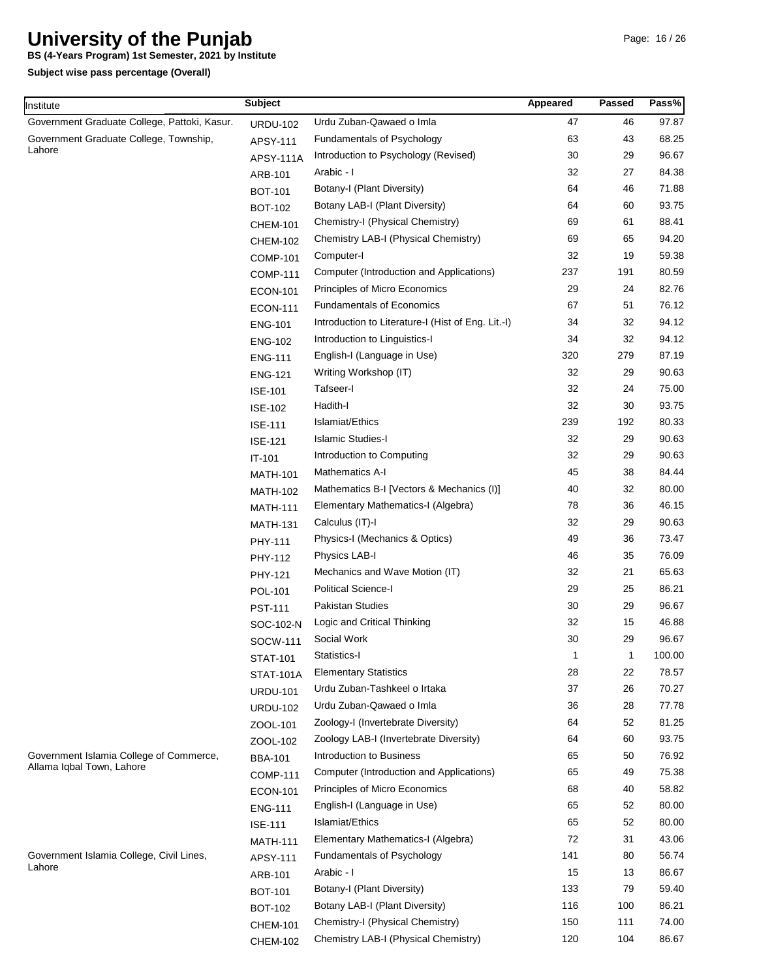**BS (4-Years Program) 1st Semester, 2021 by Institute**

**Subject wise pass percentage (Overall)**

| nstitute                                     | <b>Subject</b>   |                                                    | Appeared | Passed | Pass%  |
|----------------------------------------------|------------------|----------------------------------------------------|----------|--------|--------|
| Government Graduate College, Pattoki, Kasur. | <b>URDU-102</b>  | Urdu Zuban-Qawaed o Imla                           | 47       | 46     | 97.87  |
| Government Graduate College, Township,       | APSY-111         | Fundamentals of Psychology                         | 63       | 43     | 68.25  |
| Lahore                                       | APSY-111A        | Introduction to Psychology (Revised)               | 30       | 29     | 96.67  |
|                                              | ARB-101          | Arabic - I                                         | 32       | 27     | 84.38  |
|                                              | <b>BOT-101</b>   | Botany-I (Plant Diversity)                         | 64       | 46     | 71.88  |
|                                              | <b>BOT-102</b>   | Botany LAB-I (Plant Diversity)                     | 64       | 60     | 93.75  |
|                                              | <b>CHEM-101</b>  | Chemistry-I (Physical Chemistry)                   | 69       | 61     | 88.41  |
|                                              | <b>CHEM-102</b>  | Chemistry LAB-I (Physical Chemistry)               | 69       | 65     | 94.20  |
|                                              | <b>COMP-101</b>  | Computer-I                                         | 32       | 19     | 59.38  |
|                                              | <b>COMP-111</b>  | Computer (Introduction and Applications)           | 237      | 191    | 80.59  |
|                                              | <b>ECON-101</b>  | Principles of Micro Economics                      | 29       | 24     | 82.76  |
|                                              | <b>ECON-111</b>  | <b>Fundamentals of Economics</b>                   | 67       | 51     | 76.12  |
|                                              | <b>ENG-101</b>   | Introduction to Literature-I (Hist of Eng. Lit.-I) | 34       | 32     | 94.12  |
|                                              | <b>ENG-102</b>   | Introduction to Linguistics-I                      | 34       | 32     | 94.12  |
|                                              | <b>ENG-111</b>   | English-I (Language in Use)                        | 320      | 279    | 87.19  |
|                                              | <b>ENG-121</b>   | Writing Workshop (IT)                              | 32       | 29     | 90.63  |
|                                              | <b>ISE-101</b>   | Tafseer-I                                          | 32       | 24     | 75.00  |
|                                              | <b>ISE-102</b>   | Hadith-I                                           | 32       | 30     | 93.75  |
|                                              | <b>ISE-111</b>   | Islamiat/Ethics                                    | 239      | 192    | 80.33  |
|                                              | <b>ISE-121</b>   | <b>Islamic Studies-I</b>                           | 32       | 29     | 90.63  |
|                                              | IT-101           | Introduction to Computing                          | 32       | 29     | 90.63  |
|                                              | <b>MATH-101</b>  | Mathematics A-I                                    | 45       | 38     | 84.44  |
|                                              | <b>MATH-102</b>  | Mathematics B-I [Vectors & Mechanics (I)]          | 40       | 32     | 80.00  |
|                                              | <b>MATH-111</b>  | Elementary Mathematics-I (Algebra)                 | 78       | 36     | 46.15  |
|                                              | <b>MATH-131</b>  | Calculus (IT)-I                                    | 32       | 29     | 90.63  |
|                                              | PHY-111          | Physics-I (Mechanics & Optics)                     | 49       | 36     | 73.47  |
|                                              | PHY-112          | Physics LAB-I                                      | 46       | 35     | 76.09  |
|                                              | PHY-121          | Mechanics and Wave Motion (IT)                     | 32       | 21     | 65.63  |
|                                              | POL-101          | Political Science-I                                | 29       | 25     | 86.21  |
|                                              | <b>PST-111</b>   | Pakistan Studies                                   | 30       | 29     | 96.67  |
|                                              | SOC-102-N        | Logic and Critical Thinking                        | 32       | 15     | 46.88  |
|                                              | SOCW-111         | Social Work                                        | 30       | 29     | 96.67  |
|                                              | <b>STAT-101</b>  | Statistics-I                                       | 1        | 1      | 100.00 |
|                                              | <b>STAT-101A</b> | <b>Elementary Statistics</b>                       | 28       | 22     | 78.57  |
|                                              | <b>URDU-101</b>  | Urdu Zuban-Tashkeel o Irtaka                       | 37       | 26     | 70.27  |
|                                              | <b>URDU-102</b>  | Urdu Zuban-Qawaed o Imla                           | 36       | 28     | 77.78  |
|                                              | ZOOL-101         | Zoology-I (Invertebrate Diversity)                 | 64       | 52     | 81.25  |
|                                              | ZOOL-102         | Zoology LAB-I (Invertebrate Diversity)             | 64       | 60     | 93.75  |
| Government Islamia College of Commerce,      | <b>BBA-101</b>   | Introduction to Business                           | 65       | 50     | 76.92  |
| Allama Iqbal Town, Lahore                    | <b>COMP-111</b>  | Computer (Introduction and Applications)           | 65       | 49     | 75.38  |
|                                              | <b>ECON-101</b>  | Principles of Micro Economics                      | 68       | 40     | 58.82  |
|                                              | <b>ENG-111</b>   | English-I (Language in Use)                        | 65       | 52     | 80.00  |
|                                              | <b>ISE-111</b>   | Islamiat/Ethics                                    | 65       | 52     | 80.00  |
|                                              | <b>MATH-111</b>  | Elementary Mathematics-I (Algebra)                 | 72       | 31     | 43.06  |
| Government Islamia College, Civil Lines,     | APSY-111         | Fundamentals of Psychology                         | 141      | 80     | 56.74  |
| Lahore                                       | ARB-101          | Arabic - I                                         | 15       | 13     | 86.67  |
|                                              | <b>BOT-101</b>   | Botany-I (Plant Diversity)                         | 133      | 79     | 59.40  |
|                                              | <b>BOT-102</b>   | Botany LAB-I (Plant Diversity)                     | 116      | 100    | 86.21  |
|                                              |                  | Chemistry-I (Physical Chemistry)                   | 150      | 111    | 74.00  |
|                                              | <b>CHEM-101</b>  | Chemistry LAB-I (Physical Chemistry)               | 120      | 104    | 86.67  |
|                                              | <b>CHEM-102</b>  |                                                    |          |        |        |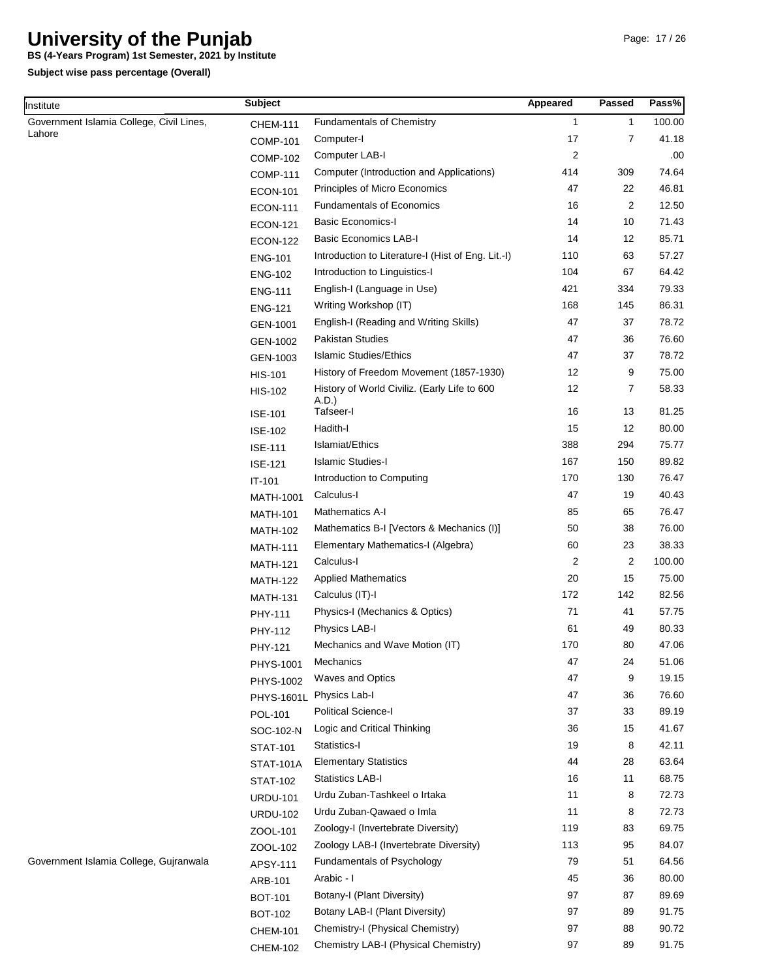**BS (4-Years Program) 1st Semester, 2021 by Institute**

**Subject wise pass percentage (Overall)**

Institute

| nstitute                                           | <b>Subject</b>    |                                                       | Appeared       | Passed         | Pass%  |
|----------------------------------------------------|-------------------|-------------------------------------------------------|----------------|----------------|--------|
| Government Islamia College, Civil Lines,<br>Lahore | <b>CHEM-111</b>   | <b>Fundamentals of Chemistry</b>                      | $\mathbf{1}$   | $\mathbf{1}$   | 100.00 |
|                                                    | <b>COMP-101</b>   | Computer-I                                            | 17             | 7              | 41.18  |
|                                                    | <b>COMP-102</b>   | Computer LAB-I                                        | $\overline{2}$ |                | .00.   |
|                                                    | <b>COMP-111</b>   | Computer (Introduction and Applications)              | 414            | 309            | 74.64  |
|                                                    | <b>ECON-101</b>   | Principles of Micro Economics                         | 47             | 22             | 46.81  |
|                                                    | <b>ECON-111</b>   | <b>Fundamentals of Economics</b>                      | 16             | $\overline{c}$ | 12.50  |
|                                                    | <b>ECON-121</b>   | <b>Basic Economics-I</b>                              | 14             | 10             | 71.43  |
|                                                    | <b>ECON-122</b>   | <b>Basic Economics LAB-I</b>                          | 14             | 12             | 85.71  |
|                                                    | <b>ENG-101</b>    | Introduction to Literature-I (Hist of Eng. Lit.-I)    | 110            | 63             | 57.27  |
|                                                    | <b>ENG-102</b>    | Introduction to Linguistics-I                         | 104            | 67             | 64.42  |
|                                                    | <b>ENG-111</b>    | English-I (Language in Use)                           | 421            | 334            | 79.33  |
|                                                    | <b>ENG-121</b>    | Writing Workshop (IT)                                 | 168            | 145            | 86.31  |
|                                                    | GEN-1001          | English-I (Reading and Writing Skills)                | 47             | 37             | 78.72  |
|                                                    | GEN-1002          | <b>Pakistan Studies</b>                               | 47             | 36             | 76.60  |
|                                                    | GEN-1003          | <b>Islamic Studies/Ethics</b>                         | 47             | 37             | 78.72  |
|                                                    | <b>HIS-101</b>    | History of Freedom Movement (1857-1930)               | 12             | 9              | 75.00  |
|                                                    | <b>HIS-102</b>    | History of World Civiliz. (Early Life to 600<br>A.D.) | 12             | 7              | 58.33  |
|                                                    | <b>ISE-101</b>    | Tafseer-I                                             | 16             | 13             | 81.25  |
|                                                    | <b>ISE-102</b>    | Hadith-I                                              | 15             | 12             | 80.00  |
|                                                    | <b>ISE-111</b>    | Islamiat/Ethics                                       | 388            | 294            | 75.77  |
|                                                    | <b>ISE-121</b>    | <b>Islamic Studies-I</b>                              | 167            | 150            | 89.82  |
|                                                    | IT-101            | Introduction to Computing                             | 170            | 130            | 76.47  |
|                                                    | MATH-1001         | Calculus-I                                            | 47             | 19             | 40.43  |
|                                                    | <b>MATH-101</b>   | <b>Mathematics A-I</b>                                | 85             | 65             | 76.47  |
|                                                    | <b>MATH-102</b>   | Mathematics B-I [Vectors & Mechanics (I)]             | 50             | 38             | 76.00  |
|                                                    | <b>MATH-111</b>   | Elementary Mathematics-I (Algebra)                    | 60             | 23             | 38.33  |
|                                                    | <b>MATH-121</b>   | Calculus-I                                            | $\overline{2}$ | 2              | 100.00 |
|                                                    | <b>MATH-122</b>   | <b>Applied Mathematics</b>                            | 20             | 15             | 75.00  |
|                                                    | <b>MATH-131</b>   | Calculus (IT)-I                                       | 172            | 142            | 82.56  |
|                                                    | PHY-111           | Physics-I (Mechanics & Optics)                        | 71             | 41             | 57.75  |
|                                                    | PHY-112           | Physics LAB-I                                         | 61             | 49             | 80.33  |
|                                                    | PHY-121           | Mechanics and Wave Motion (IT)                        | 170            | 80             | 47.06  |
|                                                    | PHYS-1001         | Mechanics                                             | 47             | 24             | 51.06  |
|                                                    | PHYS-1002         | <b>Waves and Optics</b>                               | 47             | 9              | 19.15  |
|                                                    | <b>PHYS-1601L</b> | Physics Lab-I                                         | 47             | 36             | 76.60  |
|                                                    | POL-101           | Political Science-I                                   | 37             | 33             | 89.19  |
|                                                    | SOC-102-N         | Logic and Critical Thinking                           | 36             | 15             | 41.67  |
|                                                    | <b>STAT-101</b>   | Statistics-I                                          | 19             | 8              | 42.11  |
|                                                    | <b>STAT-101A</b>  | <b>Elementary Statistics</b>                          | 44             | 28             | 63.64  |
|                                                    | <b>STAT-102</b>   | <b>Statistics LAB-I</b>                               | 16             | 11             | 68.75  |
|                                                    | <b>URDU-101</b>   | Urdu Zuban-Tashkeel o Irtaka                          | 11             | 8              | 72.73  |
|                                                    | <b>URDU-102</b>   | Urdu Zuban-Qawaed o Imla                              | 11             | 8              | 72.73  |
|                                                    | ZOOL-101          | Zoology-I (Invertebrate Diversity)                    | 119            | 83             | 69.75  |
|                                                    | ZOOL-102          | Zoology LAB-I (Invertebrate Diversity)                | 113            | 95             | 84.07  |
| Government Islamia College, Gujranwala             | APSY-111          | Fundamentals of Psychology                            | 79             | 51             | 64.56  |
|                                                    | ARB-101           | Arabic - I                                            | 45             | 36             | 80.00  |
|                                                    | <b>BOT-101</b>    | Botany-I (Plant Diversity)                            | 97             | 87             | 89.69  |
|                                                    | <b>BOT-102</b>    | Botany LAB-I (Plant Diversity)                        | 97             | 89             | 91.75  |
|                                                    | <b>CHEM-101</b>   | Chemistry-I (Physical Chemistry)                      | 97             | 88             | 90.72  |
|                                                    | <b>CHEM-102</b>   | Chemistry LAB-I (Physical Chemistry)                  | 97             | 89             | 91.75  |
|                                                    |                   |                                                       |                |                |        |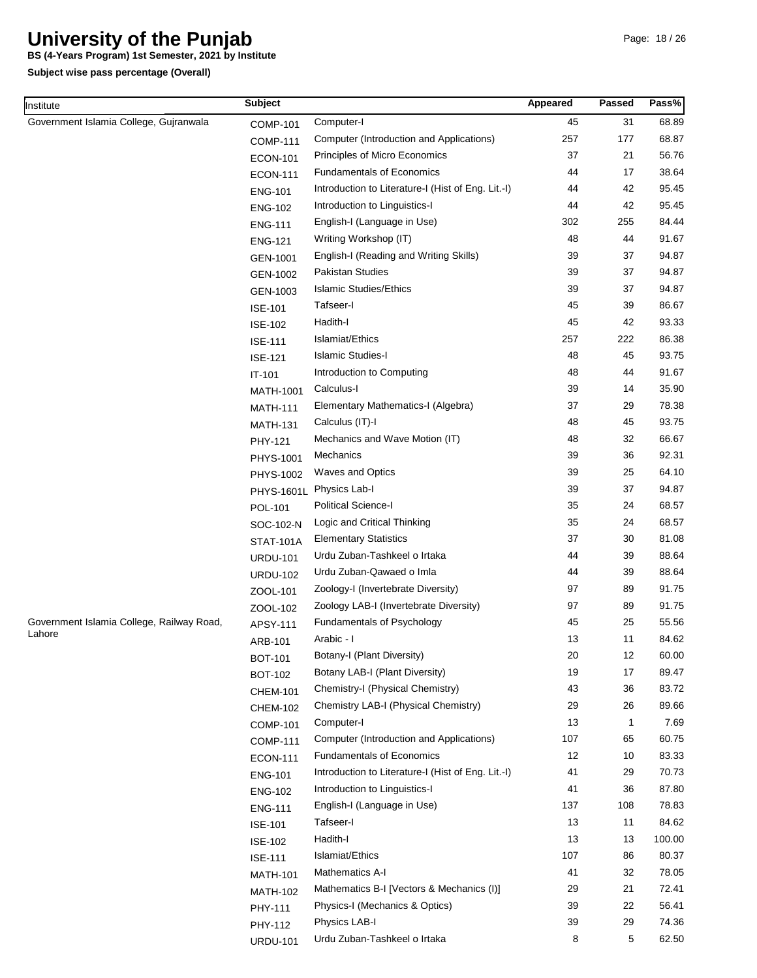**BS (4-Years Program) 1st Semester, 2021 by Institute**

**Subject wise pass percentage (Overall)**

Institute

| nstitute                                  | <b>Subject</b>    |                                                    | Appeared | Passed       | Pass%  |
|-------------------------------------------|-------------------|----------------------------------------------------|----------|--------------|--------|
| Government Islamia College, Gujranwala    | <b>COMP-101</b>   | Computer-I                                         | 45       | 31           | 68.89  |
|                                           | <b>COMP-111</b>   | Computer (Introduction and Applications)           | 257      | 177          | 68.87  |
|                                           | <b>ECON-101</b>   | Principles of Micro Economics                      | 37       | 21           | 56.76  |
|                                           | <b>ECON-111</b>   | <b>Fundamentals of Economics</b>                   | 44       | 17           | 38.64  |
|                                           | <b>ENG-101</b>    | Introduction to Literature-I (Hist of Eng. Lit.-I) | 44       | 42           | 95.45  |
|                                           | <b>ENG-102</b>    | Introduction to Linguistics-I                      | 44       | 42           | 95.45  |
|                                           | <b>ENG-111</b>    | English-I (Language in Use)                        | 302      | 255          | 84.44  |
|                                           | <b>ENG-121</b>    | Writing Workshop (IT)                              | 48       | 44           | 91.67  |
|                                           | GEN-1001          | English-I (Reading and Writing Skills)             | 39       | 37           | 94.87  |
|                                           | GEN-1002          | <b>Pakistan Studies</b>                            | 39       | 37           | 94.87  |
|                                           | GEN-1003          | <b>Islamic Studies/Ethics</b>                      | 39       | 37           | 94.87  |
|                                           | <b>ISE-101</b>    | Tafseer-I                                          | 45       | 39           | 86.67  |
|                                           | <b>ISE-102</b>    | Hadith-I                                           | 45       | 42           | 93.33  |
|                                           | <b>ISE-111</b>    | Islamiat/Ethics                                    | 257      | 222          | 86.38  |
|                                           | <b>ISE-121</b>    | <b>Islamic Studies-I</b>                           | 48       | 45           | 93.75  |
|                                           | IT-101            | Introduction to Computing                          | 48       | 44           | 91.67  |
|                                           | MATH-1001         | Calculus-I                                         | 39       | 14           | 35.90  |
|                                           | <b>MATH-111</b>   | Elementary Mathematics-I (Algebra)                 | 37       | 29           | 78.38  |
|                                           | <b>MATH-131</b>   | Calculus (IT)-I                                    | 48       | 45           | 93.75  |
|                                           | PHY-121           | Mechanics and Wave Motion (IT)                     | 48       | 32           | 66.67  |
|                                           | PHYS-1001         | Mechanics                                          | 39       | 36           | 92.31  |
|                                           | PHYS-1002         | Waves and Optics                                   | 39       | 25           | 64.10  |
|                                           | <b>PHYS-1601L</b> | Physics Lab-I                                      | 39       | 37           | 94.87  |
|                                           | POL-101           | <b>Political Science-I</b>                         | 35       | 24           | 68.57  |
|                                           | SOC-102-N         | Logic and Critical Thinking                        | 35       | 24           | 68.57  |
|                                           | <b>STAT-101A</b>  | <b>Elementary Statistics</b>                       | 37       | 30           | 81.08  |
|                                           | <b>URDU-101</b>   | Urdu Zuban-Tashkeel o Irtaka                       | 44       | 39           | 88.64  |
|                                           | <b>URDU-102</b>   | Urdu Zuban-Qawaed o Imla                           | 44       | 39           | 88.64  |
|                                           | ZOOL-101          | Zoology-I (Invertebrate Diversity)                 | 97       | 89           | 91.75  |
|                                           | ZOOL-102          | Zoology LAB-I (Invertebrate Diversity)             | 97       | 89           | 91.75  |
| Government Islamia College, Railway Road, | APSY-111          | Fundamentals of Psychology                         | 45       | 25           | 55.56  |
| Lahore                                    | ARB-101           | Arabic - I                                         | 13       | 11           | 84.62  |
|                                           | <b>BOT-101</b>    | Botany-I (Plant Diversity)                         | 20       | 12           | 60.00  |
|                                           | <b>BOT-102</b>    | Botany LAB-I (Plant Diversity)                     | 19       | 17           | 89.47  |
|                                           | <b>CHEM-101</b>   | Chemistry-I (Physical Chemistry)                   | 43       | 36           | 83.72  |
|                                           | <b>CHEM-102</b>   | Chemistry LAB-I (Physical Chemistry)               | 29       | 26           | 89.66  |
|                                           | <b>COMP-101</b>   | Computer-I                                         | 13       | $\mathbf{1}$ | 7.69   |
|                                           | <b>COMP-111</b>   | Computer (Introduction and Applications)           | 107      | 65           | 60.75  |
|                                           | <b>ECON-111</b>   | <b>Fundamentals of Economics</b>                   | 12       | 10           | 83.33  |
|                                           | <b>ENG-101</b>    | Introduction to Literature-I (Hist of Eng. Lit.-I) | 41       | 29           | 70.73  |
|                                           | <b>ENG-102</b>    | Introduction to Linguistics-I                      | 41       | 36           | 87.80  |
|                                           | <b>ENG-111</b>    | English-I (Language in Use)                        | 137      | 108          | 78.83  |
|                                           | <b>ISE-101</b>    | Tafseer-I                                          | 13       | 11           | 84.62  |
|                                           | <b>ISE-102</b>    | Hadith-I                                           | 13       | 13           | 100.00 |
|                                           | <b>ISE-111</b>    | Islamiat/Ethics                                    | 107      | 86           | 80.37  |
|                                           | <b>MATH-101</b>   | <b>Mathematics A-I</b>                             | 41       | 32           | 78.05  |
|                                           | <b>MATH-102</b>   | Mathematics B-I [Vectors & Mechanics (I)]          | 29       | 21           | 72.41  |
|                                           | PHY-111           | Physics-I (Mechanics & Optics)                     | 39       | 22           | 56.41  |
|                                           | PHY-112           | Physics LAB-I                                      | 39       | 29           | 74.36  |
|                                           | <b>URDU-101</b>   | Urdu Zuban-Tashkeel o Irtaka                       | 8        | 5            | 62.50  |
|                                           |                   |                                                    |          |              |        |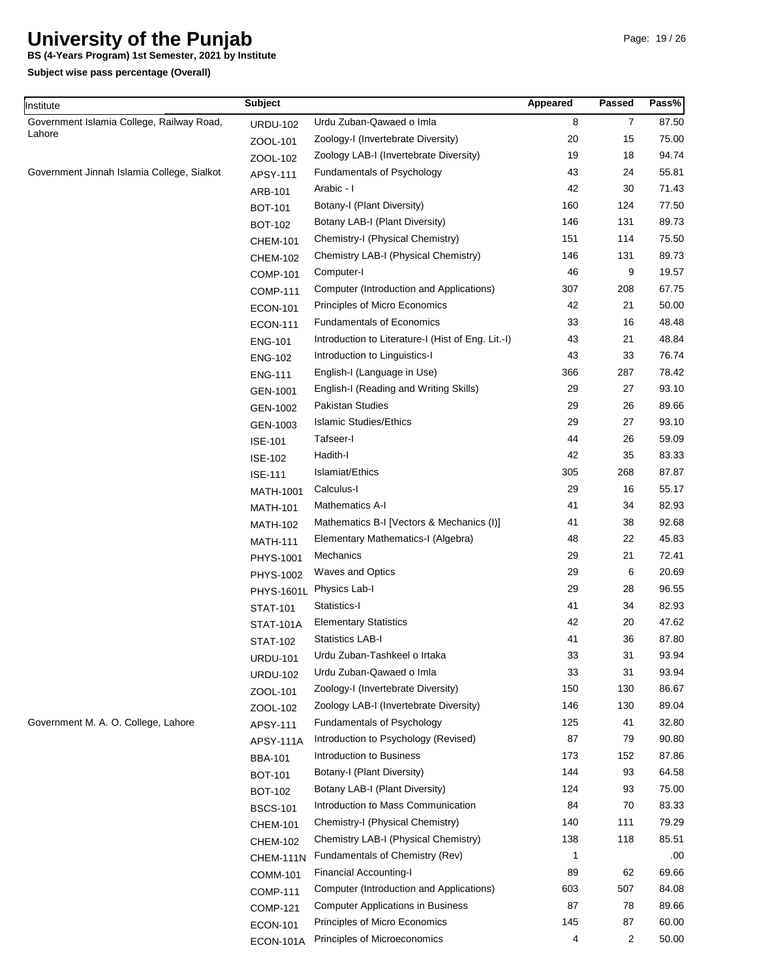**BS (4-Years Program) 1st Semester, 2021 by Institute**

**Subject wise pass percentage (Overall)**

Institute

| nstitute                                   | <b>Subject</b>    |                                                    | Appeared | <b>Passed</b>  | Pass% |
|--------------------------------------------|-------------------|----------------------------------------------------|----------|----------------|-------|
| Government Islamia College, Railway Road,  | <b>URDU-102</b>   | Urdu Zuban-Qawaed o Imla                           | 8        | $\overline{7}$ | 87.50 |
| Lahore                                     | ZOOL-101          | Zoology-I (Invertebrate Diversity)                 | 20       | 15             | 75.00 |
|                                            | ZOOL-102          | Zoology LAB-I (Invertebrate Diversity)             | 19       | 18             | 94.74 |
| Government Jinnah Islamia College, Sialkot | APSY-111          | Fundamentals of Psychology                         | 43       | 24             | 55.81 |
|                                            | ARB-101           | Arabic - I                                         | 42       | 30             | 71.43 |
|                                            | <b>BOT-101</b>    | Botany-I (Plant Diversity)                         | 160      | 124            | 77.50 |
|                                            | <b>BOT-102</b>    | Botany LAB-I (Plant Diversity)                     | 146      | 131            | 89.73 |
|                                            | <b>CHEM-101</b>   | Chemistry-I (Physical Chemistry)                   | 151      | 114            | 75.50 |
|                                            | <b>CHEM-102</b>   | Chemistry LAB-I (Physical Chemistry)               | 146      | 131            | 89.73 |
|                                            | <b>COMP-101</b>   | Computer-I                                         | 46       | 9              | 19.57 |
| Government M. A. O. College, Lahore        | <b>COMP-111</b>   | Computer (Introduction and Applications)           | 307      | 208            | 67.75 |
|                                            | <b>ECON-101</b>   | Principles of Micro Economics                      | 42       | 21             | 50.00 |
|                                            | <b>ECON-111</b>   | <b>Fundamentals of Economics</b>                   | 33       | 16             | 48.48 |
|                                            | <b>ENG-101</b>    | Introduction to Literature-I (Hist of Eng. Lit.-I) | 43       | 21             | 48.84 |
|                                            | <b>ENG-102</b>    | Introduction to Linguistics-I                      | 43       | 33             | 76.74 |
|                                            | <b>ENG-111</b>    | English-I (Language in Use)                        | 366      | 287            | 78.42 |
|                                            | GEN-1001          | English-I (Reading and Writing Skills)             | 29       | 27             | 93.10 |
|                                            | GEN-1002          | <b>Pakistan Studies</b>                            | 29       | 26             | 89.66 |
|                                            | GEN-1003          | <b>Islamic Studies/Ethics</b>                      | 29       | 27             | 93.10 |
|                                            | <b>ISE-101</b>    | Tafseer-I                                          | 44       | 26             | 59.09 |
|                                            |                   | Hadith-I                                           | 42       | 35             | 83.33 |
|                                            | <b>ISE-102</b>    | Islamiat/Ethics                                    | 305      | 268            | 87.87 |
|                                            | <b>ISE-111</b>    | Calculus-I                                         | 29       | 16             | 55.17 |
|                                            | MATH-1001         | Mathematics A-I                                    | 41       | 34             | 82.93 |
|                                            | <b>MATH-101</b>   | Mathematics B-I [Vectors & Mechanics (I)]          | 41       | 38             | 92.68 |
|                                            | <b>MATH-102</b>   | Elementary Mathematics-I (Algebra)                 | 48       | 22             | 45.83 |
|                                            | <b>MATH-111</b>   | Mechanics                                          | 29       | 21             | 72.41 |
|                                            | <b>PHYS-1001</b>  | <b>Waves and Optics</b>                            | 29       | 6              | 20.69 |
|                                            | PHYS-1002         | Physics Lab-I                                      | 29       | 28             | 96.55 |
|                                            | <b>PHYS-1601L</b> | Statistics-I                                       | 41       | 34             | 82.93 |
|                                            | <b>STAT-101</b>   |                                                    |          |                |       |
|                                            | STAT-101A         | <b>Elementary Statistics</b>                       | 42       | 20             | 47.62 |
|                                            | <b>STAT-102</b>   | <b>Statistics LAB-I</b>                            | 41       | 36             | 87.80 |
|                                            | <b>URDU-101</b>   | Urdu Zuban-Tashkeel o Irtaka                       | 33       | 31             | 93.94 |
|                                            | <b>URDU-102</b>   | Urdu Zuban-Qawaed o Imla                           | 33       | 31             | 93.94 |
|                                            | ZOOL-101          | Zoology-I (Invertebrate Diversity)                 | 150      | 130            | 86.67 |
|                                            | ZOOL-102          | Zoology LAB-I (Invertebrate Diversity)             | 146      | 130            | 89.04 |
|                                            | APSY-111          | Fundamentals of Psychology                         | 125      | 41             | 32.80 |
|                                            | APSY-111A         | Introduction to Psychology (Revised)               | 87       | 79             | 90.80 |
|                                            | <b>BBA-101</b>    | Introduction to Business                           | 173      | 152            | 87.86 |
|                                            | <b>BOT-101</b>    | Botany-I (Plant Diversity)                         | 144      | 93             | 64.58 |
|                                            | <b>BOT-102</b>    | Botany LAB-I (Plant Diversity)                     | 124      | 93             | 75.00 |
|                                            | <b>BSCS-101</b>   | Introduction to Mass Communication                 | 84       | 70             | 83.33 |
|                                            | <b>CHEM-101</b>   | Chemistry-I (Physical Chemistry)                   | 140      | 111            | 79.29 |
|                                            | <b>CHEM-102</b>   | Chemistry LAB-I (Physical Chemistry)               | 138      | 118            | 85.51 |
|                                            | CHEM-111N         | Fundamentals of Chemistry (Rev)                    | 1        |                | .00   |
|                                            | <b>COMM-101</b>   | <b>Financial Accounting-I</b>                      | 89       | 62             | 69.66 |
|                                            | <b>COMP-111</b>   | Computer (Introduction and Applications)           | 603      | 507            | 84.08 |
|                                            | <b>COMP-121</b>   | <b>Computer Applications in Business</b>           | 87       | 78             | 89.66 |
|                                            | <b>ECON-101</b>   | Principles of Micro Economics                      | 145      | 87             | 60.00 |
|                                            | ECON-101A         | Principles of Microeconomics                       | 4        | $\overline{2}$ | 50.00 |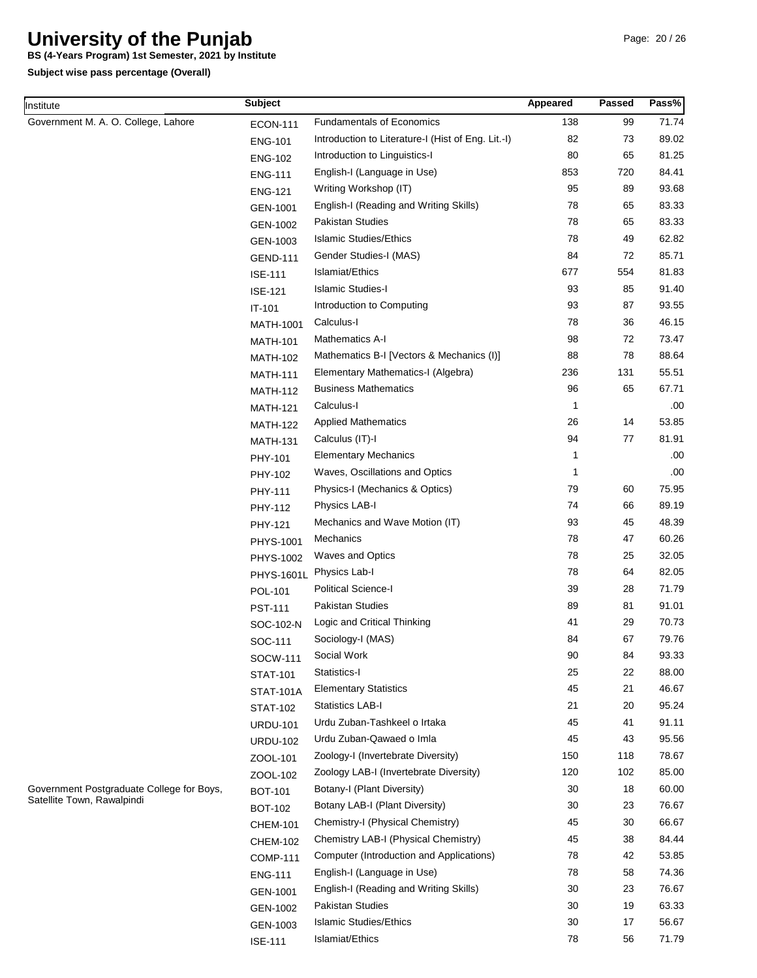**BS (4-Years Program) 1st Semester, 2021 by Institute**

| Institute                                 | <b>Subject</b>   |                                                    | Appeared | <b>Passed</b> | Pass% |
|-------------------------------------------|------------------|----------------------------------------------------|----------|---------------|-------|
| Government M. A. O. College, Lahore       | <b>ECON-111</b>  | <b>Fundamentals of Economics</b>                   | 138      | 99            | 71.74 |
|                                           | <b>ENG-101</b>   | Introduction to Literature-I (Hist of Eng. Lit.-I) | 82       | 73            | 89.02 |
|                                           | <b>ENG-102</b>   | Introduction to Linguistics-I                      | 80       | 65            | 81.25 |
|                                           | <b>ENG-111</b>   | English-I (Language in Use)                        | 853      | 720           | 84.41 |
|                                           | <b>ENG-121</b>   | Writing Workshop (IT)                              | 95       | 89            | 93.68 |
|                                           | GEN-1001         | English-I (Reading and Writing Skills)             | 78       | 65            | 83.33 |
|                                           | GEN-1002         | Pakistan Studies                                   | 78       | 65            | 83.33 |
|                                           | GEN-1003         | <b>Islamic Studies/Ethics</b>                      | 78       | 49            | 62.82 |
|                                           | <b>GEND-111</b>  | Gender Studies-I (MAS)                             | 84       | 72            | 85.71 |
|                                           | <b>ISE-111</b>   | Islamiat/Ethics                                    | 677      | 554           | 81.83 |
|                                           | <b>ISE-121</b>   | <b>Islamic Studies-I</b>                           | 93       | 85            | 91.40 |
|                                           | IT-101           | Introduction to Computing                          | 93       | 87            | 93.55 |
|                                           | <b>MATH-1001</b> | Calculus-I                                         | 78       | 36            | 46.15 |
|                                           | <b>MATH-101</b>  | Mathematics A-I                                    | 98       | 72            | 73.47 |
|                                           | <b>MATH-102</b>  | Mathematics B-I [Vectors & Mechanics (I)]          | 88       | 78            | 88.64 |
|                                           | <b>MATH-111</b>  | Elementary Mathematics-I (Algebra)                 | 236      | 131           | 55.51 |
|                                           | <b>MATH-112</b>  | <b>Business Mathematics</b>                        | 96       | 65            | 67.71 |
|                                           | <b>MATH-121</b>  | Calculus-I                                         | 1        |               | .00   |
|                                           | <b>MATH-122</b>  | <b>Applied Mathematics</b>                         | 26       | 14            | 53.85 |
|                                           | <b>MATH-131</b>  | Calculus (IT)-I                                    | 94       | 77            | 81.91 |
|                                           | PHY-101          | <b>Elementary Mechanics</b>                        | 1        |               | .00   |
|                                           | PHY-102          | Waves, Oscillations and Optics                     | 1        |               | .00.  |
|                                           | PHY-111          | Physics-I (Mechanics & Optics)                     | 79       | 60            | 75.95 |
|                                           | PHY-112          | Physics LAB-I                                      | 74       | 66            | 89.19 |
|                                           | PHY-121          | Mechanics and Wave Motion (IT)                     | 93       | 45            | 48.39 |
|                                           | PHYS-1001        | Mechanics                                          | 78       | 47            | 60.26 |
|                                           | PHYS-1002        | <b>Waves and Optics</b>                            | 78       | 25            | 32.05 |
|                                           | PHYS-1601L       | Physics Lab-I                                      | 78       | 64            | 82.05 |
|                                           | POL-101          | <b>Political Science-I</b>                         | 39       | 28            | 71.79 |
|                                           | <b>PST-111</b>   | Pakistan Studies                                   | 89       | 81            | 91.01 |
|                                           | SOC-102-N        | Logic and Critical Thinking                        | 41       | 29            | 70.73 |
|                                           | SOC-111          | Sociology-I (MAS)                                  | 84       | 67            | 79.76 |
|                                           | SOCW-111         | Social Work                                        | 90       | 84            | 93.33 |
|                                           | <b>STAT-101</b>  | Statistics-I                                       | 25       | 22            | 88.00 |
|                                           | <b>STAT-101A</b> | <b>Elementary Statistics</b>                       | 45       | 21            | 46.67 |
|                                           | <b>STAT-102</b>  | <b>Statistics LAB-I</b>                            | 21       | 20            | 95.24 |
|                                           | <b>URDU-101</b>  | Urdu Zuban-Tashkeel o Irtaka                       | 45       | 41            | 91.11 |
|                                           | <b>URDU-102</b>  | Urdu Zuban-Qawaed o Imla                           | 45       | 43            | 95.56 |
|                                           | ZOOL-101         | Zoology-I (Invertebrate Diversity)                 | 150      | 118           | 78.67 |
|                                           | ZOOL-102         | Zoology LAB-I (Invertebrate Diversity)             | 120      | 102           | 85.00 |
| Government Postgraduate College for Boys, | <b>BOT-101</b>   | Botany-I (Plant Diversity)                         | 30       | 18            | 60.00 |
|                                           | <b>BOT-102</b>   | Botany LAB-I (Plant Diversity)                     | 30       | 23            | 76.67 |
| Satellite Town, Rawalpindi                | <b>CHEM-101</b>  | Chemistry-I (Physical Chemistry)                   | 45       | 30            | 66.67 |
|                                           | <b>CHEM-102</b>  | Chemistry LAB-I (Physical Chemistry)               | 45       | 38            | 84.44 |
|                                           | <b>COMP-111</b>  | Computer (Introduction and Applications)           | 78       | 42            | 53.85 |
|                                           | <b>ENG-111</b>   | English-I (Language in Use)                        | 78       | 58            | 74.36 |
|                                           | GEN-1001         | English-I (Reading and Writing Skills)             | 30       | 23            | 76.67 |
|                                           | GEN-1002         | Pakistan Studies                                   | 30       | 19            | 63.33 |
|                                           | GEN-1003         | <b>Islamic Studies/Ethics</b>                      | 30       | 17            | 56.67 |
|                                           | <b>ISE-111</b>   | Islamiat/Ethics                                    | 78       | 56            | 71.79 |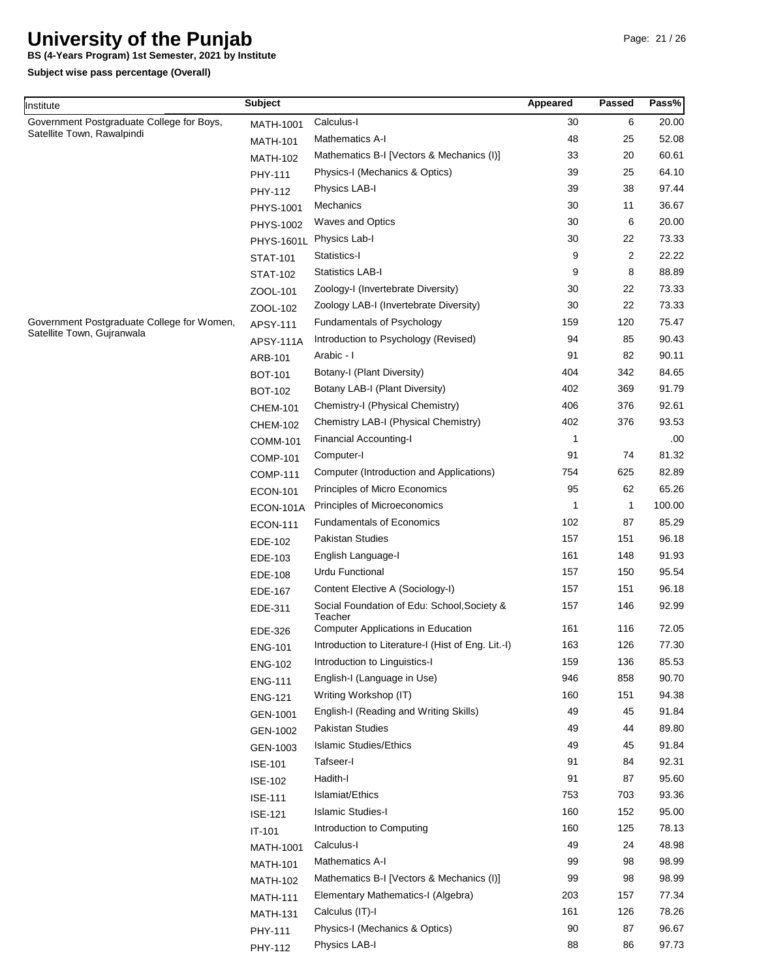**BS (4-Years Program) 1st Semester, 2021 by Institute**

| Government Postgraduate College for Boys,<br>Calculus-I<br>30<br>6<br>20.00<br><b>MATH-1001</b><br>Satellite Town, Rawalpindi<br>Mathematics A-I<br>48<br>25<br>52.08<br><b>MATH-101</b><br>33<br>20<br>60.61<br>Mathematics B-I [Vectors & Mechanics (I)]<br><b>MATH-102</b><br>64.10<br>39<br>25<br>Physics-I (Mechanics & Optics)<br>PHY-111<br>38<br>97.44<br>Physics LAB-I<br>39<br>PHY-112<br>Mechanics<br>30<br>36.67<br>11<br>PHYS-1001<br>30<br>20.00<br><b>Waves and Optics</b><br>6<br>PHYS-1002<br>30<br>22<br>73.33<br>Physics Lab-I<br><b>PHYS-1601L</b><br>2<br>Statistics-I<br>9<br>22.22<br><b>STAT-101</b><br>9<br>8<br>88.89<br><b>Statistics LAB-I</b><br><b>STAT-102</b><br>30<br>22<br>73.33<br>Zoology-I (Invertebrate Diversity)<br>ZOOL-101<br>Zoology LAB-I (Invertebrate Diversity)<br>30<br>22<br>73.33<br>ZOOL-102<br>Government Postgraduate College for Women,<br>Fundamentals of Psychology<br>159<br>120<br>75.47<br>APSY-111<br>Satellite Town, Gujranwala<br>Introduction to Psychology (Revised)<br>94<br>85<br>90.43<br><b>APSY-111A</b><br>Arabic - I<br>91<br>82<br>90.11<br>ARB-101<br>Botany-I (Plant Diversity)<br>404<br>342<br>84.65<br><b>BOT-101</b><br>91.79<br>Botany LAB-I (Plant Diversity)<br>402<br>369<br><b>BOT-102</b><br>406<br>376<br>92.61<br>Chemistry-I (Physical Chemistry)<br><b>CHEM-101</b><br>Chemistry LAB-I (Physical Chemistry)<br>402<br>376<br>93.53<br><b>CHEM-102</b><br><b>Financial Accounting-I</b><br>1<br>.00.<br><b>COMM-101</b><br>Computer-I<br>91<br>74<br>81.32<br><b>COMP-101</b><br>754<br>625<br>82.89<br>Computer (Introduction and Applications)<br><b>COMP-111</b><br>Principles of Micro Economics<br>95<br>62<br>65.26<br><b>ECON-101</b><br>Principles of Microeconomics<br>100.00<br>1<br>1<br>ECON-101A<br><b>Fundamentals of Economics</b><br>102<br>87<br>85.29<br><b>ECON-111</b><br><b>Pakistan Studies</b><br>157<br>151<br>96.18<br>EDE-102<br>161<br>148<br>91.93<br>English Language-I<br>EDE-103<br><b>Urdu Functional</b><br>157<br>150<br>95.54<br>EDE-108<br>Content Elective A (Sociology-I)<br>157<br>151<br>96.18<br><b>EDE-167</b><br>Social Foundation of Edu: School, Society &<br>92.99<br>157<br>146<br>EDE-311<br>Teacher<br>161<br>116<br>72.05<br><b>Computer Applications in Education</b><br>EDE-326<br>163<br>126<br>77.30<br>Introduction to Literature-I (Hist of Eng. Lit.-I)<br><b>ENG-101</b><br>159<br>85.53<br>Introduction to Linguistics-I<br>136<br><b>ENG-102</b><br>English-I (Language in Use)<br>946<br>858<br>90.70<br><b>ENG-111</b><br>160<br>151<br>94.38<br>Writing Workshop (IT)<br><b>ENG-121</b><br>91.84<br>English-I (Reading and Writing Skills)<br>49<br>45<br>GEN-1001<br>89.80<br>Pakistan Studies<br>49<br>44<br>GEN-1002<br>91.84<br><b>Islamic Studies/Ethics</b><br>49<br>45<br>GEN-1003<br>91<br>84<br>92.31<br>Tafseer-I<br><b>ISE-101</b><br>95.60<br>Hadith-I<br>91<br>87<br><b>ISE-102</b><br>Islamiat/Ethics<br>753<br>703<br>93.36<br><b>ISE-111</b><br>160<br>95.00<br><b>Islamic Studies-I</b><br>152<br><b>ISE-121</b><br>160<br>78.13<br>Introduction to Computing<br>125<br>$IT-101$<br>48.98<br>49<br>24<br>Calculus-I<br><b>MATH-1001</b><br>98.99<br>99<br>98<br>Mathematics A-I<br><b>MATH-101</b><br>99<br>98.99<br>Mathematics B-I [Vectors & Mechanics (I)]<br>98<br><b>MATH-102</b><br>203<br>77.34<br>Elementary Mathematics-I (Algebra)<br>157<br><b>MATH-111</b><br>161<br>126<br>78.26<br>Calculus (IT)-I<br><b>MATH-131</b><br>96.67<br>90<br>87<br>Physics-I (Mechanics & Optics)<br>PHY-111 | Institute | <b>Subject</b> | Appeared | <b>Passed</b> | Pass% |
|-------------------------------------------------------------------------------------------------------------------------------------------------------------------------------------------------------------------------------------------------------------------------------------------------------------------------------------------------------------------------------------------------------------------------------------------------------------------------------------------------------------------------------------------------------------------------------------------------------------------------------------------------------------------------------------------------------------------------------------------------------------------------------------------------------------------------------------------------------------------------------------------------------------------------------------------------------------------------------------------------------------------------------------------------------------------------------------------------------------------------------------------------------------------------------------------------------------------------------------------------------------------------------------------------------------------------------------------------------------------------------------------------------------------------------------------------------------------------------------------------------------------------------------------------------------------------------------------------------------------------------------------------------------------------------------------------------------------------------------------------------------------------------------------------------------------------------------------------------------------------------------------------------------------------------------------------------------------------------------------------------------------------------------------------------------------------------------------------------------------------------------------------------------------------------------------------------------------------------------------------------------------------------------------------------------------------------------------------------------------------------------------------------------------------------------------------------------------------------------------------------------------------------------------------------------------------------------------------------------------------------------------------------------------------------------------------------------------------------------------------------------------------------------------------------------------------------------------------------------------------------------------------------------------------------------------------------------------------------------------------------------------------------------------------------------------------------------------------------------------------------------------------------------------------------------------------------------------------------------------------------------------------------------------------------------------------------------------------------------------------------------------------------------------------------------------------------------------------------------------------------------------------------------------------------------------------------|-----------|----------------|----------|---------------|-------|
|                                                                                                                                                                                                                                                                                                                                                                                                                                                                                                                                                                                                                                                                                                                                                                                                                                                                                                                                                                                                                                                                                                                                                                                                                                                                                                                                                                                                                                                                                                                                                                                                                                                                                                                                                                                                                                                                                                                                                                                                                                                                                                                                                                                                                                                                                                                                                                                                                                                                                                                                                                                                                                                                                                                                                                                                                                                                                                                                                                                                                                                                                                                                                                                                                                                                                                                                                                                                                                                                                                                                                                               |           |                |          |               |       |
|                                                                                                                                                                                                                                                                                                                                                                                                                                                                                                                                                                                                                                                                                                                                                                                                                                                                                                                                                                                                                                                                                                                                                                                                                                                                                                                                                                                                                                                                                                                                                                                                                                                                                                                                                                                                                                                                                                                                                                                                                                                                                                                                                                                                                                                                                                                                                                                                                                                                                                                                                                                                                                                                                                                                                                                                                                                                                                                                                                                                                                                                                                                                                                                                                                                                                                                                                                                                                                                                                                                                                                               |           |                |          |               |       |
|                                                                                                                                                                                                                                                                                                                                                                                                                                                                                                                                                                                                                                                                                                                                                                                                                                                                                                                                                                                                                                                                                                                                                                                                                                                                                                                                                                                                                                                                                                                                                                                                                                                                                                                                                                                                                                                                                                                                                                                                                                                                                                                                                                                                                                                                                                                                                                                                                                                                                                                                                                                                                                                                                                                                                                                                                                                                                                                                                                                                                                                                                                                                                                                                                                                                                                                                                                                                                                                                                                                                                                               |           |                |          |               |       |
|                                                                                                                                                                                                                                                                                                                                                                                                                                                                                                                                                                                                                                                                                                                                                                                                                                                                                                                                                                                                                                                                                                                                                                                                                                                                                                                                                                                                                                                                                                                                                                                                                                                                                                                                                                                                                                                                                                                                                                                                                                                                                                                                                                                                                                                                                                                                                                                                                                                                                                                                                                                                                                                                                                                                                                                                                                                                                                                                                                                                                                                                                                                                                                                                                                                                                                                                                                                                                                                                                                                                                                               |           |                |          |               |       |
|                                                                                                                                                                                                                                                                                                                                                                                                                                                                                                                                                                                                                                                                                                                                                                                                                                                                                                                                                                                                                                                                                                                                                                                                                                                                                                                                                                                                                                                                                                                                                                                                                                                                                                                                                                                                                                                                                                                                                                                                                                                                                                                                                                                                                                                                                                                                                                                                                                                                                                                                                                                                                                                                                                                                                                                                                                                                                                                                                                                                                                                                                                                                                                                                                                                                                                                                                                                                                                                                                                                                                                               |           |                |          |               |       |
|                                                                                                                                                                                                                                                                                                                                                                                                                                                                                                                                                                                                                                                                                                                                                                                                                                                                                                                                                                                                                                                                                                                                                                                                                                                                                                                                                                                                                                                                                                                                                                                                                                                                                                                                                                                                                                                                                                                                                                                                                                                                                                                                                                                                                                                                                                                                                                                                                                                                                                                                                                                                                                                                                                                                                                                                                                                                                                                                                                                                                                                                                                                                                                                                                                                                                                                                                                                                                                                                                                                                                                               |           |                |          |               |       |
|                                                                                                                                                                                                                                                                                                                                                                                                                                                                                                                                                                                                                                                                                                                                                                                                                                                                                                                                                                                                                                                                                                                                                                                                                                                                                                                                                                                                                                                                                                                                                                                                                                                                                                                                                                                                                                                                                                                                                                                                                                                                                                                                                                                                                                                                                                                                                                                                                                                                                                                                                                                                                                                                                                                                                                                                                                                                                                                                                                                                                                                                                                                                                                                                                                                                                                                                                                                                                                                                                                                                                                               |           |                |          |               |       |
|                                                                                                                                                                                                                                                                                                                                                                                                                                                                                                                                                                                                                                                                                                                                                                                                                                                                                                                                                                                                                                                                                                                                                                                                                                                                                                                                                                                                                                                                                                                                                                                                                                                                                                                                                                                                                                                                                                                                                                                                                                                                                                                                                                                                                                                                                                                                                                                                                                                                                                                                                                                                                                                                                                                                                                                                                                                                                                                                                                                                                                                                                                                                                                                                                                                                                                                                                                                                                                                                                                                                                                               |           |                |          |               |       |
|                                                                                                                                                                                                                                                                                                                                                                                                                                                                                                                                                                                                                                                                                                                                                                                                                                                                                                                                                                                                                                                                                                                                                                                                                                                                                                                                                                                                                                                                                                                                                                                                                                                                                                                                                                                                                                                                                                                                                                                                                                                                                                                                                                                                                                                                                                                                                                                                                                                                                                                                                                                                                                                                                                                                                                                                                                                                                                                                                                                                                                                                                                                                                                                                                                                                                                                                                                                                                                                                                                                                                                               |           |                |          |               |       |
|                                                                                                                                                                                                                                                                                                                                                                                                                                                                                                                                                                                                                                                                                                                                                                                                                                                                                                                                                                                                                                                                                                                                                                                                                                                                                                                                                                                                                                                                                                                                                                                                                                                                                                                                                                                                                                                                                                                                                                                                                                                                                                                                                                                                                                                                                                                                                                                                                                                                                                                                                                                                                                                                                                                                                                                                                                                                                                                                                                                                                                                                                                                                                                                                                                                                                                                                                                                                                                                                                                                                                                               |           |                |          |               |       |
|                                                                                                                                                                                                                                                                                                                                                                                                                                                                                                                                                                                                                                                                                                                                                                                                                                                                                                                                                                                                                                                                                                                                                                                                                                                                                                                                                                                                                                                                                                                                                                                                                                                                                                                                                                                                                                                                                                                                                                                                                                                                                                                                                                                                                                                                                                                                                                                                                                                                                                                                                                                                                                                                                                                                                                                                                                                                                                                                                                                                                                                                                                                                                                                                                                                                                                                                                                                                                                                                                                                                                                               |           |                |          |               |       |
|                                                                                                                                                                                                                                                                                                                                                                                                                                                                                                                                                                                                                                                                                                                                                                                                                                                                                                                                                                                                                                                                                                                                                                                                                                                                                                                                                                                                                                                                                                                                                                                                                                                                                                                                                                                                                                                                                                                                                                                                                                                                                                                                                                                                                                                                                                                                                                                                                                                                                                                                                                                                                                                                                                                                                                                                                                                                                                                                                                                                                                                                                                                                                                                                                                                                                                                                                                                                                                                                                                                                                                               |           |                |          |               |       |
|                                                                                                                                                                                                                                                                                                                                                                                                                                                                                                                                                                                                                                                                                                                                                                                                                                                                                                                                                                                                                                                                                                                                                                                                                                                                                                                                                                                                                                                                                                                                                                                                                                                                                                                                                                                                                                                                                                                                                                                                                                                                                                                                                                                                                                                                                                                                                                                                                                                                                                                                                                                                                                                                                                                                                                                                                                                                                                                                                                                                                                                                                                                                                                                                                                                                                                                                                                                                                                                                                                                                                                               |           |                |          |               |       |
|                                                                                                                                                                                                                                                                                                                                                                                                                                                                                                                                                                                                                                                                                                                                                                                                                                                                                                                                                                                                                                                                                                                                                                                                                                                                                                                                                                                                                                                                                                                                                                                                                                                                                                                                                                                                                                                                                                                                                                                                                                                                                                                                                                                                                                                                                                                                                                                                                                                                                                                                                                                                                                                                                                                                                                                                                                                                                                                                                                                                                                                                                                                                                                                                                                                                                                                                                                                                                                                                                                                                                                               |           |                |          |               |       |
|                                                                                                                                                                                                                                                                                                                                                                                                                                                                                                                                                                                                                                                                                                                                                                                                                                                                                                                                                                                                                                                                                                                                                                                                                                                                                                                                                                                                                                                                                                                                                                                                                                                                                                                                                                                                                                                                                                                                                                                                                                                                                                                                                                                                                                                                                                                                                                                                                                                                                                                                                                                                                                                                                                                                                                                                                                                                                                                                                                                                                                                                                                                                                                                                                                                                                                                                                                                                                                                                                                                                                                               |           |                |          |               |       |
|                                                                                                                                                                                                                                                                                                                                                                                                                                                                                                                                                                                                                                                                                                                                                                                                                                                                                                                                                                                                                                                                                                                                                                                                                                                                                                                                                                                                                                                                                                                                                                                                                                                                                                                                                                                                                                                                                                                                                                                                                                                                                                                                                                                                                                                                                                                                                                                                                                                                                                                                                                                                                                                                                                                                                                                                                                                                                                                                                                                                                                                                                                                                                                                                                                                                                                                                                                                                                                                                                                                                                                               |           |                |          |               |       |
|                                                                                                                                                                                                                                                                                                                                                                                                                                                                                                                                                                                                                                                                                                                                                                                                                                                                                                                                                                                                                                                                                                                                                                                                                                                                                                                                                                                                                                                                                                                                                                                                                                                                                                                                                                                                                                                                                                                                                                                                                                                                                                                                                                                                                                                                                                                                                                                                                                                                                                                                                                                                                                                                                                                                                                                                                                                                                                                                                                                                                                                                                                                                                                                                                                                                                                                                                                                                                                                                                                                                                                               |           |                |          |               |       |
|                                                                                                                                                                                                                                                                                                                                                                                                                                                                                                                                                                                                                                                                                                                                                                                                                                                                                                                                                                                                                                                                                                                                                                                                                                                                                                                                                                                                                                                                                                                                                                                                                                                                                                                                                                                                                                                                                                                                                                                                                                                                                                                                                                                                                                                                                                                                                                                                                                                                                                                                                                                                                                                                                                                                                                                                                                                                                                                                                                                                                                                                                                                                                                                                                                                                                                                                                                                                                                                                                                                                                                               |           |                |          |               |       |
|                                                                                                                                                                                                                                                                                                                                                                                                                                                                                                                                                                                                                                                                                                                                                                                                                                                                                                                                                                                                                                                                                                                                                                                                                                                                                                                                                                                                                                                                                                                                                                                                                                                                                                                                                                                                                                                                                                                                                                                                                                                                                                                                                                                                                                                                                                                                                                                                                                                                                                                                                                                                                                                                                                                                                                                                                                                                                                                                                                                                                                                                                                                                                                                                                                                                                                                                                                                                                                                                                                                                                                               |           |                |          |               |       |
|                                                                                                                                                                                                                                                                                                                                                                                                                                                                                                                                                                                                                                                                                                                                                                                                                                                                                                                                                                                                                                                                                                                                                                                                                                                                                                                                                                                                                                                                                                                                                                                                                                                                                                                                                                                                                                                                                                                                                                                                                                                                                                                                                                                                                                                                                                                                                                                                                                                                                                                                                                                                                                                                                                                                                                                                                                                                                                                                                                                                                                                                                                                                                                                                                                                                                                                                                                                                                                                                                                                                                                               |           |                |          |               |       |
|                                                                                                                                                                                                                                                                                                                                                                                                                                                                                                                                                                                                                                                                                                                                                                                                                                                                                                                                                                                                                                                                                                                                                                                                                                                                                                                                                                                                                                                                                                                                                                                                                                                                                                                                                                                                                                                                                                                                                                                                                                                                                                                                                                                                                                                                                                                                                                                                                                                                                                                                                                                                                                                                                                                                                                                                                                                                                                                                                                                                                                                                                                                                                                                                                                                                                                                                                                                                                                                                                                                                                                               |           |                |          |               |       |
|                                                                                                                                                                                                                                                                                                                                                                                                                                                                                                                                                                                                                                                                                                                                                                                                                                                                                                                                                                                                                                                                                                                                                                                                                                                                                                                                                                                                                                                                                                                                                                                                                                                                                                                                                                                                                                                                                                                                                                                                                                                                                                                                                                                                                                                                                                                                                                                                                                                                                                                                                                                                                                                                                                                                                                                                                                                                                                                                                                                                                                                                                                                                                                                                                                                                                                                                                                                                                                                                                                                                                                               |           |                |          |               |       |
|                                                                                                                                                                                                                                                                                                                                                                                                                                                                                                                                                                                                                                                                                                                                                                                                                                                                                                                                                                                                                                                                                                                                                                                                                                                                                                                                                                                                                                                                                                                                                                                                                                                                                                                                                                                                                                                                                                                                                                                                                                                                                                                                                                                                                                                                                                                                                                                                                                                                                                                                                                                                                                                                                                                                                                                                                                                                                                                                                                                                                                                                                                                                                                                                                                                                                                                                                                                                                                                                                                                                                                               |           |                |          |               |       |
|                                                                                                                                                                                                                                                                                                                                                                                                                                                                                                                                                                                                                                                                                                                                                                                                                                                                                                                                                                                                                                                                                                                                                                                                                                                                                                                                                                                                                                                                                                                                                                                                                                                                                                                                                                                                                                                                                                                                                                                                                                                                                                                                                                                                                                                                                                                                                                                                                                                                                                                                                                                                                                                                                                                                                                                                                                                                                                                                                                                                                                                                                                                                                                                                                                                                                                                                                                                                                                                                                                                                                                               |           |                |          |               |       |
|                                                                                                                                                                                                                                                                                                                                                                                                                                                                                                                                                                                                                                                                                                                                                                                                                                                                                                                                                                                                                                                                                                                                                                                                                                                                                                                                                                                                                                                                                                                                                                                                                                                                                                                                                                                                                                                                                                                                                                                                                                                                                                                                                                                                                                                                                                                                                                                                                                                                                                                                                                                                                                                                                                                                                                                                                                                                                                                                                                                                                                                                                                                                                                                                                                                                                                                                                                                                                                                                                                                                                                               |           |                |          |               |       |
|                                                                                                                                                                                                                                                                                                                                                                                                                                                                                                                                                                                                                                                                                                                                                                                                                                                                                                                                                                                                                                                                                                                                                                                                                                                                                                                                                                                                                                                                                                                                                                                                                                                                                                                                                                                                                                                                                                                                                                                                                                                                                                                                                                                                                                                                                                                                                                                                                                                                                                                                                                                                                                                                                                                                                                                                                                                                                                                                                                                                                                                                                                                                                                                                                                                                                                                                                                                                                                                                                                                                                                               |           |                |          |               |       |
|                                                                                                                                                                                                                                                                                                                                                                                                                                                                                                                                                                                                                                                                                                                                                                                                                                                                                                                                                                                                                                                                                                                                                                                                                                                                                                                                                                                                                                                                                                                                                                                                                                                                                                                                                                                                                                                                                                                                                                                                                                                                                                                                                                                                                                                                                                                                                                                                                                                                                                                                                                                                                                                                                                                                                                                                                                                                                                                                                                                                                                                                                                                                                                                                                                                                                                                                                                                                                                                                                                                                                                               |           |                |          |               |       |
|                                                                                                                                                                                                                                                                                                                                                                                                                                                                                                                                                                                                                                                                                                                                                                                                                                                                                                                                                                                                                                                                                                                                                                                                                                                                                                                                                                                                                                                                                                                                                                                                                                                                                                                                                                                                                                                                                                                                                                                                                                                                                                                                                                                                                                                                                                                                                                                                                                                                                                                                                                                                                                                                                                                                                                                                                                                                                                                                                                                                                                                                                                                                                                                                                                                                                                                                                                                                                                                                                                                                                                               |           |                |          |               |       |
|                                                                                                                                                                                                                                                                                                                                                                                                                                                                                                                                                                                                                                                                                                                                                                                                                                                                                                                                                                                                                                                                                                                                                                                                                                                                                                                                                                                                                                                                                                                                                                                                                                                                                                                                                                                                                                                                                                                                                                                                                                                                                                                                                                                                                                                                                                                                                                                                                                                                                                                                                                                                                                                                                                                                                                                                                                                                                                                                                                                                                                                                                                                                                                                                                                                                                                                                                                                                                                                                                                                                                                               |           |                |          |               |       |
|                                                                                                                                                                                                                                                                                                                                                                                                                                                                                                                                                                                                                                                                                                                                                                                                                                                                                                                                                                                                                                                                                                                                                                                                                                                                                                                                                                                                                                                                                                                                                                                                                                                                                                                                                                                                                                                                                                                                                                                                                                                                                                                                                                                                                                                                                                                                                                                                                                                                                                                                                                                                                                                                                                                                                                                                                                                                                                                                                                                                                                                                                                                                                                                                                                                                                                                                                                                                                                                                                                                                                                               |           |                |          |               |       |
|                                                                                                                                                                                                                                                                                                                                                                                                                                                                                                                                                                                                                                                                                                                                                                                                                                                                                                                                                                                                                                                                                                                                                                                                                                                                                                                                                                                                                                                                                                                                                                                                                                                                                                                                                                                                                                                                                                                                                                                                                                                                                                                                                                                                                                                                                                                                                                                                                                                                                                                                                                                                                                                                                                                                                                                                                                                                                                                                                                                                                                                                                                                                                                                                                                                                                                                                                                                                                                                                                                                                                                               |           |                |          |               |       |
|                                                                                                                                                                                                                                                                                                                                                                                                                                                                                                                                                                                                                                                                                                                                                                                                                                                                                                                                                                                                                                                                                                                                                                                                                                                                                                                                                                                                                                                                                                                                                                                                                                                                                                                                                                                                                                                                                                                                                                                                                                                                                                                                                                                                                                                                                                                                                                                                                                                                                                                                                                                                                                                                                                                                                                                                                                                                                                                                                                                                                                                                                                                                                                                                                                                                                                                                                                                                                                                                                                                                                                               |           |                |          |               |       |
|                                                                                                                                                                                                                                                                                                                                                                                                                                                                                                                                                                                                                                                                                                                                                                                                                                                                                                                                                                                                                                                                                                                                                                                                                                                                                                                                                                                                                                                                                                                                                                                                                                                                                                                                                                                                                                                                                                                                                                                                                                                                                                                                                                                                                                                                                                                                                                                                                                                                                                                                                                                                                                                                                                                                                                                                                                                                                                                                                                                                                                                                                                                                                                                                                                                                                                                                                                                                                                                                                                                                                                               |           |                |          |               |       |
|                                                                                                                                                                                                                                                                                                                                                                                                                                                                                                                                                                                                                                                                                                                                                                                                                                                                                                                                                                                                                                                                                                                                                                                                                                                                                                                                                                                                                                                                                                                                                                                                                                                                                                                                                                                                                                                                                                                                                                                                                                                                                                                                                                                                                                                                                                                                                                                                                                                                                                                                                                                                                                                                                                                                                                                                                                                                                                                                                                                                                                                                                                                                                                                                                                                                                                                                                                                                                                                                                                                                                                               |           |                |          |               |       |
|                                                                                                                                                                                                                                                                                                                                                                                                                                                                                                                                                                                                                                                                                                                                                                                                                                                                                                                                                                                                                                                                                                                                                                                                                                                                                                                                                                                                                                                                                                                                                                                                                                                                                                                                                                                                                                                                                                                                                                                                                                                                                                                                                                                                                                                                                                                                                                                                                                                                                                                                                                                                                                                                                                                                                                                                                                                                                                                                                                                                                                                                                                                                                                                                                                                                                                                                                                                                                                                                                                                                                                               |           |                |          |               |       |
|                                                                                                                                                                                                                                                                                                                                                                                                                                                                                                                                                                                                                                                                                                                                                                                                                                                                                                                                                                                                                                                                                                                                                                                                                                                                                                                                                                                                                                                                                                                                                                                                                                                                                                                                                                                                                                                                                                                                                                                                                                                                                                                                                                                                                                                                                                                                                                                                                                                                                                                                                                                                                                                                                                                                                                                                                                                                                                                                                                                                                                                                                                                                                                                                                                                                                                                                                                                                                                                                                                                                                                               |           |                |          |               |       |
|                                                                                                                                                                                                                                                                                                                                                                                                                                                                                                                                                                                                                                                                                                                                                                                                                                                                                                                                                                                                                                                                                                                                                                                                                                                                                                                                                                                                                                                                                                                                                                                                                                                                                                                                                                                                                                                                                                                                                                                                                                                                                                                                                                                                                                                                                                                                                                                                                                                                                                                                                                                                                                                                                                                                                                                                                                                                                                                                                                                                                                                                                                                                                                                                                                                                                                                                                                                                                                                                                                                                                                               |           |                |          |               |       |
|                                                                                                                                                                                                                                                                                                                                                                                                                                                                                                                                                                                                                                                                                                                                                                                                                                                                                                                                                                                                                                                                                                                                                                                                                                                                                                                                                                                                                                                                                                                                                                                                                                                                                                                                                                                                                                                                                                                                                                                                                                                                                                                                                                                                                                                                                                                                                                                                                                                                                                                                                                                                                                                                                                                                                                                                                                                                                                                                                                                                                                                                                                                                                                                                                                                                                                                                                                                                                                                                                                                                                                               |           |                |          |               |       |
|                                                                                                                                                                                                                                                                                                                                                                                                                                                                                                                                                                                                                                                                                                                                                                                                                                                                                                                                                                                                                                                                                                                                                                                                                                                                                                                                                                                                                                                                                                                                                                                                                                                                                                                                                                                                                                                                                                                                                                                                                                                                                                                                                                                                                                                                                                                                                                                                                                                                                                                                                                                                                                                                                                                                                                                                                                                                                                                                                                                                                                                                                                                                                                                                                                                                                                                                                                                                                                                                                                                                                                               |           |                |          |               |       |
|                                                                                                                                                                                                                                                                                                                                                                                                                                                                                                                                                                                                                                                                                                                                                                                                                                                                                                                                                                                                                                                                                                                                                                                                                                                                                                                                                                                                                                                                                                                                                                                                                                                                                                                                                                                                                                                                                                                                                                                                                                                                                                                                                                                                                                                                                                                                                                                                                                                                                                                                                                                                                                                                                                                                                                                                                                                                                                                                                                                                                                                                                                                                                                                                                                                                                                                                                                                                                                                                                                                                                                               |           |                |          |               |       |
|                                                                                                                                                                                                                                                                                                                                                                                                                                                                                                                                                                                                                                                                                                                                                                                                                                                                                                                                                                                                                                                                                                                                                                                                                                                                                                                                                                                                                                                                                                                                                                                                                                                                                                                                                                                                                                                                                                                                                                                                                                                                                                                                                                                                                                                                                                                                                                                                                                                                                                                                                                                                                                                                                                                                                                                                                                                                                                                                                                                                                                                                                                                                                                                                                                                                                                                                                                                                                                                                                                                                                                               |           |                |          |               |       |
|                                                                                                                                                                                                                                                                                                                                                                                                                                                                                                                                                                                                                                                                                                                                                                                                                                                                                                                                                                                                                                                                                                                                                                                                                                                                                                                                                                                                                                                                                                                                                                                                                                                                                                                                                                                                                                                                                                                                                                                                                                                                                                                                                                                                                                                                                                                                                                                                                                                                                                                                                                                                                                                                                                                                                                                                                                                                                                                                                                                                                                                                                                                                                                                                                                                                                                                                                                                                                                                                                                                                                                               |           |                |          |               |       |
|                                                                                                                                                                                                                                                                                                                                                                                                                                                                                                                                                                                                                                                                                                                                                                                                                                                                                                                                                                                                                                                                                                                                                                                                                                                                                                                                                                                                                                                                                                                                                                                                                                                                                                                                                                                                                                                                                                                                                                                                                                                                                                                                                                                                                                                                                                                                                                                                                                                                                                                                                                                                                                                                                                                                                                                                                                                                                                                                                                                                                                                                                                                                                                                                                                                                                                                                                                                                                                                                                                                                                                               |           |                |          |               |       |
|                                                                                                                                                                                                                                                                                                                                                                                                                                                                                                                                                                                                                                                                                                                                                                                                                                                                                                                                                                                                                                                                                                                                                                                                                                                                                                                                                                                                                                                                                                                                                                                                                                                                                                                                                                                                                                                                                                                                                                                                                                                                                                                                                                                                                                                                                                                                                                                                                                                                                                                                                                                                                                                                                                                                                                                                                                                                                                                                                                                                                                                                                                                                                                                                                                                                                                                                                                                                                                                                                                                                                                               |           |                |          |               |       |
|                                                                                                                                                                                                                                                                                                                                                                                                                                                                                                                                                                                                                                                                                                                                                                                                                                                                                                                                                                                                                                                                                                                                                                                                                                                                                                                                                                                                                                                                                                                                                                                                                                                                                                                                                                                                                                                                                                                                                                                                                                                                                                                                                                                                                                                                                                                                                                                                                                                                                                                                                                                                                                                                                                                                                                                                                                                                                                                                                                                                                                                                                                                                                                                                                                                                                                                                                                                                                                                                                                                                                                               |           |                |          |               |       |
|                                                                                                                                                                                                                                                                                                                                                                                                                                                                                                                                                                                                                                                                                                                                                                                                                                                                                                                                                                                                                                                                                                                                                                                                                                                                                                                                                                                                                                                                                                                                                                                                                                                                                                                                                                                                                                                                                                                                                                                                                                                                                                                                                                                                                                                                                                                                                                                                                                                                                                                                                                                                                                                                                                                                                                                                                                                                                                                                                                                                                                                                                                                                                                                                                                                                                                                                                                                                                                                                                                                                                                               |           |                |          |               |       |
|                                                                                                                                                                                                                                                                                                                                                                                                                                                                                                                                                                                                                                                                                                                                                                                                                                                                                                                                                                                                                                                                                                                                                                                                                                                                                                                                                                                                                                                                                                                                                                                                                                                                                                                                                                                                                                                                                                                                                                                                                                                                                                                                                                                                                                                                                                                                                                                                                                                                                                                                                                                                                                                                                                                                                                                                                                                                                                                                                                                                                                                                                                                                                                                                                                                                                                                                                                                                                                                                                                                                                                               |           |                |          |               |       |
|                                                                                                                                                                                                                                                                                                                                                                                                                                                                                                                                                                                                                                                                                                                                                                                                                                                                                                                                                                                                                                                                                                                                                                                                                                                                                                                                                                                                                                                                                                                                                                                                                                                                                                                                                                                                                                                                                                                                                                                                                                                                                                                                                                                                                                                                                                                                                                                                                                                                                                                                                                                                                                                                                                                                                                                                                                                                                                                                                                                                                                                                                                                                                                                                                                                                                                                                                                                                                                                                                                                                                                               |           |                |          |               |       |
|                                                                                                                                                                                                                                                                                                                                                                                                                                                                                                                                                                                                                                                                                                                                                                                                                                                                                                                                                                                                                                                                                                                                                                                                                                                                                                                                                                                                                                                                                                                                                                                                                                                                                                                                                                                                                                                                                                                                                                                                                                                                                                                                                                                                                                                                                                                                                                                                                                                                                                                                                                                                                                                                                                                                                                                                                                                                                                                                                                                                                                                                                                                                                                                                                                                                                                                                                                                                                                                                                                                                                                               |           |                |          |               |       |
| Physics LAB-I<br>86<br>97.73<br>PHY-112                                                                                                                                                                                                                                                                                                                                                                                                                                                                                                                                                                                                                                                                                                                                                                                                                                                                                                                                                                                                                                                                                                                                                                                                                                                                                                                                                                                                                                                                                                                                                                                                                                                                                                                                                                                                                                                                                                                                                                                                                                                                                                                                                                                                                                                                                                                                                                                                                                                                                                                                                                                                                                                                                                                                                                                                                                                                                                                                                                                                                                                                                                                                                                                                                                                                                                                                                                                                                                                                                                                                       |           |                | 88       |               |       |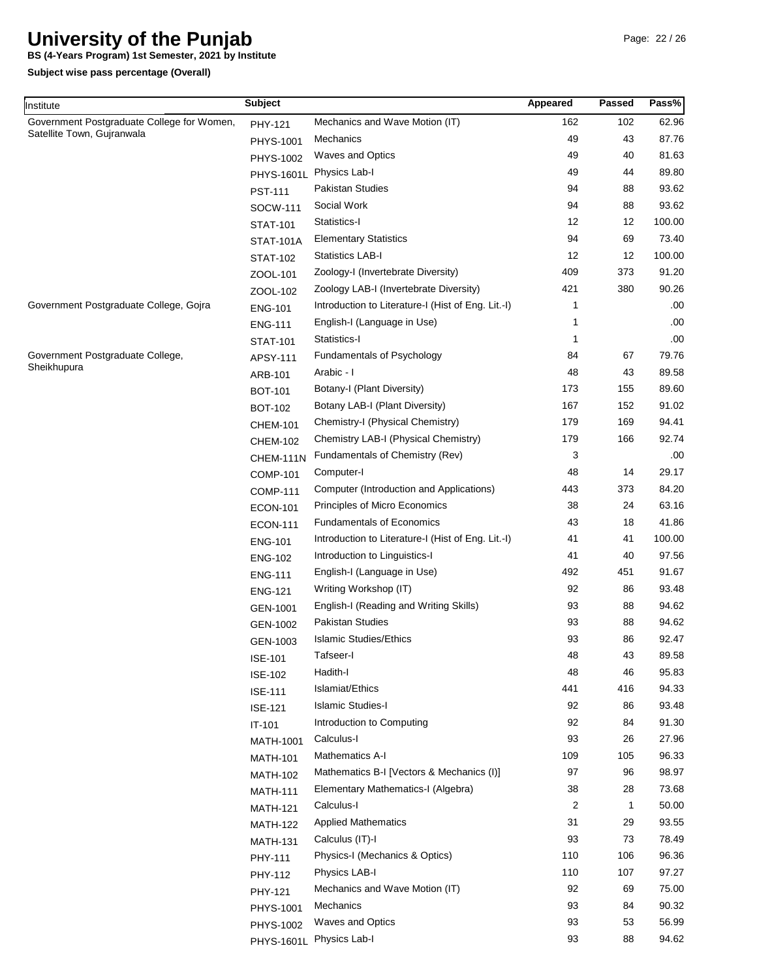**BS (4-Years Program) 1st Semester, 2021 by Institute**

| Institute                                  | <b>Subject</b>    |                                                    | Appeared | Passed       | Pass%  |
|--------------------------------------------|-------------------|----------------------------------------------------|----------|--------------|--------|
| Government Postgraduate College for Women, | PHY-121           | Mechanics and Wave Motion (IT)                     | 162      | 102          | 62.96  |
| Satellite Town, Gujranwala                 | PHYS-1001         | Mechanics                                          | 49       | 43           | 87.76  |
|                                            | PHYS-1002         | <b>Waves and Optics</b>                            | 49       | 40           | 81.63  |
|                                            | <b>PHYS-1601L</b> | Physics Lab-I                                      | 49       | 44           | 89.80  |
|                                            | <b>PST-111</b>    | <b>Pakistan Studies</b>                            | 94       | 88           | 93.62  |
|                                            | SOCW-111          | Social Work                                        | 94       | 88           | 93.62  |
|                                            | <b>STAT-101</b>   | Statistics-I                                       | 12       | 12           | 100.00 |
|                                            | <b>STAT-101A</b>  | <b>Elementary Statistics</b>                       | 94       | 69           | 73.40  |
|                                            | <b>STAT-102</b>   | <b>Statistics LAB-I</b>                            | 12       | 12           | 100.00 |
|                                            | ZOOL-101          | Zoology-I (Invertebrate Diversity)                 | 409      | 373          | 91.20  |
|                                            | ZOOL-102          | Zoology LAB-I (Invertebrate Diversity)             | 421      | 380          | 90.26  |
| Government Postgraduate College, Gojra     | <b>ENG-101</b>    | Introduction to Literature-I (Hist of Eng. Lit.-I) | 1        |              | .00    |
|                                            | <b>ENG-111</b>    | English-I (Language in Use)                        | 1        |              | .00    |
|                                            | <b>STAT-101</b>   | Statistics-I                                       | 1        |              | .00    |
| Government Postgraduate College,           | APSY-111          | Fundamentals of Psychology                         | 84       | 67           | 79.76  |
| Sheikhupura                                | ARB-101           | Arabic - I                                         | 48       | 43           | 89.58  |
|                                            | <b>BOT-101</b>    | Botany-I (Plant Diversity)                         | 173      | 155          | 89.60  |
|                                            | <b>BOT-102</b>    | Botany LAB-I (Plant Diversity)                     | 167      | 152          | 91.02  |
|                                            | <b>CHEM-101</b>   | Chemistry-I (Physical Chemistry)                   | 179      | 169          | 94.41  |
|                                            | <b>CHEM-102</b>   | Chemistry LAB-I (Physical Chemistry)               | 179      | 166          | 92.74  |
|                                            | CHEM-111N         | Fundamentals of Chemistry (Rev)                    | 3        |              | .00    |
|                                            | <b>COMP-101</b>   | Computer-I                                         | 48       | 14           | 29.17  |
|                                            | <b>COMP-111</b>   | Computer (Introduction and Applications)           | 443      | 373          | 84.20  |
|                                            | <b>ECON-101</b>   | Principles of Micro Economics                      | 38       | 24           | 63.16  |
|                                            | <b>ECON-111</b>   | <b>Fundamentals of Economics</b>                   | 43       | 18           | 41.86  |
|                                            | <b>ENG-101</b>    | Introduction to Literature-I (Hist of Eng. Lit.-I) | 41       | 41           | 100.00 |
|                                            | <b>ENG-102</b>    | Introduction to Linguistics-I                      | 41       | 40           | 97.56  |
|                                            | <b>ENG-111</b>    | English-I (Language in Use)                        | 492      | 451          | 91.67  |
|                                            | <b>ENG-121</b>    | Writing Workshop (IT)                              | 92       | 86           | 93.48  |
|                                            | GEN-1001          | English-I (Reading and Writing Skills)             | 93       | 88           | 94.62  |
|                                            | GEN-1002          | <b>Pakistan Studies</b>                            | 93       | 88           | 94.62  |
|                                            | GEN-1003          | <b>Islamic Studies/Ethics</b>                      | 93       | 86           | 92.47  |
|                                            | <b>ISE-101</b>    | Tafseer-I                                          | 48       | 43           | 89.58  |
|                                            | <b>ISE-102</b>    | Hadith-I                                           | 48       | 46           | 95.83  |
|                                            | <b>ISE-111</b>    | Islamiat/Ethics                                    | 441      | 416          | 94.33  |
|                                            | <b>ISE-121</b>    | <b>Islamic Studies-I</b>                           | 92       | 86           | 93.48  |
|                                            | IT-101            | Introduction to Computing                          | 92       | 84           | 91.30  |
|                                            | <b>MATH-1001</b>  | Calculus-I                                         | 93       | 26           | 27.96  |
|                                            | <b>MATH-101</b>   | <b>Mathematics A-I</b>                             | 109      | 105          | 96.33  |
|                                            | <b>MATH-102</b>   | Mathematics B-I [Vectors & Mechanics (I)]          | 97       | 96           | 98.97  |
|                                            | <b>MATH-111</b>   | Elementary Mathematics-I (Algebra)                 | 38       | 28           | 73.68  |
|                                            | <b>MATH-121</b>   | Calculus-I                                         | 2        | $\mathbf{1}$ | 50.00  |
|                                            | <b>MATH-122</b>   | <b>Applied Mathematics</b>                         | 31       | 29           | 93.55  |
|                                            | <b>MATH-131</b>   | Calculus (IT)-I                                    | 93       | 73           | 78.49  |
|                                            | PHY-111           | Physics-I (Mechanics & Optics)                     | 110      | 106          | 96.36  |
|                                            | PHY-112           | Physics LAB-I                                      | 110      | 107          | 97.27  |
|                                            | PHY-121           | Mechanics and Wave Motion (IT)                     | 92       | 69           | 75.00  |
|                                            | PHYS-1001         | Mechanics                                          | 93       | 84           | 90.32  |
|                                            | PHYS-1002         | <b>Waves and Optics</b>                            | 93       | 53           | 56.99  |
|                                            | PHYS-1601L        | Physics Lab-I                                      | 93       | 88           | 94.62  |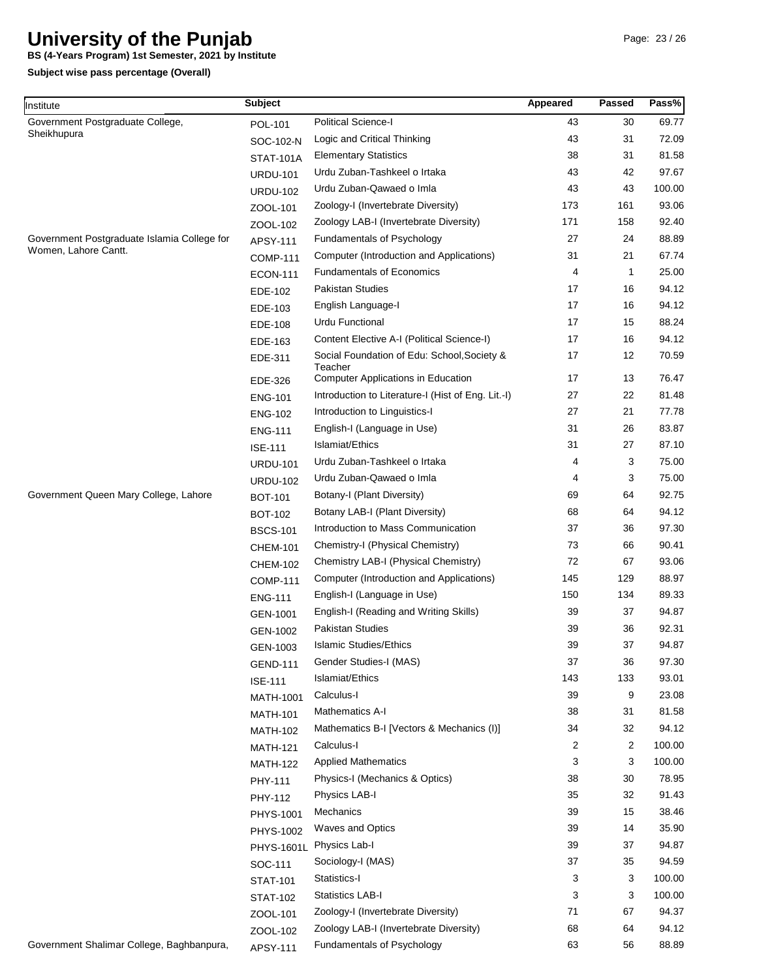**BS (4-Years Program) 1st Semester, 2021 by Institute**

| Institute                                   | <b>Subject</b>   |                                                    | Appeared | <b>Passed</b>  | Pass%  |
|---------------------------------------------|------------------|----------------------------------------------------|----------|----------------|--------|
| Government Postgraduate College,            | POL-101          | <b>Political Science-I</b>                         | 43       | 30             | 69.77  |
| Sheikhupura                                 | SOC-102-N        | Logic and Critical Thinking                        | 43       | 31             | 72.09  |
|                                             | <b>STAT-101A</b> | <b>Elementary Statistics</b>                       | 38       | 31             | 81.58  |
|                                             | <b>URDU-101</b>  | Urdu Zuban-Tashkeel o Irtaka                       | 43       | 42             | 97.67  |
|                                             | <b>URDU-102</b>  | Urdu Zuban-Qawaed o Imla                           | 43       | 43             | 100.00 |
|                                             | ZOOL-101         | Zoology-I (Invertebrate Diversity)                 | 173      | 161            | 93.06  |
|                                             | ZOOL-102         | Zoology LAB-I (Invertebrate Diversity)             | 171      | 158            | 92.40  |
| Government Postgraduate Islamia College for | APSY-111         | Fundamentals of Psychology                         | 27       | 24             | 88.89  |
| Women, Lahore Cantt.                        | <b>COMP-111</b>  | Computer (Introduction and Applications)           | 31       | 21             | 67.74  |
|                                             | <b>ECON-111</b>  | <b>Fundamentals of Economics</b>                   | 4        | 1              | 25.00  |
|                                             | EDE-102          | <b>Pakistan Studies</b>                            | 17       | 16             | 94.12  |
|                                             | EDE-103          | English Language-I                                 | 17       | 16             | 94.12  |
|                                             | EDE-108          | Urdu Functional                                    | 17       | 15             | 88.24  |
|                                             | EDE-163          | Content Elective A-I (Political Science-I)         | 17       | 16             | 94.12  |
|                                             | EDE-311          | Social Foundation of Edu: School, Society &        | 17       | 12             | 70.59  |
|                                             | EDE-326          | Teacher<br>Computer Applications in Education      | 17       | 13             | 76.47  |
|                                             | <b>ENG-101</b>   | Introduction to Literature-I (Hist of Eng. Lit.-I) | 27       | 22             | 81.48  |
|                                             |                  | Introduction to Linguistics-I                      | 27       | 21             | 77.78  |
|                                             | <b>ENG-102</b>   | English-I (Language in Use)                        | 31       | 26             | 83.87  |
|                                             | <b>ENG-111</b>   | Islamiat/Ethics                                    | 31       | 27             | 87.10  |
|                                             | <b>ISE-111</b>   | Urdu Zuban-Tashkeel o Irtaka                       | 4        | 3              | 75.00  |
|                                             | <b>URDU-101</b>  | Urdu Zuban-Qawaed o Imla                           | 4        | 3              | 75.00  |
| Government Queen Mary College, Lahore       | <b>URDU-102</b>  | Botany-I (Plant Diversity)                         | 69       | 64             | 92.75  |
|                                             | <b>BOT-101</b>   | Botany LAB-I (Plant Diversity)                     | 68       | 64             | 94.12  |
|                                             | <b>BOT-102</b>   | Introduction to Mass Communication                 | 37       | 36             | 97.30  |
|                                             | <b>BSCS-101</b>  |                                                    | 73       | 66             | 90.41  |
|                                             | <b>CHEM-101</b>  | Chemistry-I (Physical Chemistry)                   | 72       | 67             | 93.06  |
|                                             | <b>CHEM-102</b>  | Chemistry LAB-I (Physical Chemistry)               | 145      | 129            | 88.97  |
|                                             | <b>COMP-111</b>  | Computer (Introduction and Applications)           |          |                |        |
|                                             | <b>ENG-111</b>   | English-I (Language in Use)                        | 150      | 134            | 89.33  |
|                                             | GEN-1001         | English-I (Reading and Writing Skills)             | 39       | 37             | 94.87  |
|                                             | GEN-1002         | <b>Pakistan Studies</b>                            | 39       | 36             | 92.31  |
|                                             | GEN-1003         | Islamic Studies/Ethics                             | 39       | 37             | 94.87  |
|                                             | <b>GEND-111</b>  | Gender Studies-I (MAS)                             | 37       | 36             | 97.30  |
|                                             | <b>ISE-111</b>   | Islamiat/Ethics                                    | 143      | 133            | 93.01  |
|                                             | MATH-1001        | Calculus-I                                         | 39       | 9              | 23.08  |
|                                             | <b>MATH-101</b>  | <b>Mathematics A-I</b>                             | 38       | 31             | 81.58  |
|                                             | <b>MATH-102</b>  | Mathematics B-I [Vectors & Mechanics (I)]          | 34       | 32             | 94.12  |
|                                             | <b>MATH-121</b>  | Calculus-I                                         | 2        | $\overline{2}$ | 100.00 |
|                                             | <b>MATH-122</b>  | <b>Applied Mathematics</b>                         | 3        | 3              | 100.00 |
|                                             | PHY-111          | Physics-I (Mechanics & Optics)                     | 38       | 30             | 78.95  |
|                                             | PHY-112          | Physics LAB-I                                      | 35       | 32             | 91.43  |
|                                             | PHYS-1001        | Mechanics                                          | 39       | 15             | 38.46  |
|                                             | PHYS-1002        | <b>Waves and Optics</b>                            | 39       | 14             | 35.90  |
|                                             | PHYS-1601L       | Physics Lab-I                                      | 39       | 37             | 94.87  |
|                                             | SOC-111          | Sociology-I (MAS)                                  | 37       | 35             | 94.59  |
|                                             | <b>STAT-101</b>  | Statistics-I                                       | 3        | 3              | 100.00 |
| Government Shalimar College, Baghbanpura,   | <b>STAT-102</b>  | Statistics LAB-I                                   | 3        | 3              | 100.00 |
|                                             | ZOOL-101         | Zoology-I (Invertebrate Diversity)                 | 71       | 67             | 94.37  |
|                                             | ZOOL-102         | Zoology LAB-I (Invertebrate Diversity)             | 68       | 64             | 94.12  |
|                                             | APSY-111         | Fundamentals of Psychology                         | 63       | 56             | 88.89  |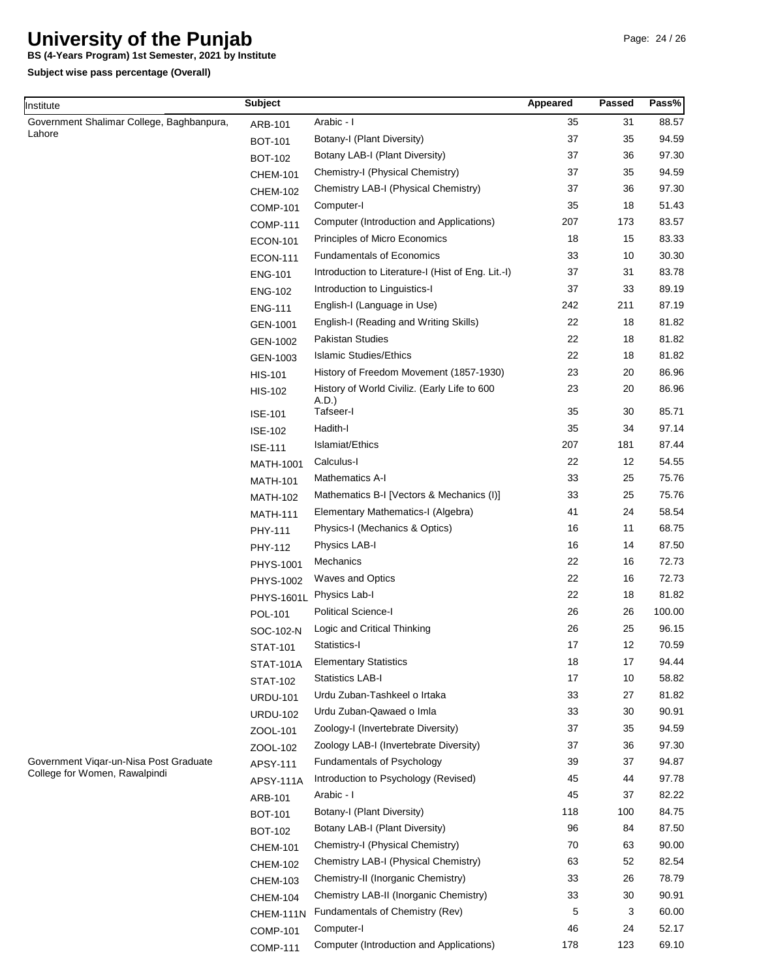**BS (4-Years Program) 1st Semester, 2021 by Institute**

| Institute                                 | <b>Subject</b>    |                                                    | Appeared | Passed | Pass%  |
|-------------------------------------------|-------------------|----------------------------------------------------|----------|--------|--------|
| Government Shalimar College, Baghbanpura, | ARB-101           | Arabic - I                                         | 35       | 31     | 88.57  |
| Lahore                                    | <b>BOT-101</b>    | Botany-I (Plant Diversity)                         | 37       | 35     | 94.59  |
|                                           | <b>BOT-102</b>    | Botany LAB-I (Plant Diversity)                     | 37       | 36     | 97.30  |
|                                           | <b>CHEM-101</b>   | Chemistry-I (Physical Chemistry)                   | 37       | 35     | 94.59  |
|                                           | <b>CHEM-102</b>   | Chemistry LAB-I (Physical Chemistry)               | 37       | 36     | 97.30  |
|                                           | <b>COMP-101</b>   | Computer-I                                         | 35       | 18     | 51.43  |
|                                           | <b>COMP-111</b>   | Computer (Introduction and Applications)           | 207      | 173    | 83.57  |
|                                           | <b>ECON-101</b>   | Principles of Micro Economics                      | 18       | 15     | 83.33  |
|                                           | <b>ECON-111</b>   | <b>Fundamentals of Economics</b>                   | 33       | 10     | 30.30  |
|                                           | <b>ENG-101</b>    | Introduction to Literature-I (Hist of Eng. Lit.-I) | 37       | 31     | 83.78  |
|                                           | <b>ENG-102</b>    | Introduction to Linguistics-I                      | 37       | 33     | 89.19  |
|                                           | <b>ENG-111</b>    | English-I (Language in Use)                        | 242      | 211    | 87.19  |
|                                           | GEN-1001          | English-I (Reading and Writing Skills)             | 22       | 18     | 81.82  |
|                                           | GEN-1002          | <b>Pakistan Studies</b>                            | 22       | 18     | 81.82  |
|                                           | GEN-1003          | <b>Islamic Studies/Ethics</b>                      | 22       | 18     | 81.82  |
|                                           | <b>HIS-101</b>    | History of Freedom Movement (1857-1930)            | 23       | 20     | 86.96  |
|                                           | <b>HIS-102</b>    | History of World Civiliz. (Early Life to 600       | 23       | 20     | 86.96  |
|                                           | <b>ISE-101</b>    | A.D.)<br>Tafseer-I                                 | 35       | 30     | 85.71  |
|                                           | <b>ISE-102</b>    | Hadith-I                                           | 35       | 34     | 97.14  |
|                                           | <b>ISE-111</b>    | Islamiat/Ethics                                    | 207      | 181    | 87.44  |
|                                           | <b>MATH-1001</b>  | Calculus-I                                         | 22       | 12     | 54.55  |
|                                           | <b>MATH-101</b>   | Mathematics A-I                                    | 33       | 25     | 75.76  |
|                                           | <b>MATH-102</b>   | Mathematics B-I [Vectors & Mechanics (I)]          | 33       | 25     | 75.76  |
|                                           | <b>MATH-111</b>   | Elementary Mathematics-I (Algebra)                 | 41       | 24     | 58.54  |
|                                           | PHY-111           | Physics-I (Mechanics & Optics)                     | 16       | 11     | 68.75  |
|                                           | PHY-112           | Physics LAB-I                                      | 16       | 14     | 87.50  |
|                                           | <b>PHYS-1001</b>  | Mechanics                                          | 22       | 16     | 72.73  |
|                                           | PHYS-1002         | <b>Waves and Optics</b>                            | 22       | 16     | 72.73  |
|                                           | <b>PHYS-1601L</b> | Physics Lab-I                                      | 22       | 18     | 81.82  |
|                                           | POL-101           | <b>Political Science-I</b>                         | 26       | 26     | 100.00 |
|                                           | SOC-102-N         | Logic and Critical Thinking                        | 26       | 25     | 96.15  |
|                                           | <b>STAT-101</b>   | Statistics-I                                       | 17       | 12     | 70.59  |
|                                           | <b>STAT-101A</b>  | <b>Elementary Statistics</b>                       | 18       | 17     | 94.44  |
|                                           | <b>STAT-102</b>   | <b>Statistics LAB-I</b>                            | 17       | 10     | 58.82  |
|                                           | <b>URDU-101</b>   | Urdu Zuban-Tashkeel o Irtaka                       | 33       | 27     | 81.82  |
|                                           | <b>URDU-102</b>   | Urdu Zuban-Qawaed o Imla                           | 33       | 30     | 90.91  |
|                                           | ZOOL-101          | Zoology-I (Invertebrate Diversity)                 | 37       | 35     | 94.59  |
|                                           | ZOOL-102          | Zoology LAB-I (Invertebrate Diversity)             | 37       | 36     | 97.30  |
| Government Viqar-un-Nisa Post Graduate    | APSY-111          | Fundamentals of Psychology                         | 39       | 37     | 94.87  |
| College for Women, Rawalpindi             | APSY-111A         | Introduction to Psychology (Revised)               | 45       | 44     | 97.78  |
|                                           | ARB-101           | Arabic - I                                         | 45       | 37     | 82.22  |
|                                           | <b>BOT-101</b>    | Botany-I (Plant Diversity)                         | 118      | 100    | 84.75  |
|                                           | <b>BOT-102</b>    | Botany LAB-I (Plant Diversity)                     | 96       | 84     | 87.50  |
|                                           | <b>CHEM-101</b>   | Chemistry-I (Physical Chemistry)                   | 70       | 63     | 90.00  |
|                                           | <b>CHEM-102</b>   | Chemistry LAB-I (Physical Chemistry)               | 63       | 52     | 82.54  |
|                                           | <b>CHEM-103</b>   | Chemistry-II (Inorganic Chemistry)                 | 33       | 26     | 78.79  |
|                                           | <b>CHEM-104</b>   | Chemistry LAB-II (Inorganic Chemistry)             | 33       | 30     | 90.91  |
|                                           | CHEM-111N         | Fundamentals of Chemistry (Rev)                    | 5        | 3      | 60.00  |
|                                           | <b>COMP-101</b>   | Computer-I                                         | 46       | 24     | 52.17  |
|                                           | <b>COMP-111</b>   | Computer (Introduction and Applications)           | 178      | 123    | 69.10  |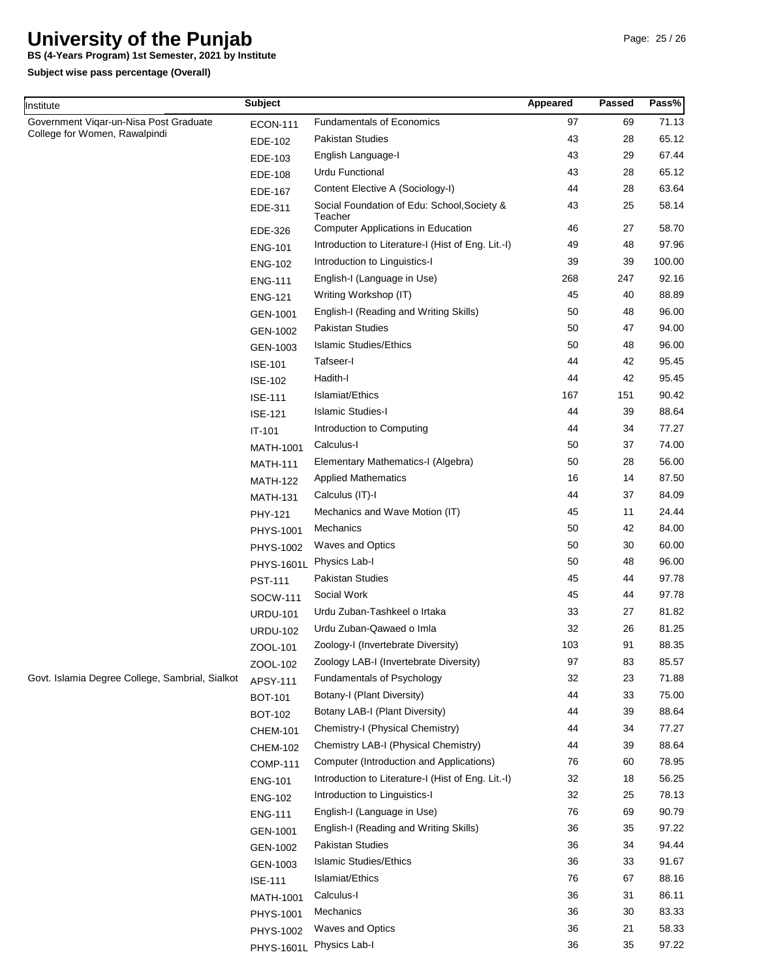**BS (4-Years Program) 1st Semester, 2021 by Institute**

| Institute                                                               | <b>Subject</b>   |                                                        | Appeared | <b>Passed</b> | Pass%  |
|-------------------------------------------------------------------------|------------------|--------------------------------------------------------|----------|---------------|--------|
| Government Vigar-un-Nisa Post Graduate<br>College for Women, Rawalpindi | <b>ECON-111</b>  | <b>Fundamentals of Economics</b>                       | 97       | 69            | 71.13  |
|                                                                         | EDE-102          | <b>Pakistan Studies</b>                                | 43       | 28            | 65.12  |
|                                                                         | EDE-103          | English Language-I                                     | 43       | 29            | 67.44  |
|                                                                         | EDE-108          | <b>Urdu Functional</b>                                 | 43       | 28            | 65.12  |
|                                                                         | EDE-167          | Content Elective A (Sociology-I)                       | 44       | 28            | 63.64  |
|                                                                         | EDE-311          | Social Foundation of Edu: School, Society &<br>Teacher | 43       | 25            | 58.14  |
|                                                                         | EDE-326          | <b>Computer Applications in Education</b>              | 46       | 27            | 58.70  |
|                                                                         | <b>ENG-101</b>   | Introduction to Literature-I (Hist of Eng. Lit.-I)     | 49       | 48            | 97.96  |
|                                                                         | <b>ENG-102</b>   | Introduction to Linguistics-I                          | 39       | 39            | 100.00 |
|                                                                         | <b>ENG-111</b>   | English-I (Language in Use)                            | 268      | 247           | 92.16  |
|                                                                         | <b>ENG-121</b>   | Writing Workshop (IT)                                  | 45       | 40            | 88.89  |
|                                                                         | GEN-1001         | English-I (Reading and Writing Skills)                 | 50       | 48            | 96.00  |
|                                                                         | GEN-1002         | Pakistan Studies                                       | 50       | 47            | 94.00  |
|                                                                         | GEN-1003         | <b>Islamic Studies/Ethics</b>                          | 50       | 48            | 96.00  |
|                                                                         | <b>ISE-101</b>   | Tafseer-I                                              | 44       | 42            | 95.45  |
|                                                                         | <b>ISE-102</b>   | Hadith-I                                               | 44       | 42            | 95.45  |
|                                                                         | <b>ISE-111</b>   | Islamiat/Ethics                                        | 167      | 151           | 90.42  |
|                                                                         | <b>ISE-121</b>   | <b>Islamic Studies-I</b>                               | 44       | 39            | 88.64  |
|                                                                         | IT-101           | Introduction to Computing                              | 44       | 34            | 77.27  |
|                                                                         | <b>MATH-1001</b> | Calculus-I                                             | 50       | 37            | 74.00  |
|                                                                         | <b>MATH-111</b>  | Elementary Mathematics-I (Algebra)                     | 50       | 28            | 56.00  |
|                                                                         | <b>MATH-122</b>  | <b>Applied Mathematics</b>                             | 16       | 14            | 87.50  |
|                                                                         | <b>MATH-131</b>  | Calculus (IT)-I                                        | 44       | 37            | 84.09  |
|                                                                         | PHY-121          | Mechanics and Wave Motion (IT)                         | 45       | 11            | 24.44  |
|                                                                         | PHYS-1001        | Mechanics                                              | 50       | 42            | 84.00  |
|                                                                         | PHYS-1002        | <b>Waves and Optics</b>                                | 50       | 30            | 60.00  |
|                                                                         | PHYS-1601L       | Physics Lab-I                                          | 50       | 48            | 96.00  |
|                                                                         | <b>PST-111</b>   | Pakistan Studies                                       | 45       | 44            | 97.78  |
|                                                                         | SOCW-111         | Social Work                                            | 45       | 44            | 97.78  |
|                                                                         | <b>URDU-101</b>  | Urdu Zuban-Tashkeel o Irtaka                           | 33       | 27            | 81.82  |
|                                                                         | <b>URDU-102</b>  | Urdu Zuban-Qawaed o Imla                               | 32       | 26            | 81.25  |
|                                                                         | ZOOL-101         | Zoology-I (Invertebrate Diversity)                     | 103      | 91            | 88.35  |
|                                                                         | ZOOL-102         | Zoology LAB-I (Invertebrate Diversity)                 | 97       | 83            | 85.57  |
| Govt. Islamia Degree College, Sambrial, Sialkot                         | APSY-111         | Fundamentals of Psychology                             | 32       | 23            | 71.88  |
|                                                                         | <b>BOT-101</b>   | Botany-I (Plant Diversity)                             | 44       | 33            | 75.00  |
|                                                                         | <b>BOT-102</b>   | Botany LAB-I (Plant Diversity)                         | 44       | 39            | 88.64  |
|                                                                         | <b>CHEM-101</b>  | Chemistry-I (Physical Chemistry)                       | 44       | 34            | 77.27  |
|                                                                         | <b>CHEM-102</b>  | Chemistry LAB-I (Physical Chemistry)                   | 44       | 39            | 88.64  |
|                                                                         | <b>COMP-111</b>  | Computer (Introduction and Applications)               | 76       | 60            | 78.95  |
|                                                                         | <b>ENG-101</b>   | Introduction to Literature-I (Hist of Eng. Lit.-I)     | 32       | 18            | 56.25  |
|                                                                         | <b>ENG-102</b>   | Introduction to Linguistics-I                          | 32       | 25            | 78.13  |
|                                                                         | <b>ENG-111</b>   | English-I (Language in Use)                            | 76       | 69            | 90.79  |
|                                                                         | GEN-1001         | English-I (Reading and Writing Skills)                 | 36       | 35            | 97.22  |
|                                                                         | GEN-1002         | Pakistan Studies                                       | 36       | 34            | 94.44  |
|                                                                         | GEN-1003         | <b>Islamic Studies/Ethics</b>                          | 36       | 33            | 91.67  |
|                                                                         | <b>ISE-111</b>   | Islamiat/Ethics                                        | 76       | 67            | 88.16  |
|                                                                         | <b>MATH-1001</b> | Calculus-I                                             | 36       | 31            | 86.11  |
|                                                                         | PHYS-1001        | Mechanics                                              | 36       | 30            | 83.33  |
|                                                                         | PHYS-1002        | <b>Waves and Optics</b>                                | 36       | 21            | 58.33  |
|                                                                         | PHYS-1601L       | Physics Lab-I                                          | 36       | 35            | 97.22  |